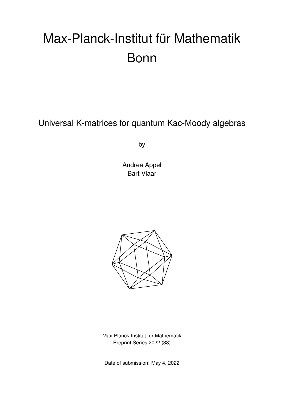# Max-Planck-Institut für Mathematik Bonn

Universal K-matrices for quantum Kac-Moody algebras

by

Andrea Appel Bart Vlaar



Max-Planck-Institut für Mathematik Preprint Series 2022 (33)

Date of submission: May 4, 2022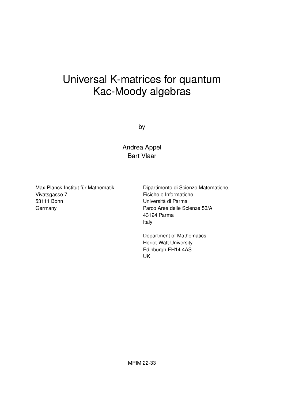## Universal K-matrices for quantum Kac-Moody algebras

by

Andrea Appel Bart Vlaar

Max-Planck-Institut für Mathematik Vivatsgasse 7 53111 Bonn **Germany** 

Dipartimento di Scienze Matematiche, Fisiche e Informatiche Università di Parma Parco Area delle Scienze 53/A 43124 Parma Italy

Department of Mathematics Heriot-Watt University Edinburgh EH14 4AS UK

MPIM 22-33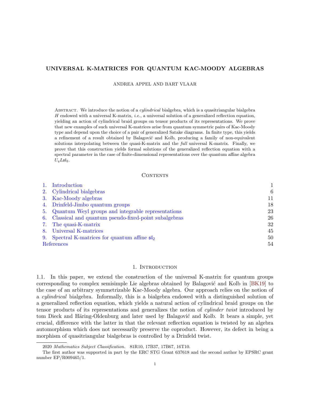#### UNIVERSAL K-MATRICES FOR QUANTUM KAC-MOODY ALGEBRAS

ANDREA APPEL AND BART VLAAR

ABSTRACT. We introduce the notion of a *cylindrical* bialgebra, which is a quasitriangular bialgebra H endowed with a universal K-matrix, *i.e.*, a universal solution of a generalized reflection equation, yielding an action of cylindrical braid groups on tensor products of its representations. We prove that new examples of such universal K-matrices arise from quantum symmetric pairs of Kac-Moody type and depend upon the choice of a pair of generalized Satake diagrams. In finite type, this yields a refinement of a result obtained by Balagović and Kolb, producing a family of non-equivalent solutions interpolating between the quasi-K-matrix and the full universal K-matrix. Finally, we prove that this construction yields formal solutions of the generalized reflection equation with a spectral parameter in the case of finite-dimensional representations over the quantum affine algebra  $U_qL\mathfrak{sl}_2.$ 

#### CONTENTS

| Introduction                                                |    |
|-------------------------------------------------------------|----|
| 2. Cylindrical bialgebras                                   | 6  |
| 3. Kac-Moody algebras                                       | 11 |
| 4. Drinfeld-Jimbo quantum groups                            | 18 |
| 5. Quantum Weyl groups and integrable representations       | 23 |
| 6. Classical and quantum pseudo-fixed-point subalgebras     | 26 |
| 7. The quasi-K-matrix                                       | 32 |
| 8. Universal K-matrices                                     | 45 |
| 9. Spectral K-matrices for quantum affine $\mathfrak{sl}_2$ | 50 |
| References                                                  | 54 |

#### 1. INTRODUCTION

<span id="page-2-0"></span>1.1. In this paper, we extend the construction of the universal K-matrix for quantum groups corresponding to complex semisimple Lie algebras obtained by Balagović and Kolb in [\[BK19\]](#page-55-1) to the case of an arbitrary symmetrizable Kac-Moody algebra. Our approach relies on the notion of a cylindrical bialgebra. Informally, this is a bialgebra endowed with a distinguished solution of a generalized reflection equation, which yields a natural action of cylindrical braid groups on the tensor products of its representations and generalizes the notion of cylinder twist introduced by tom Dieck and Häring-Oldenburg and later used by Balagović and Kolb. It bears a simple, yet crucial, difference with the latter in that the relevant reflection equation is twisted by an algebra automorphism which does not necessarily preserve the coproduct. However, its defect in being a morphism of quasitriangular bialgebras is controlled by a Drinfeld twist.

<sup>2020</sup> Mathematics Subject Classification. 81R10, 17B37, 17B67, 16T10.

The first author was supported in part by the ERC STG Grant 637618 and the second author by EPSRC grant number EP/R009465/1.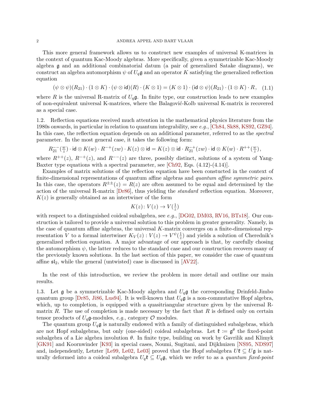This more general framework allows us to construct new examples of universal K-matrices in the context of quantum Kac-Moody algebras. More specifically, given a symmetrizable Kac-Moody algebra g and an additional combinatorial datum (a pair of generalized Satake diagrams), we construct an algebra automorphism  $\psi$  of  $U_q$ **g** and an operator K satisfying the generalized reflection equation

$$
(\psi \otimes \psi)(R_{21}) \cdot (1 \otimes K) \cdot (\psi \otimes \text{id})(R) \cdot (K \otimes 1) = (K \otimes 1) \cdot (\text{id} \otimes \psi)(R_{21}) \cdot (1 \otimes K) \cdot R, \quad (1.1)
$$

where R is the universal R-matrix of  $U_q$ g. In finite type, our construction leads to new examples of non-equivalent universal K-matrices, where the Balagović-Kolb universal K-matrix is recovered as a special case.

1.2. Reflection equations received much attention in the mathematical physics literature from the 1980s onwards, in particular in relation to quantum integrability, see e.g., [\[Ch84,](#page-55-2) [Sk88,](#page-57-0) [KS92,](#page-57-1) [GZ94\]](#page-56-0). In this case, the reflection equation depends on an additional parameter, referred to as the *spectral* parameter. In the most general case, it takes the following form:

$$
R_{21}^{--}(\tfrac{w}{z}) \cdot \mathsf{id} \otimes K(w) \cdot R^{-+}(zw) \cdot K(z) \otimes \mathsf{id} = K(z) \otimes \mathsf{id} \cdot R_{21}^{-+}(zw) \cdot \mathsf{id} \otimes K(w) \cdot R^{++}(\tfrac{w}{z}),
$$

where  $R^{++}(z)$ ,  $R^{-+}(z)$ , and  $R^{--}(z)$  are three, possibly distinct, solutions of a system of Yang-Baxter type equations with a spectral parameter, see  $[Ch92, Egs. (4.12)-(4.14)].$ 

Examples of matrix solutions of the reflection equation have been constucted in the context of finite-dimensional representations of quantum affine algebras and quantum affine symmetric pairs. In this case, the operators  $R^{\pm\pm}(z) = R(z)$  are often assumed to be equal and determined by the action of the universal R-matrix [\[Dr86\]](#page-56-1), thus yielding the standard reflection equation. Moreover,  $K(z)$  is generally obtained as an intertwiner of the form

<span id="page-3-0"></span>
$$
K(z) \colon V(z) \to V(\frac{1}{z})
$$

with respect to a distinguished coideal subalgebra, see e.g.,  $[DG02, DM03, RV16, BTs18]$  $[DG02, DM03, RV16, BTs18]$  $[DG02, DM03, RV16, BTs18]$  $[DG02, DM03, RV16, BTs18]$  $[DG02, DM03, RV16, BTs18]$  $[DG02, DM03, RV16, BTs18]$ . Our construction is tailored to provide a universal solution to this problem in greater generality. Namely, in the case of quantum affine algebras, the universal  $K$ -matrix converges on a finite-dimensional representation V to a formal intertwiner  $K_V(z): V(z) \to V^{\psi}(\frac{1}{z})$  $\frac{1}{z}$ ) and yields a solution of Cherednik's generalized reflection equation. A major advantage of our approach is that, by carefully chosing the automorphism  $\psi$ , the latter reduces to the standard case and our construction recovers many of the previously known solutions. In the last section of this paper, we consider the case of quantum affine  $\mathfrak{sl}_2$ , while the general (untwisted) case is discussed in [\[AV22\]](#page-55-5).

In the rest of this introduction, we review the problem in more detail and outline our main results.

1.3. Let  $\mathfrak g$  be a symmetrizable Kac-Moody algebra and  $U_q\mathfrak g$  the corresponding Drinfeld-Jimbo quantum group [\[Dr85,](#page-56-4) [Ji86,](#page-56-5) [Lus94\]](#page-57-3). It is well-known that  $U_q\mathfrak{g}$  is a non-commutative Hopf algebra, which, up to completion, is equipped with a quasitriangular structure given by the universal Rmatrix  $R$ . The use of completion is made necessary by the fact that  $R$  is defined only on certain tensor products of  $U_q$ **g**-modules, *e.g.*, category  $O$  modules.

The quantum group  $U_q\mathfrak{g}$  is naturally endowed with a family of distinguished subalgebras, which are not Hopf subalgebras, but only (one-sided) coideal subalgebras. Let  $\mathfrak{k} := \mathfrak{g}^{\theta}$  the fixed-point subalgebra of a Lie algebra involution  $\theta$ . In finite type, building on work by Gavrilik and Klimyk [\[GK91\]](#page-56-6) and Koornwinder [\[K93\]](#page-57-4) in special cases, Noumi, Sugitani, and Dijkhuizen [\[NS95,](#page-57-5) [NDS97\]](#page-57-6) and, independently, Letzter [\[Le99,](#page-57-7) [Le02,](#page-57-8) [Le03\]](#page-57-9) proved that the Hopf subalgebra  $U\mathfrak{k} \subseteq U\mathfrak{g}$  is naturally deformed into a coideal subalgebra  $U_q\mathfrak{k} \subseteq U_q\mathfrak{g}$ , which we refer to as a quantum fixed-point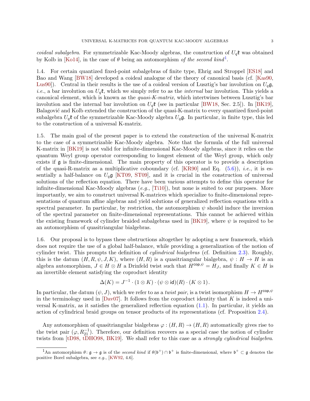coideal subalgebra. For symmetrizable Kac-Moody algebras, the construction of  $U_q$ <sup>t</sup> was obtained by Kolb in [\[Ko14\]](#page-56-7), in the case of  $\theta$  being an automorphism of the second kind<sup>[1](#page-4-0)</sup>.

1.4. For certain quantized fixed-point subalgebras of finite type, Ehrig and Stroppel [\[ES18\]](#page-56-8) and Bao and Wang [\[BW18\]](#page-55-6) developed a coideal analogue of the theory of canonical basis (cf. [\[Kas90,](#page-56-9) [Lus90\]](#page-57-10)). Central in their results is the use of a coideal version of Lusztig's bar involution on  $U_q$ g, *i.e.*, a bar involution on  $U_q$ **t**, which we simply refer to as the *internal* bar involution. This yields a canonical element, which is known as the *quasi-K-matrix*, which intertwines between Lusztig's bar involution and the internal bar involution on  $U_q$ **t** (see in particular [\[BW18,](#page-55-6) Sec. 2.5]). In [\[BK19\]](#page-55-1), Balagović and Kolb extended the construction of the quasi-K-matrix to every quantized fixed-point subalgebra  $U_q$ t of the symmetrizable Kac-Moody algebra  $U_q$ g. In particular, in finite type, this led to the construction of a universal K-matrix.

1.5. The main goal of the present paper is to extend the construction of the universal K-matrix to the case of a symmetrizable Kac-Moody algebra. Note that the formula of the full universal K-matrix in [\[BK19\]](#page-55-1) is not valid for infinite-dimensional Kac-Moody algebras, since it relies on the quantum Weyl group operator corresponding to longest element of the Weyl group, which only exists if g is finite-dimensional. The main property of this operator is to provide a description of the quasi-R-matrix as a multiplicative coboundary (cf.  $[KR90]$  and Eq. [\(5.6\)](#page-27-1)), *i.e.*, it is essentially a half-balance on  $U_q$ g [\[KT09,](#page-57-11) [ST09\]](#page-57-12), and it is crucial in the construction of universal solutions of the reflection equation. There have been various attempts to define this operator for infinite-dimensional Kac-Moody algebras  $(e.g., [Ti10])$  $(e.g., [Ti10])$  $(e.g., [Ti10])$ , but none is suited to our purposes. More importantly, we aim to construct universal K-matrices which specialize to finite-dimensional representations of quantum affine algebras and yield solutions of generalized reflection equations with a spectral parameter. In particular, by restriction, the automorphism  $\psi$  should induce the inversion of the spectral parameter on finite-dimensional representations. This cannot be achieved within the existing framework of cylinder braided subalgebras used in  $|BK19|$ , where  $\psi$  is required to be an automorphism of quasitriangular bialgebras.

1.6. Our proposal is to bypass these obstructions altogether by adopting a new framework, which does not require the use of a global half-balance, while providing a generalization of the notion of cylinder twist. This prompts the definition of *cylindrical bialgebras* (cf. Definition [2.3\)](#page-9-0). Roughly, this is the datum  $(H, R, \psi, J, K)$ , where  $(H, R)$  is a quasitriangular bialgebra,  $\psi : H \to H$  is an algebra automorphism,  $J \in H \otimes H$  a Drinfeld twist such that  $H^{\text{cop}, \psi} = H_J$ , and finally  $K \in H$  is an invertible element satisfying the coproduct identity

$$
\Delta(K) = J^{-1} \cdot (1 \otimes K) \cdot (\psi \otimes \text{id})(R) \cdot (K \otimes 1).
$$

In particular, the datum  $(\psi, J)$ , which we refer to as a *twist pair*, is a twist isomorphism  $H \to H^{\text{cop}, \psi}$ in the terminology used in  $[David]$ . It follows from the coproduct identity that K is indeed a universal K-matrix, as it satisfies the generalized reflection equation [\(1.1\)](#page-3-0). In particular, it yields an action of cylindrical braid groups on tensor products of its representations (cf. Proposition [2.4\)](#page-9-1).

Any automorphism of quasitriangular bialgebras  $\varphi : (H, R) \to (H, R)$  automatically gives rise to the twist pair  $(\varphi, R_{21}^{-1})$ . Therefore, our definition recovers as a special case the notion of cylinder twists from [\[tD98,](#page-56-11) [tDHO98,](#page-56-12) [BK19\]](#page-55-1). We shall refer to this case as a *strongly cylindrical bialgebra*.

<span id="page-4-0"></span><sup>&</sup>lt;sup>1</sup>An automorphism  $\theta: \mathfrak{g} \to \mathfrak{g}$  is of the *second kind* if  $\theta(\mathfrak{b}^+) \cap \mathfrak{b}^+$  is finite-dimensional, where  $\mathfrak{b}^+ \subset \mathfrak{g}$  denotes the positive Borel subalgebra, see e.g., [\[KW92,](#page-57-14) 4.6].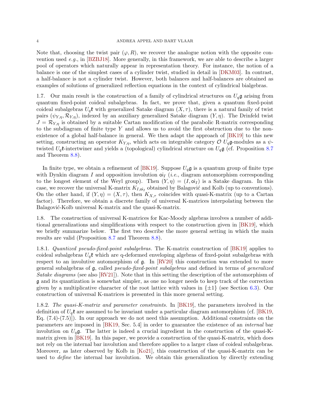Note that, choosing the twist pair  $(\varphi, R)$ , we recover the analogue notion with the opposite convention used e.g., in  $[BZBJ18]$ . More generally, in this framework, we are able to describe a larger pool of operators which naturally appear in representation theory. For instance, the notion of a balance is one of the simplest cases of a cylinder twist, studied in detail in [\[DKM03\]](#page-56-13). In contrast, a half-balance is not a cylinder twist. However, both balances and half-balances are obtained as examples of solutions of generalized reflection equations in the context of cylindrical bialgebras.

1.7. Our main result is the construction of a family of cylindrical structures on  $U_q\mathfrak{g}$  arising from quantum fixed-point coideal subalgebras. In fact, we prove that, given a quantum fixed-point coideal subalgebras  $U_q$ t with generalized Satake diagram  $(X, \tau)$ , there is a natural family of twist pairs  $(\psi_{Y,\eta}, \mathcal{R}_{Y,\eta})$ , indexed by an auxiliary generalized Satake diagram  $(Y, \eta)$ . The Drinfeld twist  $J = \mathcal{R}_{Y,\eta}$  is obtained by a suitable Cartan modification of the parabolic R-matrix corresponding to the subdiagram of finite type Y and allows us to avoid the first obstruction due to the nonexistence of a global half-balance in general. We then adapt the approach of [\[BK19\]](#page-55-1) to this new setting, constructing an operator  $K_{Y,n}$ , which acts on integrable category  $\mathcal{O} U_q$ g-modules as a  $\psi$ twisted  $U_q$ **t**-intertwiner and yields a (topological) cylindrical structure on  $U_q$ **g** (cf. Proposition [8.7](#page-48-0)) and Theorem [8.8\)](#page-49-0).

In finite type, we obtain a refinement of [\[BK19\]](#page-55-1). Suppose  $U_q\mathfrak{g}$  is a quantum group of finite type with Dynkin diagram I and opposition involution  $o_i$  (*i.e.*, diagram automorphism corresponding to the longest element of the Weyl group). Then  $(Y, \eta) = (I, \text{o}I)$  is a Satake diagram. In this case, we recover the universal K-matrix  $K_{I,oj_I}$  obtained by Balagović and Kolb (up to conventions). On the other hand, if  $(Y, \eta) = (X, \tau)$ , then  $K_{X,\tau}$  coincides with quasi-K-matrix (up to a Cartan factor). Therefore, we obtain a discrete family of universal K-matrices interpolating between the Balagović-Kolb universal K-matrix and the quasi-K-matrix.

1.8. The construction of universal K-matrices for Kac-Moody algebras involves a number of additional generalizations and simplifications with respect to the construction given in [\[BK19\]](#page-55-1), which we briefly summarize below. The first two describe the more general setting in which the main results are valid (Proposition [8.7](#page-48-0) and Theorem [8.8\)](#page-49-0).

1.8.1. Quantized pseudo-fixed-point subalgebras. The K-matrix construction of [\[BK19\]](#page-55-1) applies to coideal subalgebras  $U_q$ t which are q-deformed enveloping algebras of fixed-point subalgebras with respect to an involutive automorphism of g. In [\[RV20\]](#page-57-15) this construction was extended to more general subalgebras of g, called pseudo-fixed-point subalgebras and defined in terms of generalized Satake diagrams (see also [\[RV21\]](#page-57-16)). Note that in this setting the description of the automorphism of g and its quantization is somewhat simpler, as one no longer needs to keep track of the correction given by a multiplicative character of the root lattice with values in  $\{\pm 1\}$  (see Section [6.3\)](#page-28-0). Our construction of universal K-matrices is presented in this more general setting.

1.8.2. The quasi-K-matrix and parameter constraints. In [\[BK19\]](#page-55-1), the parameters involved in the definition of  $U_q$ **t** are assumed to be invariant under a particular diagram automorphism (cf. [\[BK19,](#page-55-1) Eq.  $(7.4)-(7.5)$ ]. In our approach we do not need this assumption. Additional constraints on the parameters are imposed in [\[BK19,](#page-55-1) Sec. 5.4] in order to guarantee the existence of an internal bar involution on  $U_q$ g. The latter is indeed a crucial ingredient in the construction of the quasi-Kmatrix given in [\[BK19\]](#page-55-1). In this paper, we provide a construction of the quasi-K-matrix, which does not rely on the internal bar involution and therefore applies to a larger class of coideal subalgebras. Moreover, as later observed by Kolb in [\[Ko21\]](#page-56-14), this construction of the quasi-K-matrix can be used to *define* the internal bar involution. We obtain this generalization by directly extending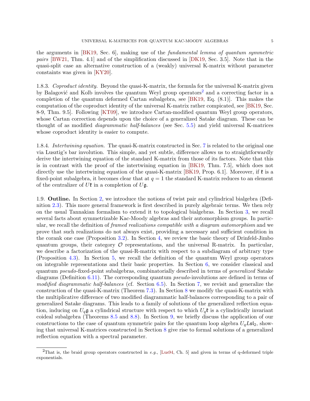the arguments in [\[BK19,](#page-55-1) Sec. 6], making use of the fundamental lemma of quantum symmetric pairs [\[BW21,](#page-55-9) Thm. 4.1] and of the simplification discussed in [\[DK19,](#page-56-15) Sec. 3.5]. Note that in the quasi-split case an alternative construction of a (weakly) universal K-matrix without parameter constaints was given in [\[KY20\]](#page-57-17).

1.8.3. Coproduct identity. Beyond the quasi-K-matrix, the formula for the universal K-matrix given by Balagović and Kolb involves the quantum Weyl group operators<sup>[2](#page-6-0)</sup> and a correcting factor in a completion of the quantum deformed Cartan subalgebra, see [\[BK19,](#page-55-1) Eq. (8.1)]. This makes the computation of the coproduct identity of the universal K-matrix rather compicated, see [\[BK19,](#page-55-1) Sec. 8-9, Thm. 9.5]. Following [\[KT09\]](#page-57-11), we introduce Cartan-modified quantum Weyl group operators, whose Cartan correction depends upon the choice of a generalized Satake diagram. These can be thought of as modified diagrammatic half-balances (see Sec. [5.5\)](#page-27-2) and yield universal K-matrices whose coproduct identity is easier to compute.

1.8.4. Intertwining equation. The quasi-K-matrix constructed in Sec. [7](#page-33-0) is related to the original one via Lusztig's bar involution. This simple, and yet subtle, difference allows us to straightforwardly derive the intertwining equation of the standard K-matrix from those of its factors. Note that this is in contrast with the proof of the intertwining equation in [\[BK19,](#page-55-1) Thm. 7.5], which does not directly use the intertwining equation of the quasi-K-matrix [\[BK19,](#page-55-1) Prop. 6.1]. Moreover, if  $\ell$  is a fixed-point subalgebra, it becomes clear that at  $q = 1$  the standard K-matrix reduces to an element of the centralizer of  $U\mathfrak{k}$  in a completion of  $U\mathfrak{g}$ .

1.9. Outline. In Section [2,](#page-7-0) we introduce the notions of twist pair and cylindrical bialgebra (Definition [2.3\)](#page-9-0). This more general framework is first described in purely algebraic terms. We then rely on the usual Tannakian formalism to extend it to topological bialgebras. In Section [3,](#page-12-0) we recall several facts about symmetrizable Kac-Moody algebras and their automorphism groups. In particular, we recall the definition of *framed realizations compatible with a diagram automorphism* and we prove that such realizations do not always exist, providing a necessary and sufficient condition in the corank one case (Proposition [3.2\)](#page-18-0). In Section [4,](#page-19-0) we review the basic theory of Drinfeld-Jimbo quantum groups, their category  $\mathcal O$  representations, and the universal R-matrix. In particular, we describe a factorization of the quasi-R-matrix with respect to a subdiagram of arbitrary type (Proposition [4.3\)](#page-24-1). In Section [5,](#page-24-0) we recall the definition of the quantum Weyl group operators on integrable representations and their basic properties. In Section [6,](#page-27-0) we consider classical and quantum pseudo-fixed-point subalgebras, combinatorially described in terms of generalized Satake diagrams (Definition [6.11\)](#page-32-0). The corresponding quantum *pseudo*-involutions are defined in terms of modified diagrammatic half-balances (cf. Section [6.5\)](#page-30-0). In Section [7,](#page-33-0) we revisit and generalize the construction of the quasi-K-matrix (Theorem [7.3\)](#page-36-0). In Section [8](#page-46-0) we modify the quasi-K-matrix with the multiplicative difference of two modified diagrammatic half-balances corresponding to a pair of generalized Satake diagrams. This leads to a family of solutions of the generalized reflection equation, inducing on  $U_q$ **g** a cylindrical structure with respect to which  $U_q$ **t** is a cylindrically invariant coideal subalgebra (Theorems [8.5](#page-47-0) and [8.8\)](#page-49-0). In Section [9,](#page-51-0) we briefly discuss the application of our constructions to the case of quantum symmetric pairs for the quantum loop algebra  $U_qL\mathfrak{sl}_2$ , showing that universal K-matrices constructed in Section [8](#page-46-0) give rise to formal solutions of a generalized reflection equation with a spectral parameter.

<span id="page-6-0"></span><sup>&</sup>lt;sup>2</sup>That is, the braid group operators constructed in e.g., [\[Lus94,](#page-57-3) Ch. 5] and given in terms of q-deformed triple exponentials.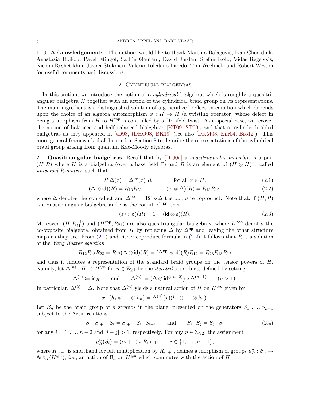1.10. **Acknowledgements.** The authors would like to thank Martina Balagović, Ivan Cherednik, Anastasia Doikou, Pavel Etingof, Sachin Gautam, David Jordan, Stefan Kolb, Vidas Regelskis, Nicolai Reshetikhin, Jasper Stokman, Valerio Toledano Laredo, Tim Weelinck, and Robert Weston for useful comments and discussions.

#### 2. Cylindrical bialgebras

<span id="page-7-0"></span>In this section, we introduce the notion of a *cylindrical* bialgebra, which is roughly a quasitriangular bialgebra H together with an action of the cylindrical braid group on its representations. The main ingredient is a distinguished solution of a generalized reflection equation which depends upon the choice of an algebra automorphism  $\psi : H \to H$  (a twisting operator) whose defect in being a morphism from H to  $H^{\text{cop}}$  is controlled by a Drinfeld twist. As a special case, we recover the notion of balanced and half-balanced bialgebras [\[KT09,](#page-57-11) [ST09\]](#page-57-12), and that of cylinder-braided bialgebras as they appeared in [\[tD98,](#page-56-11) [tDHO98,](#page-56-12) [BK19\]](#page-55-1) (see also [\[DKM03,](#page-56-13) [Enr04,](#page-56-16) [Bro12\]](#page-55-10)). This more general framework shall be used in Section [8](#page-46-0) to describe the representations of the cylindrical braid group arising from quantum Kac-Moody algebras.

<span id="page-7-4"></span>2.1. Quasitriangular bialgebras. Recall that by  $[Dr90a]$  a quasitriangular bialgebra is a pair  $(H, R)$  where H is a bialgebra (over a base field F) and R is an element of  $(H \otimes H)^{\times}$ , called universal R-matrix, such that

$$
R \Delta(x) = \Delta^{\text{op}}(x) R \qquad \text{for all } x \in H,
$$
\n(2.1)

$$
(\Delta \otimes \mathrm{id})(R) = R_{13}R_{23}, \qquad (\mathrm{id} \otimes \Delta)(R) = R_{13}R_{12}. \tag{2.2}
$$

where  $\Delta$  denotes the coproduct and  $\Delta^{op} = (12) \circ \Delta$  the opposite coproduct. Note that, if  $(H, R)$ is a quasitriangular bialgebra and  $\epsilon$  is the counit of H, then

<span id="page-7-5"></span><span id="page-7-2"></span><span id="page-7-1"></span>
$$
(\varepsilon \otimes \mathsf{id})(R) = 1 = (\mathsf{id} \otimes \varepsilon)(R). \tag{2.3}
$$

Moreover,  $(H, R_{21}^{-1})$  and  $(H^{cop}, R_{21})$  are also quasitriangular bialgebras, where  $H^{cop}$  denotes the co-opposite bialgebra, obtained from H by replacing  $\Delta$  by  $\Delta^{op}$  and leaving the other structure maps as they are. From  $(2.1)$  and either coproduct formula in  $(2.2)$  it follows that R is a solution of the Yang-Baxter equation

$$
R_{12}R_{13}R_{23} = R_{12}(\Delta \otimes \text{id})(R) = (\Delta^{\text{op}} \otimes \text{id})(R)R_{12} = R_{23}R_{13}R_{12}
$$

and thus it induces a representation of the standard braid groups on the tensor powers of H. Namely, let  $\Delta^{(n)}: H \to \overline{H}^{\otimes n}$  for  $n \in \mathbb{Z}_{\geq 1}$  be the *iterated* coproducts defined by setting

$$
\Delta^{(1)} \coloneqq \mathsf{id}_H \qquad \text{and} \qquad \Delta^{(n)} \coloneqq (\Delta \otimes \mathsf{id}^{\otimes (n-2)}) \circ \Delta^{(n-1)} \qquad (n > 1).
$$

In particular,  $\Delta^{(2)} = \Delta$ . Note that  $\Delta^{(n)}$  yields a natural action of H on  $H^{\otimes n}$  given by

<span id="page-7-3"></span>
$$
x\cdot (h_1\otimes \cdots \otimes h_n)=\Delta^{(n)}(x)(h_1\otimes \cdots \otimes h_n).
$$

Let  $\mathcal{B}_n$  be the braid group of n strands in the plane, presented on the generators  $S_1, \ldots, S_{n-1}$ subject to the Artin relations

$$
S_i \cdot S_{i+1} \cdot S_i = S_{i+1} \cdot S_i \cdot S_{i+1} \quad \text{and} \quad S_i \cdot S_j = S_j \cdot S_i \tag{2.4}
$$

for any  $i = 1, ..., n - 2$  and  $|i - j| > 1$ , respectively. For any  $n \in \mathbb{Z}_{\geqslant 2}$ , the assignment

$$
\mu_R^n(S_i) = (i i + 1) \circ R_{i,i+1}, \qquad i \in \{1, \ldots, n-1\},\
$$

where  $R_{i,i+1}$  is shorthand for left multiplication by  $R_{i,i+1}$ , defines a morphism of groups  $\mu_R^n : \mathcal{B}_n \to$ Aut<sub>H</sub>( $H^{\otimes n}$ ), *i.e.*, an action of  $\mathcal{B}_n$  on  $H^{\otimes n}$  which commutes with the action of H.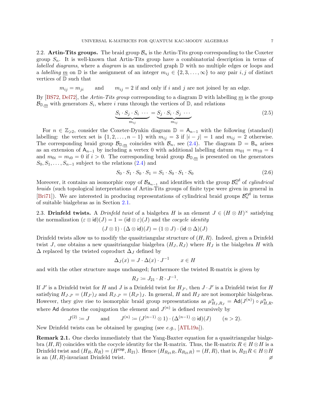<span id="page-8-1"></span>2.2. Artin-Tits groups. The braid group  $\mathcal{B}_n$  is the Artin-Tits group corresponding to the Coxeter group  $S_n$ . It is well-known that Artin-Tits group have a combinatorial description in terms of labelled diagrams, where a diagram is an undirected graph  $\mathbb D$  with no multiple edges or loops and a labelling m on D is the assignment of an integer  $m_{ij} \in \{2, 3, \ldots, \infty\}$  to any pair i, j of distinct vertices of D such that

 $m_{ij} = m_{ji}$  and  $m_{ij} = 2$  if and only if i and j are not joined by an edge.

By [\[BS72,](#page-55-11) [Del72\]](#page-56-18), the Artin-Tits group corresponding to a diagram  $\mathbb D$  with labelling  $m$  is the group  $\mathcal{B}_{\mathbb{D},m}$  with generators  $S_i$ , where i runs through the vertices of  $\mathbb{D}$ , and relations

<span id="page-8-2"></span>
$$
\underbrace{S_i \cdot S_j \cdot S_i \cdot \cdots}_{m_{ij}} = \underbrace{S_j \cdot S_i \cdot S_j \cdot \cdots}_{m_{ij}} \tag{2.5}
$$

For  $n \in \mathbb{Z}_{\geqslant 2}$ , consider the Coxeter-Dynkin diagram  $\mathbb{D} = A_{n-1}$  with the following (standard) labelling: the vertex set is  $\{1, 2, \ldots, n-1\}$  with  $m_{ij} = 3$  if  $|i-j| = 1$  and  $m_{ij} = 2$  otherwise. The corresponding braid group  $\mathcal{B}_{\mathbb{D},m}$  coincides with  $\mathcal{B}_n$ , see [\(2.4\)](#page-7-3). The diagram  $\mathbb{D} = \mathsf{B}_n$  arises as an extension of  $A_{n-1}$  by including a vertex 0 with additional labelling datum  $m_{01} = m_{10} = 4$ and  $m_{0i} = m_{i0} = 0$  if  $i > 0$ . The corresponding braid group  $\mathcal{B}_{\mathbb{D},m}$  is presented on the generators  $S_0, S_1, \ldots, S_{n-1}$  subject to the relations  $(2.4)$  and

<span id="page-8-0"></span>
$$
S_0 \cdot S_1 \cdot S_0 \cdot S_1 = S_1 \cdot S_0 \cdot S_1 \cdot S_0 \tag{2.6}
$$

Moreover, it contains an isomorphic copy of  $\mathcal{B}_{A_{n-1}}$  and identifies with the group  $\mathcal{B}_n^{\text{cyl}}$  of *cylindrical* braids (such topological interpretations of Artin-Tits groups of finite type were given in general in [\[Bri71\]](#page-55-12)). We are interested in producing representations of cylindrical braid groups  $\mathcal{B}_n^{\text{cyl}}$  in terms of suitable bialgebras as in Section [2.1.](#page-7-4)

2.3. Drinfeld twists. A *Drinfeld twist* of a bialgebra H is an element  $J \in (H \otimes H)^{\times}$  satisfying the normalization  $(\varepsilon \otimes id)(J) = 1 = (id \otimes \varepsilon)(J)$  and the *cocycle identity* 

$$
(J \otimes 1) \cdot (\Delta \otimes \mathrm{id})(J) = (1 \otimes J) \cdot (\mathrm{id} \otimes \Delta)(J)
$$

Drinfeld twists allow us to modify the quasitriangular structure of  $(H, R)$ . Indeed, given a Drinfeld twist J, one obtains a new quasitriangular bialgebra  $(H_J, R_J)$  where  $H_J$  is the bialgebra H with  $\Delta$  replaced by the twisted coproduct  $\Delta_J$  defined by

$$
\Delta_J(x) = J \cdot \Delta(x) \cdot J^{-1} \qquad x \in H
$$

and with the other structure maps unchanged; furthermore the twisted R-matrix is given by

$$
R_J \coloneqq J_{21} \cdot R \cdot J^{-1}.
$$

If  $J'$  is a Drinfeld twist for H and J is a Drinfeld twist for  $H_{J'}$ , then  $J \cdot J'$  is a Drinfeld twist for H satisfying  $H_{J \cdot J'} = (H_{J'})_J$  and  $R_{J \cdot J'} = (R_{J'})_J$ . In general, H and  $H_J$  are not isomorphic bialgebras. However, they give rise to isomorphic braid group representations as  $\mu_{H_J,R_J}^n = \text{Ad}(J^{(n)}) \circ \mu_{H,R}^n$ where Ad denotes the conjugation the element and  $J^{(n)}$  is defined recursively by

$$
J^{(2)} := J
$$
 and  $J^{(n)} := (J^{(n-1)} \otimes 1) \cdot (\Delta^{(n-1)} \otimes \text{id})(J)$   $(n > 2).$ 

New Drinfeld twists can be obtained by gauging (see e.g., [\[ATL19a\]](#page-55-13)).

Remark 2.1. One checks immediately that the Yang-Baxter equation for a quasitriangular bialgebra  $(H, R)$  coincides with the cocycle identity for the R-matrix. Thus, the R-matrix  $R \in H \otimes H$  is a Drinfeld twist and  $(H_R, R_R) = (H^{\text{cop}}, R_{21})$ . Hence  $(H_{R_{21}R}, R_{R_{21}R}) = (H, R)$ , that is,  $R_{21}R \in H \otimes H$ is an  $(H, R)$ -invariant Drinfeld twist.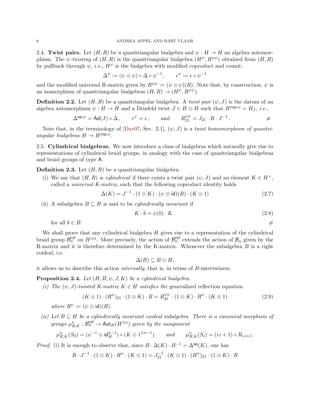2.4. Twist pairs. Let  $(H, R)$  be a quasitriangular bialgebra and  $\psi : H \to H$  an algebra automorphism. The  $\psi$ -twisting of  $(H, R)$  is the quasitriangular bialgebra  $(H^{\psi}, R^{\psi\psi})$  obtained from  $(H, R)$ by pullback through  $\psi$ , *i.e.*,  $H^{\psi}$  is the bialgebra with modified coproduct and counit:

$$
\Delta^{\psi} \coloneqq (\psi \otimes \psi) \circ \Delta \circ \psi^{-1}, \qquad \epsilon^{\psi} \coloneqq \epsilon \circ \psi^{-1}
$$

and the modified universal R-matrix given by  $R^{\psi\psi} := (\psi \otimes \psi)(R)$ . Note that, by construction,  $\psi$  is an isomorphism of quasitriangular bialgebras  $(H, R) \to (H^{\psi}, R^{\psi\psi}).$ 

<span id="page-9-5"></span>**Definition 2.2.** Let  $(H, R)$  be a quasitriangular bialgebra. A twist pair  $(\psi, J)$  is the datum of an algebra automorphism  $\psi : H \to H$  and a Drinfeld twist  $J \in H \otimes H$  such that  $H^{\text{cop}, \psi} = H_J$ , *i.e.*,

$$
\Delta^{\mathsf{op}, \psi} = \mathsf{Ad}(J) \circ \Delta, \qquad \epsilon^{\psi} = \epsilon, \qquad \text{and} \qquad R^{\psi\psi}_{21} = J_{21} \cdot R \cdot J^{-1}.
$$

Note that, in the terminology of  $[Day07, Sec. 2.1], (\psi, J)$  is a twist homomorphism of quasitriangular bialgebras  $H \to H^{\text{cop}, \psi}$ .

2.5. Cylindrical bialgebras. We now introduce a class of bialgebras which naturally give rise to representations of cylindrical braid groups, in analogy with the case of quasitriangular bialgebras and braid groups of type A.

<span id="page-9-0"></span>**Definition 2.3.** Let  $(H, R)$  be a quasitriangular bialgebra.

(i) We say that  $(H, R)$  is *cylindrical* if there exists a twist pair  $(\psi, J)$  and an element  $K \in H^{\times}$ , called a universal K-matrix, such that the following coproduct identity holds

 $\Delta(K) = J^{-1} \cdot (1 \otimes K) \cdot (\psi \otimes \text{id})(R) \cdot (K \otimes 1)$  (2.7)

(ii) A subalgebra  $B \subseteq H$  is said to be *cylindrically invariant* if

<span id="page-9-4"></span><span id="page-9-3"></span>
$$
K \cdot b = \psi(b) \cdot K \tag{2.8}
$$

for all  $b \in B$ .

We shall prove that any cylindrical bialgebra  $H$  gives rise to a representation of the cylindrical braid group  $\mathcal{B}_n^{\text{cyl}}$  on  $H^{\otimes n}$ . More precisely, the action of  $\mathcal{B}_n^{\text{cyl}}$  extends the action of  $\mathcal{B}_n$  given by the R-matrix and it is therefore determined by the K-matrix. Whenever the subalgebra  $B$  is a right coideal, i.e.

<span id="page-9-2"></span>
$$
\Delta(B)\subseteq B\otimes H,
$$

it allows us to describe this action internally, that is, in terms of B-intertwiners.

<span id="page-9-1"></span>**Proposition 2.4.** Let  $(H, R, \psi, J, K)$  be a cylindrical bialgebra.

(i) The  $(\psi, J)$ -twisted K-matrix  $K \in H$  satisfies the generalized reflection equation

$$
(K \otimes 1) \cdot (R^{\psi})_{21} \cdot (1 \otimes K) \cdot R = R_{21}^{\psi\psi} \cdot (1 \otimes K) \cdot R^{\psi} \cdot (K \otimes 1)
$$
\n
$$
(2.9)
$$

where 
$$
R^{\psi} := (\psi \otimes \text{id})(R)
$$
.

(ii) Let  $B \subseteq H$  be a cylindrically invariant coideal subalgebra. There is a canonical morphism of groups  $\mu_{R,K}^n : \mathcal{B}_n^{\text{cyl}} \to \text{Aut}_B(H^{\otimes n})$  given by the assignment

$$
\mu_{R,K}^n(S_0)=(\psi^{-1}\otimes \mathrm{id}_H^{n-1})\circ (K\otimes 1^{\otimes n-1})\qquad \text{and} \qquad \mu_{R,K}^n(S_i)=(ii+1)\circ R_{i,i+1}.
$$

*Proof.* (i) It is enough to observe that, since  $R \cdot \Delta(K) \cdot R^{-1} = \Delta^{\mathsf{op}}(K)$ , one has

$$
R \cdot J^{-1} \cdot (1 \otimes K) \cdot R^{\psi} \cdot (K \otimes 1) = J_{21}^{-1} \cdot (K \otimes 1) \cdot (R^{\psi})_{21} \cdot (1 \otimes K) \cdot R
$$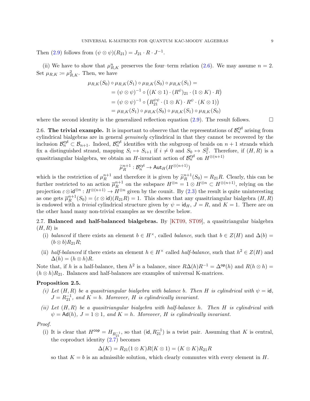Then [\(2.9\)](#page-9-2) follows from  $(\psi \otimes \psi)(R_{21}) = J_{21} \cdot R \cdot J^{-1}$ .

(ii) We have to show that  $\mu_{R,K}^n$  preserves the four-term relation [\(2.6\)](#page-8-0). We may assume  $n = 2$ . Set  $\mu_{R,K} \coloneqq \mu_{R,K}^2$ . Then, we have

$$
\mu_{R,K}(S_0) \circ \mu_{R,K}(S_1) \circ \mu_{R,K}(S_0) \circ \mu_{R,K}(S_1) =
$$
  
=  $(\psi \otimes \psi)^{-1} \circ ((K \otimes 1) \cdot (R^{\psi})_{21} \cdot (1 \otimes K) \cdot R)$   
=  $(\psi \otimes \psi)^{-1} \circ (R_{21}^{\psi\psi} \cdot (1 \otimes K) \cdot R^{\psi} \cdot (K \otimes 1))$   
=  $\mu_{R,K}(S_1) \circ \mu_{R,K}(S_0) \circ \mu_{R,K}(S_1) \circ \mu_{R,K}(S_0)$ 

where the second identity is the generalized reflection equation  $(2.9)$ . The result follows.  $\Box$ 

2.6. The trivial example. It is important to observe that the representations of  $\mathcal{B}_n^{\text{cyl}}$  arising from cylindrical bialgebras are in general genuinely cylindrical in that they cannot be recovered by the inclusion  $\mathcal{B}_n^{\text{cyl}} \subset \mathcal{B}_{n+1}$ . Indeed,  $\mathcal{B}_n^{\text{cyl}}$  identifies with the subgroup of braids on  $n+1$  strands which fix a distinguished strand, mapping  $S_i \mapsto S_{i+1}$  if  $i \neq 0$  and  $S_0 \mapsto S_1^2$ . Therefore, if  $(H, R)$  is a quasitriangular bialgebra, we obtain an H-invariant action of  $\mathcal{B}_n^{\text{cyl}}$  on  $H^{\otimes (n+1)}$ 

$$
\widetilde{\mu}_R^{n+1} : \mathcal{B}_n^{\text{cyl}} \to \text{Aut}_H(H^{\otimes (n+1)})
$$

which is the restriction of  $\mu_R^{n+1}$  $\tilde{R}^{n+1}$  and therefore it is given by  $\tilde{\mu}_R^{n+1}$ <br>ion  $\overline{\mu}_R^{n+1}$  on the submass  $H^{\otimes n}$  $R^{n+1}(S_0) = R_{21}R$ . Clearly, this can be further restricted to an action  $\overline{\mu}_R^{n+1}$  $R^{n+1}$  on the subspace  $H^{\otimes n} = 1 \otimes H^{\otimes n} \subset H^{\otimes (n+1)}$ , relying on the projection  $\varepsilon \otimes \mathsf{id}^{\otimes n} : H^{\otimes (n+1)} \to H^{\otimes n}$  given by the counit. By  $(2.3)$  the result is quite uninteresting as one gets  $\overline{\mu}_R^{n+1}$  $R^{n+1}(S_0) = (\varepsilon \otimes id)(R_{21}R) = 1$ . This shows that any quasitriangular bialgebra  $(H, R)$ is endowed with a *trivial* cylindrical structure given by  $\psi = id_H$ ,  $J = R$ , and  $K = 1$ . There are on the other hand many non-trivial examples as we describe below.

<span id="page-10-0"></span>2.7. Balanced and half-balanced bialgebras. By [\[KT09,](#page-57-11) [ST09\]](#page-57-12), a quasitriangular bialgebra  $(H, R)$  is

- (i) balanced if there exists an element  $b \in H^{\times}$ , called balance, such that  $b \in Z(H)$  and  $\Delta(b) =$  $(b \otimes b)R_{21}R;$
- (ii) half-balanced if there exists an element  $h \in H^{\times}$  called half-balance, such that  $h^2 \in Z(H)$  and  $\Delta(h) = (h \otimes h)R.$

Note that, if h is a half-balance, then  $h^2$  is a balance, since  $R\Delta(h)R^{-1} = \Delta^{op}(h)$  and  $R(h \otimes h) =$  $(h \otimes h)R_{21}$ . Balances and half-balances are examples of universal K-matrices.

#### Proposition 2.5.

- (i) Let  $(H, R)$  be a quasitriangular bialgebra with balance b. Then H is cylindrical with  $\psi = id$ ,  $J = R_{21}^{-1}$ , and  $K = b$ . Moreover, H is cylindrically invariant.
- (ii) Let  $(H, R)$  be a quasitriangular bialgebra with half-balance h. Then H is cylindrical with  $\psi = \mathsf{Ad}(h)$ ,  $J = 1 \otimes 1$ , and  $K = h$ . Moreover, H is cylindrically invariant.

#### Proof.

(i) It is clear that  $H^{\text{cop}} = H_{R_{21}^{-1}}$ , so that  $(\text{id}, R_{21}^{-1})$  is a twist pair. Assuming that K is central, the coproduct identity  $(2.7)$  becomes

$$
\Delta(K) = R_{21}(1 \otimes K)R(K \otimes 1) = (K \otimes K)R_{21}R
$$

so that  $K = b$  is an admissible solution, which clearly commutes with every element in H.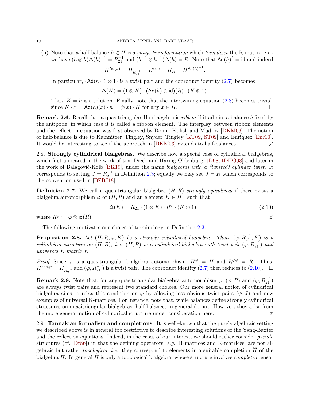(ii) Note that a half-balance  $h \in H$  is a *gauge transformation* which *trivializes* the R-matrix, *i.e.*, we have  $(h \otimes h)\Delta(h)^{-1} = R_{21}^{-1}$  and  $(h^{-1} \otimes h^{-1})\Delta(h) = R$ . Note that  $\mathsf{Ad}(h)^2 = \mathsf{id}$  and indeed

$$
H^{\mathsf{Ad}(h)} = H_{R_{21}^{-1}} = H^{\mathsf{cop}} = H_R = H^{\mathsf{Ad}(h)^{-1}}.
$$

In particular,  $(\mathsf{Ad}(h), 1 \otimes 1)$  is a twist pair and the coproduct identity [\(2.7\)](#page-9-3) becomes

$$
\Delta(K) = (1 \otimes K) \cdot (\text{Ad}(h) \otimes \text{id})(R) \cdot (K \otimes 1).
$$

Thus,  $K = h$  is a solution. Finally, note that the intertwining equation [\(2.8\)](#page-9-4) becomes trivial, since  $K \cdot x = \mathsf{Ad}(h)(x) \cdot h = \psi(x) \cdot K$  for any  $x \in H$ .

Remark 2.6. Recall that a quasitriangular Hopf algebra is ribbon if it admits a balance b fixed by the antipode, in which case it is called a ribbon element. The interplay between ribbon elements and the reflection equation was first observed by Donin, Kulish and Mudrov [\[DKM03\]](#page-56-13). The notion of half-balance is due to Kamnitzer–Tingley, Snyder–Tingley [\[KT09,](#page-57-11) [ST09\]](#page-57-12) and Enriquez [\[Enr10\]](#page-56-19). It would be interesting to see if the approach in [\[DKM03\]](#page-56-13) extends to half-balances.

2.8. Strongly cylindrical bialgebras. We describe now a special case of cylindrical bialgebras, which first appeared in the work of tom Dieck and Häring-Oldenburg  $[tD98, tDHO98]$  $[tD98, tDHO98]$  and later in the work of Balagović-Kolb [\[BK19\]](#page-55-1), under the name bialgebras with a (twisted) cylinder twist. It corresponds to setting  $J = R_{21}^{-1}$  in Definition [2.3;](#page-9-0) equally we may set  $J = R$  which corresponds to the convention used in [\[BZBJ18\]](#page-55-8).

**Definition 2.7.** We call a quasitriangular bialgebra  $(H, R)$  strongly cylindrical if there exists a bialgebra automorphism  $\varphi$  of  $(H, R)$  and an element  $K \in H^{\times}$  such that

<span id="page-11-0"></span>
$$
\Delta(K) = R_{21} \cdot (1 \otimes K) \cdot R^{\varphi} \cdot (K \otimes 1), \tag{2.10}
$$

where  $R^{\varphi} := \varphi \otimes \text{id}(R)$ .

The following motivates our choice of terminology in Definition [2.3.](#page-9-0)

**Proposition 2.8.** Let  $(H, R, \varphi, K)$  be a strongly cylindrical bialgebra. Then,  $(\varphi, R_{21}^{-1}, K)$  is a cylindrical structure on  $(H, R)$ , i.e.  $(H, R)$  is a cylindrical bialgebra with twist pair  $(\varphi, R_{21}^{-1})$  and universal K-matrix K.

Proof. Since  $\varphi$  is a quasitriangular bialgebra automorphism,  $H^{\varphi} = H$  and  $R^{\varphi\varphi} = R$ . Thus,  $H^{\text{cop},\varphi} = H_{R_{21}^{-1}}$  and  $(\varphi, R_{21}^{-1})$  is a twist pair. The coproduct identity  $(2.7)$  then reduces to  $(2.10)$ .  $\Box$ 

**Remark 2.9.** Note that, for any quasitriangular bialgebra automorphism  $\varphi$ ,  $(\varphi, R)$  and  $(\varphi, R_{21}^{-1})$ are always twist pairs and represent two standard choices. Our more general notion of cylindrical bialgebra aims to relax this condition on  $\varphi$  by allowing less obvious twist pairs  $(\psi, J)$  and new examples of universal K-matrices. For instance, note that, while balances define strongly cylindrical structures on quasitriangular bialgebras, half-balances in general do not. However, they arise from the more general notion of cylindrical structure under consideration here.

<span id="page-11-1"></span>2.9. Tannakian formalism and completions. It is well–known that the purely algebraic setting we described above is in general too restrictive to describe interesting solutions of the Yang-Baxter and the reflection equations. Indeed, in the cases of our interest, we should rather consider *pseudo* structures (cf.  $[Dr86]$ ) in that the defining operators, e.g., R-matrices and K-matrices, are not algebraic but rather *topological*, *i.e.*, they correspond to elements in a suitable completion  $\hat{H}$  of the bialgebra  $H$ . In general  $H$  is only a topological bialgebra, whose structure involves *completed* tensor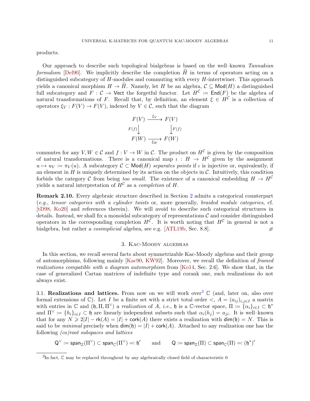products.

Our approach to describe such topological bialgebras is based on the well–known Tannakian formalism [\[Del90\]](#page-56-20). We implicitly describe the completion  $H$  in terms of operators acting on a distinguished subcategory of H-modules and commuting with every H-intertwiner. This approach yields a canonical morphism  $H \to \tilde{H}$ . Namely, let H be an algebra,  $\mathcal{C} \subseteq \mathsf{Mod}(H)$  a distinguished full subcategory and  $F: \mathcal{C} \to \mathsf{Vect}$  the forgetful functor. Let  $H^{\mathcal{C}} := \mathsf{End}(F)$  be the algebra of natural transformations of F. Recall that, by definition, an element  $\xi \in H^{\mathcal{C}}$  is a collection of operators  $\xi_V : F(V) \to F(V)$ , indexed by  $V \in \mathcal{C}$ , such that the diagram

$$
F(V) \xrightarrow{\xi_V} F(V)
$$
  

$$
F(f) \downarrow \qquad \qquad F(f)
$$
  

$$
F(W) \xrightarrow[\xi_W]{} F(W)
$$

commutes for any  $V, W \in \mathcal{C}$  and  $f: V \to W$  in  $\mathcal{C}$ . The product on  $H^{\mathcal{C}}$  is given by the composition of natural transformations. There is a canonical map  $\iota : H \to H^{\mathcal{C}}$  given by the assignment  $u \mapsto u_V := \pi_V(u)$ . A subcategory  $C \subset \text{Mod}(H)$  separates points if  $\iota$  is injective or, equivalently, if an element in  $H$  is uniquely determined by its action on the objects in  $\mathcal{C}$ . Intuitively, this condition forbids the category C from being too small. The existence of a canonical embedding  $H \to H^C$ yields a natural interpretation of  $H^{\mathcal{C}}$  as a *completion* of H.

Remark 2.10. Every algebraic structure described in Section [2](#page-7-0) admits a categorical counterpart (e.g., tensor categories with a cylinder twists or, more generally, braided module categories, cf. [\[tD98,](#page-56-11) [Ko20\]](#page-56-21) and references therein). We will avoid to describe such categorical structures in details. Instead, we shall fix a monoidal subcategory of representations  $\mathcal C$  and consider distinguished operators in the corresponding completion  $H^{\mathcal{C}}$ . It is worth noting that  $H^{\mathcal{C}}$  in general is not a bialgebra, but rather a *cosimplicial* algebra, see e.g. [\[ATL19b,](#page-55-14) Sec. 8.8].

#### 3. Kac-Moody algebras

<span id="page-12-0"></span>In this section, we recall several facts about symmetrizable Kac-Moody algebras and their group of automorphisms, following mainly [\[Kac90,](#page-56-22) [KW92\]](#page-57-14). Moreover, we recall the definition of framed realizations compatible with a diagram automorphism from [\[Ko14,](#page-56-7) Sec. 2.6]. We show that, in the case of generalized Cartan matrices of indefinite type and corank one, such realizations do not always exist.

<span id="page-12-2"></span>[3](#page-12-1).1. Realizations and lattices. From now on we will work over<sup>3</sup>  $\mathbb C$  (and, later on, also over formal extensions of  $\mathbb{C}$ ). Let I be a finite set with a strict total order  $\langle A = (a_{ij})_{i,j\in I}$  a matrix with entries in  $\mathbb C$  and  $( \mathfrak h, \Pi, \Pi^\vee )$  a realization of A, i.e.,  $\mathfrak h$  is a  $\mathbb C$ -vector space,  $\Pi := \{ \alpha_i \}_{i \in I} \subset \mathfrak h^*$ and  $\Pi^{\vee} := \{h_i\}_{i\in I} \subset \mathfrak{h}$  are linearly independent subsets such that  $\alpha_i(h_i) = a_{ii}$ . It is well–known that for any  $N \geq 2|I| - \mathsf{rk}(A) = |I| + \mathsf{cork}(A)$  there exists a realization with  $\dim(\mathfrak{h}) = N$ . This is said to be *minimal* precisely when  $dim(f) = |I| + \text{cork}(A)$ . Attached to any realization one has the following (co)root subspaces and lattices

 $\mathsf{Q}^\vee \coloneqq \mathsf{span}_\mathbb{Z}(\Pi^\vee) \subset \mathsf{span}_\mathbb{C}(\Pi^\vee) =: \mathfrak{h}'$ and  $Q \coloneqq \textsf{span}_{\mathbb{Z}}(\Pi) \subset \textsf{span}_{\mathbb{C}}(\Pi) \eqqcolon (\mathfrak{h}^*)'$ 

<span id="page-12-1"></span> ${}^{3}$ In fact,  $\mathbb C$  may be replaced throughout by any algebraically closed field of characteristic 0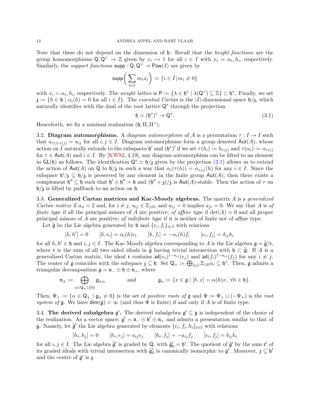Note that these do not depend on the dimension of  $\mathfrak{h}$ . Recall that the *height functions* are the group homomorphisms  $Q, Q^{\vee} \to \mathbb{Z}$  given by  $x_i \mapsto 1$  for all  $i \in I$  with  $x_i = \alpha_i, h_i$ , respectively. Similarly, the *support functions* supp :  $Q, Q^{\vee} \to Pow(I)$  are given by

$$
\mathrm{supp}\bigg(\sum_{i\in I}m_ix_i\bigg)\coloneqq\{i\in I\,|\,m_i\neq 0\}
$$

with  $x_i = \alpha_i, h_i$ , respectively. The *weight lattice* is  $P := {\lambda \in \mathfrak{h}^* \mid \lambda(Q^{\vee}) \subseteq \mathbb{Z}} \subset \mathfrak{h}^*$ . Finally, we set  $\mathfrak{z} := \{h \in \mathfrak{h} \mid \alpha_i(h) = 0 \text{ for all } i \in I\}.$  The essential Cartan is the |I|-dimensional space  $\mathfrak{h}/\mathfrak{z}$ , which naturally identifies with the dual of the root lattice Q<sup>∗</sup> through the projection

<span id="page-13-0"></span>
$$
\mathfrak{h} \simeq (\mathfrak{h}^*)^* \to \mathsf{Q}^*.\tag{3.1}
$$

Henceforth, we fix a minimal realization  $(\mathfrak{h}, \Pi, \Pi^{\vee})$ .

<span id="page-13-1"></span>3.2. Diagram automorphisms. A diagram automorphism of A is a permutation  $\tau : I \to I$  such that  $a_{\tau(i),\tau(i)} = a_{ij}$  for all  $i, j \in I$ . Diagram automorphisms form a group denoted  $\text{Aut}(A)$ , whose action on I naturally extends to the subspaces  $\mathfrak{h}'$  and  $(\mathfrak{h}^*)'$  if we set  $\tau(h_i) \coloneqq h_{\tau(i)}$  and  $\tau(\alpha_i) \coloneqq \alpha_{\tau(i)}$ for  $\tau \in \text{Aut}(A)$  and  $i \in I$ . By [\[KW92,](#page-57-14) 4.19], any diagram automorphism can be lifted to an element in GL(h) as follows. The identification  $Q^* \simeq \frac{\hbar}{3}$  given by the projection [\(3.1\)](#page-13-0) allows us to extend the action of  $\text{Aut}(A)$  on Q to  $\mathfrak{h}/\mathfrak{z}$  in such a way that  $\alpha_i(\tau(h)) = \alpha_{\tau(i)}(h)$  for any  $i \in I$ . Since the subspace  $\mathfrak{h}'/\mathfrak{z} \subseteq \mathfrak{h}/\mathfrak{z}$  is preserved by any element in the finite group  $\text{Aut}(A)$ , then there exists a complement  $\mathfrak{h}'' \subseteq \mathfrak{h}$  such that  $\mathfrak{h}' \oplus \mathfrak{h}'' = \mathfrak{h}$  and  $(\mathfrak{h}'' + \mathfrak{z})/\mathfrak{z}$  is Aut(A)-stable. Then the action of  $\tau$  on  $\frac{\hbar}{3}$  is lifted by pullback to an action on  $\hbar$ .

3.3. Generalized Cartan matrices and Kac-Moody algebras. The matrix  $A$  is a generalized *Cartan matrix* if  $a_{ii} = 2$  and, for  $i \neq j$ ,  $a_{ij} \in \mathbb{Z}_{\geqslant 0}$ , and  $a_{ij} = 0$  implies  $a_{ji} = 0$ . We say that A is of *finite type* if all the principal minors of A are positive; of affine type if  $det(A) = 0$  and all proper principal minors of A are positive; of indefinite type if it is neither of finite nor of affine type.

Let  $\widetilde{\mathfrak{g}}$  be the Lie algebra generated by  $\mathfrak{h}$  and  $\{e_i, f_i\}_{i \in I}$  with relations

$$
[h, h'] = 0
$$
  $[h, e_i] = \alpha_i(h)e_i$   $[h, f_i] = -\alpha_i(h)f_i$   $[e_i, f_j] = \delta_{ij}h_i$ 

for all  $h, h' \in \mathfrak{h}$  and  $i, j \in I$ . The Kac-Moody algebra corresponding to A is the Lie algebra  $\mathfrak{g} = \widetilde{\mathfrak{g}}/\mathfrak{r}$ , where **r** is the sum of all two–sided ideals in  $\tilde{\mathfrak{g}}$  having trivial intersection with  $\mathfrak{h} \subset \tilde{\mathfrak{g}}$ . If A is a generalized Cartan matrix, the ideal  $\mathfrak{r}$  contains  $\mathsf{ad}(e_i)^{1-a_{ij}}(e_j)$  and  $\mathsf{ad}(f_i)^{1-a_{ij}}(f_j)$  for any  $i \neq j$ . The center of g coincides with the subspace  $\mathfrak{z} \subseteq \mathfrak{h}$ . Set  $Q_+ := \bigoplus_{i \in I} \mathbb{Z}_{\geq 0} \alpha_i \subseteq \mathfrak{h}^*$ . Then, g admits a triangular decomposition  $\mathfrak{g} = \mathfrak{n}_- \oplus \mathfrak{h} \oplus \mathfrak{n}_+,$  where

$$
\mathfrak{n}_{\pm} \coloneqq \bigoplus_{\alpha \in \mathsf{Q}_+ \setminus \{0\}} \mathfrak{g}_{\pm \alpha} \qquad \text{and} \qquad \mathfrak{g}_{\alpha} \coloneqq \{x \in \mathfrak{g} \mid [h, x] = \alpha(h)x, \ \forall h \in \mathfrak{h}\}.
$$

Then,  $\Phi_+ := {\alpha \in \mathsf{Q}_+ \mid \mathfrak{g}_\alpha \neq 0}$  is the set of positive roots of  $\mathfrak g$  and  $\Phi := \Phi_+ \sqcup (-\Phi_+)$  is the root system of  $\mathfrak g$ . We have  $\dim(\mathfrak g) < \infty$  (and thus  $\Phi$  is finite) if and only if A is of finite type.

3.4. The derived subalgebra  $\mathfrak{g}'$ . The derived subalgebra  $\mathfrak{g}' \subseteq \mathfrak{g}$  is independent of the choice of the realization. As a vector space,  $\mathfrak{g}' = \mathfrak{n} - \oplus \mathfrak{h}' \oplus \mathfrak{n}$  and admits a presentation similar to that of **g**. Namely, let  $\tilde{\mathfrak{g}}'$  the Lie algebra generated by elements  $\{e_i, f_i, h_i\}_{i \in I}$  with relations

$$
[h_i, h_j] = 0
$$
  $[h_i, e_j] = a_{ij}e_j$   $[h_i, f_j] = -a_{ij}f_j$   $[e_i, f_j] = \delta_{ij}h_i$ 

for all  $i, j \in I$ . The Lie algebra  $\tilde{\mathfrak{g}}'$  is graded by Q, with  $\tilde{\mathfrak{g}}'_{0} = \mathfrak{h}'$ . The quotient of  $\tilde{\mathfrak{g}}'$  by the sum  $\mathfrak{r}'$  of the sum r' of its graded ideals with trivial intersection with  $\widetilde{\mathfrak{g}}'_0$  is canonically isomorphic to  $\mathfrak{g}'$ . Moreover,  $\mathfrak{z} \subseteq \mathfrak{h}'$ and the centre of  $\mathfrak{g}'$  is  $\mathfrak{z}$ .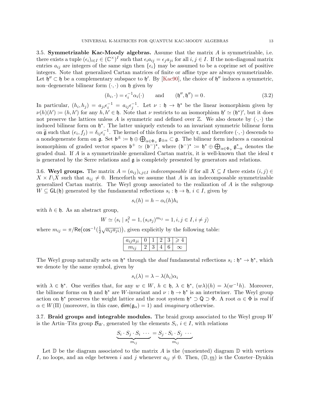<span id="page-14-1"></span>3.5. Symmetrizable Kac-Moody algebras. Assume that the matrix  $A$  is symmetrizable, i.e. there exists a tuple  $(\epsilon_i)_{i\in I} \in (\mathbb{C}^{\times})^I$  such that  $\epsilon_i a_{ij} = \epsilon_j a_{ji}$  for all  $i, j \in I$ . If the non-diagonal matrix entries  $a_{ij}$  are integers of the same sign then  $\{\epsilon_i\}$  may be assumed to be a coprime set of positive integers. Note that generalized Cartan matrices of finite or affine type are always symmetrizable. Let  $\mathfrak{h}'' \subset \mathfrak{h}$  be a complementary subspace to  $\mathfrak{h}'$ . By [\[Kac90\]](#page-56-22), the choice of  $\mathfrak{h}''$  induces a symmetric, non–degenerate bilinear form  $(\cdot, \cdot)$  on  $\mathfrak h$  given by

<span id="page-14-0"></span>
$$
(h_i, \cdot) = \epsilon_i^{-1} \alpha_i(\cdot) \qquad \text{and} \qquad (\mathfrak{h}'', \mathfrak{h}'') = 0. \tag{3.2}
$$

In particular,  $(h_i, h_j) = a_{ji} \epsilon_i^{-1} = a_{ij} \epsilon_j^{-1}$ . Let  $\nu : \mathfrak{h} \to \mathfrak{h}^*$  be the linear isomorphism given by  $\nu(h)(h') \coloneqq (h, h')$  for any  $h, h' \in \mathfrak{h}$ . Note that  $\nu$  restricts to an isomorphism  $\mathfrak{h}' \simeq (\mathfrak{h}^*)'$ , but it does not preserve the lattices unless A is symmetric and defined over  $\mathbb{Z}$ . We also denote by  $( \cdot, \cdot )$  the induced bilinear form on h ∗ . The latter uniquely extends to an invariant symmetric bilinear form on  $\tilde{\mathfrak{g}}$  such that  $(e_i, f_j) = \delta_{ij} \epsilon_i^{-1}$ . The kernel of this form is precisely **r**, and therefore  $(\cdot, \cdot)$  descends to a nondegenerate form on  $\mathfrak{g}$ . Set  $\mathfrak{b}^{\pm} := \mathfrak{h} \oplus \bigoplus_{\alpha \in \Phi_+} \mathfrak{g}_{\pm \alpha} \subset \mathfrak{g}$ . The bilinear form induces a canonical isomorphism of graded vector spaces  $\mathfrak{b}^+ \simeq (\mathfrak{b}^-)^*$ , where  $(\mathfrak{b}^-)^* := \mathfrak{h}^* \oplus \bigoplus_{\alpha \in \Phi_+} \mathfrak{g}_{-\alpha}^*$  denotes the graded dual. If A is a symmetrizable generalized Cartan matrix, it is well-known that the ideal r is generated by the Serre relations and  $\mathfrak g$  is completely presented by generators and relations.

3.6. Weyl groups. The matrix  $A = (a_{ij})_{i,j \in I}$  indecomposable if for all  $X \subseteq I$  there exists  $(i, j) \in I$  $X \times I \backslash X$  such that  $a_{ij} \neq 0$ . Henceforth we assume that A is an indecomposable symmetrizable generalized Cartan matrix. The Weyl group associated to the realization of A is the subgroup  $W \subseteq GL(\mathfrak{h})$  generated by the fundamental reflections  $s_i : \mathfrak{h} \to \mathfrak{h}, i \in I$ , given by

$$
s_i(h) = h - \alpha_i(h)h_i
$$

with  $h \in \mathfrak{h}$ . As an abstract group,

$$
W \simeq \langle s_i \mid s_i^2 = 1, (s_i s_j)^{m_{ij}} = 1, i, j \in I, i \neq j \rangle
$$

where  $m_{ij} = \pi/\text{Re}(\cos^{-1}(\frac{1}{2}))$  $(\frac{1}{2}\sqrt{a_{ij}a_{ji}})$ , given explicitly by the following table:

| $a_{ij}a_{ji}$ |  |  |  |
|----------------|--|--|--|
|                |  |  |  |

The Weyl group naturally acts on  $\mathfrak{h}^*$  through the *dual* fundamental reflections  $s_i : \mathfrak{h}^* \to \mathfrak{h}^*$ , which we denote by the same symbol, given by

$$
s_i(\lambda) = \lambda - \lambda(h_i)\alpha_i
$$

with  $\lambda \in \mathfrak{h}^*$ . One verifies that, for any  $w \in W$ ,  $h \in \mathfrak{h}$ ,  $\lambda \in \mathfrak{h}^*$ ,  $(w\lambda)(h) = \lambda(w^{-1}h)$ . Moreover, the bilinear forms on h and  $\mathfrak{h}^*$  are W-invariant and  $\nu : \mathfrak{h} \to \mathfrak{h}^*$  is an intertwiner. The Weyl group action on  $\mathfrak{h}^*$  preserves the weight lattice and the root system  $\mathfrak{h}^* \supset \mathsf{Q} \supset \Phi$ . A root  $\alpha \in \Phi$  is real if  $\alpha \in W(\Pi)$  (moreover, in this case,  $\dim(\mathfrak{g}_{\alpha}) = 1$ ) and *imaginary* otherwise.

<span id="page-14-2"></span>3.7. Braid groups and integrable modules. The braid group associated to the Weyl group  $W$ is the Artin–Tits group  $\mathcal{B}_W$ , generated by the elements  $S_i, i \in I$ , with relations

$$
\underbrace{S_i \cdot S_j \cdot S_i \cdot \cdots}_{m_{ij}} = \underbrace{S_j \cdot S_i \cdot S_j \cdot \cdots}_{m_{ij}}
$$

Let  $\mathbb D$  be the diagram associated to the matrix A is the (unoriented) diagram  $\mathbb D$  with vertices I, no loops, and an edge between i and j whenever  $a_{ij} \neq 0$ . Then,  $(\mathbb{D}, \underline{m})$  is the Coxeter–Dynkin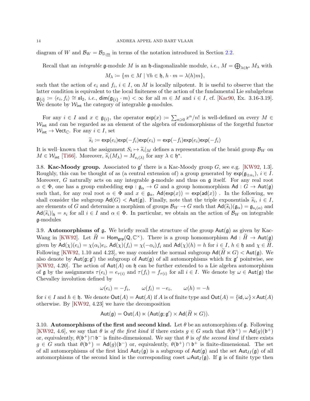diagram of W and  $\mathcal{B}_W = \mathcal{B}_{\mathbb{D},m}$  in terms of the notation introduced in Section [2.2.](#page-8-1)

Recall that an *integrable* **g**-module M is an **h**-diagonalizable module, *i.e.*,  $M = \bigoplus_{\lambda \in \mathfrak{h}^*} M_\lambda$  with

$$
M_{\lambda} := \{ m \in M \mid \forall h \in \mathfrak{h}, h \cdot m = \lambda(h)m \},
$$

such that the action of  $e_i$  and  $f_i$ ,  $i \in I$ , on M is locally nilpotent. It is useful to observe that the latter condition is equivalent to the local finiteness of the action of the fundamental Lie subalgebras  $\mathfrak{g}_{\{i\}} \coloneqq \langle e_i, f_i \rangle \cong \mathfrak{sl}_2$ , *i.e.*, dim $(\mathfrak{g}_{\{i\}} \cdot m) < \infty$  for all  $m \in M$  and  $i \in I$ , cf. [\[Kac90,](#page-56-22) Ex. 3.16-3.19]. We denote by  $\mathcal{W}_{\text{int}}$  the category of integrable g-modules.

For any  $i \in I$  and  $x \in \mathfrak{g}_{\{i\}}$ , the operator  $\exp(x) := \sum_{n \geq 0} x^n/n!$  is well-defined on every  $M \in$  $\mathcal{W}_{\text{int}}$  and can be regarded as an element of the algebra of endomorphisms of the forgetful functor  $W_{\text{int}} \rightarrow \text{Vect}_{\mathbb{C}}$ . For any  $i \in I$ , set

$$
\widetilde{s}_i := \exp(e_i) \exp(-f_i) \exp(e_i) = \exp(-f_i) \exp(e_i) \exp(-f_i)
$$

It is well–known that the assignment  $S_i \mapsto \tilde{s}_i|_M$  defines a representation of the braid group  $\mathcal{B}_W$  on  $M \in \mathcal{W}$ . [Tigg] Moreover,  $\tilde{s}_i(M_i) = M_{i,j}$  for any  $i \in \mathbb{N}^*$  $M \in \mathcal{W}_{\text{int}}$  [\[Ti66\]](#page-57-18). Moreover,  $\widetilde{s}_i(M_\lambda) = M_{s_i(\lambda)}$  for any  $\lambda \in \mathfrak{h}^*$ .

3.8. Kac-Moody group. Associated to  $g'$  there is a Kac-Moody group G, see e.g. [\[KW92,](#page-57-14) 1.3]. Roughly, this can be thought of as (a central extension of) a group generated by  $\exp(\mathfrak{g}_{\pm \alpha_i})$ ,  $i \in I$ . Moreover, G naturally acts on any integrable  $\mathfrak g$ -module and thus on  $\mathfrak g$  itself. For any real root  $\alpha \in \Phi$ , one has a group embedding  $e^{i\phi}$  :  $\phi_{\alpha} \to G$  and a group homomorphism Ad :  $G \to Aut(\mathfrak{g})$ such that, for any real root  $\alpha \in \Phi$  and  $x \in \mathfrak{g}_{\alpha}$ ,  $\mathsf{Ad}(\exp(x)) = \exp(\mathsf{ad}(x))$ . In the following, we shall consider the subgroup  $\mathsf{Ad}(G) < \mathsf{Aut}(\mathfrak{g})$ . Finally, note that the triple exponentials  $\widetilde{s}_i, i \in I$ , are elements of  $C$  and determine a morphism of groups  $\mathcal{B}_{\alpha}$ ,  $\setminus C$  such that  $\mathsf{Ad}(\widetilde{c}_i)(\sigma_i) = \sigma$ are elements of G and determine a morphism of groups  $\mathcal{B}_W \to G$  such that  $\mathsf{Ad}(\widetilde{s}_i)(\mathfrak{g}_{\alpha}) = \mathfrak{g}_{s_i(\alpha)}$  and  $\text{Ad}(\widetilde{s}_i)|_{\mathfrak{h}} = s_i$  for all  $i \in I$  and  $\alpha \in \Phi$ . In particular, we obtain an the action of  $\mathcal{B}_W$  on integrable g-modules

3.9. Automorphisms of g. We briefly recall the structure of the group  $Aut(g)$  as given by Kac-Wang in [\[KW92\]](#page-57-14). Let  $\widetilde{H} = \text{Hom}_{\text{grp}}(Q, \mathbb{C}^{\times})$ . There is a group homomorphism  $\text{Ad}: \widetilde{H} \to \text{Aut}(\mathfrak{g})$ given by  $\mathsf{Ad}(\chi)(e_i) = \chi(\alpha_i)e_i$ ,  $\mathsf{Ad}(\chi)(f_i) = \chi(-\alpha_i)f_i$  and  $\mathsf{Ad}(\chi)(h) = h$  for  $i \in I$ ,  $h \in \mathfrak{h}$  and  $\chi \in H$ . Following [\[KW92,](#page-57-14) 1.10 and 4.23], we may consider the normal subgroup  $\text{Ad}(H \ltimes G) < \text{Aut}(\mathfrak{g})$ . We also denote by  $Aut(g; g')$  the subgroup of  $Aut(g)$  of all automorphisms which fix  $g'$  pointwise, see [\[KW92,](#page-57-14) 4.20]. The action of  $Aut(A)$  on  $\mathfrak h$  can be further extended to a Lie algebra automorphism of  $\mathfrak g$  by the assignments  $\tau(e_i) = e_{\tau(i)}$  and  $\tau(f_i) = f_{\tau(i)}$  for all  $i \in I$ . We denote by  $\omega \in \text{Aut}(\mathfrak g)$  the Chevalley involution defined by

$$
\omega(e_i) = -f_i, \qquad \omega(f_i) = -e_i, \qquad \omega(h) = -h
$$

for  $i \in I$  and  $h \in \mathfrak{h}$ . We denote  $\text{Out}(A) = \text{Aut}(A)$  if A is of finite type and  $\text{Out}(A) = \{\text{id}, \omega\} \times \text{Aut}(A)$ otherwise. By [\[KW92,](#page-57-14) 4.23] we have the decomposition

$$
\mathsf {Aut}(\mathfrak g)=\mathsf {Out}(A)\ltimes (\mathsf {Aut}(\mathfrak g;\mathfrak g')\times\mathsf {Ad}(\widetilde H\ltimes G)).
$$

3.10. Automorphisms of the first and second kind. Let  $\theta$  be an automorphism of g. Following [\[KW92,](#page-57-14) 4.6], we say that  $\theta$  is of the first kind if there exists  $g \in G$  such that  $\theta(\mathfrak{b}^+) = \mathsf{Ad}(g)(\mathfrak{b}^+)$ or, equivalently,  $\theta(\mathfrak{b}^+) \cap \mathfrak{b}^-$  is finite-dimensional. We say that  $\theta$  is of the second kind if there exists  $g \in G$  such that  $\theta(\mathfrak{b}^+) = \mathsf{Ad}(g)(\mathfrak{b}^-)$  or, equivalently,  $\theta(\mathfrak{b}^+) \cap \mathfrak{b}^+$  is finite-dimensional. The set of all automorphisms of the first kind  $Aut_I(\mathfrak{g})$  is a subgroup of  $Aut(\mathfrak{g})$  and the set  $Aut_{II}(\mathfrak{g})$  of all automorphisms of the second kind is the corresponding coset  $\omega$ Aut<sub>I</sub>(g). If g is of finite type then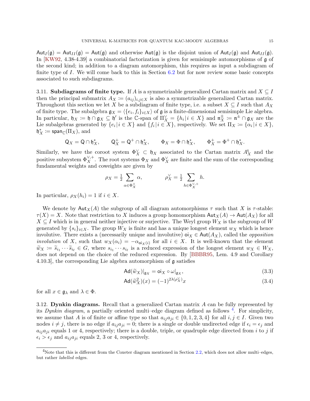$Aut_I(\mathfrak{g}) = Aut_{II}(\mathfrak{g}) = Aut(\mathfrak{g})$  and otherwise  $Aut(\mathfrak{g})$  is the disjoint union of  $Aut_I(\mathfrak{g})$  and  $Aut_{II}(\mathfrak{g})$ . In [\[KW92,](#page-57-14) 4.38-4.39] a combinatorial factorization is given for semisimple automorphisms of  $\mathfrak{g}$  of the second kind; in addition to a diagram automorphism, this requires as input a subdiagram of finite type of I. We will come back to this in Section [6.2](#page-28-1) but for now review some basic concepts associated to such subdiagrams.

<span id="page-16-1"></span>3.11. Subdiagrams of finite type. If A is a symmetrizable generalized Cartan matrix and  $X \subseteq I$ then the principal submatrix  $A_X := (a_{ij})_{i,j \in X}$  is also a symmetrizable generalized Cartan matrix. Throughout this section we let X be a subdiagram of finite type, i.e. a subset  $X \subseteq I$  such that  $A_X$ of finite type. The subalgebra  $\mathfrak{g}_X = \langle \{e_i, f_i\}_{i \in X} \rangle$  of  $\mathfrak{g}$  is a finite-dimensional semisimple Lie algebra. In particular,  $\mathfrak{h}_X := \mathfrak{h} \cap \mathfrak{g}_X \subseteq \mathfrak{h}'$  is the C-span of  $\Pi_X^{\vee} = \{h_i | i \in X\}$  and  $\mathfrak{n}_X^{\pm}$  $X^{\pm} \coloneqq \mathfrak{n}^{\pm} \cap \mathfrak{g}_X$  are the Lie subalgebras generated by  $\{e_i | i \in X\}$  and  $\{f_i | i \in X\}$ , respectively. We set  $\Pi_X \coloneqq {\{\alpha_i | i \in X\}}$ ,  $\mathfrak{h}_X^* \coloneqq \mathsf{span}_\mathbb{C}(\Pi_X), \text{ and}$ 

$$
\mathsf{Q}_X = \mathsf{Q} \cap \mathfrak{h}_X^*, \qquad \mathsf{Q}_X^+ = \mathsf{Q}^+ \cap \mathfrak{h}_X^*, \qquad \Phi_X = \Phi \cap \mathfrak{h}_X^*, \qquad \Phi_X^+ = \Phi^+ \cap \mathfrak{h}_X^*.
$$

Similarly, we have the coroot system  $\Phi_X^{\vee} \subset \mathfrak{h}_X$  associated to the Cartan matrix  $A_X^{\mathsf{t}}$  and the positive subsystem  $\Phi_X^{\vee,+}$ . The root systems  $\Phi_X$  and  $\Phi_X^{\vee}$  are finite and the sum of the corresponding fundamental weights and coweights are given by

$$
\rho_X = \frac{1}{2} \sum_{\alpha \in \Phi_X^+} \alpha, \qquad \rho_X^{\vee} = \frac{1}{2} \sum_{h \in \Phi_X^{\vee,+}} h.
$$

In particular,  $\rho_X(h_i) = 1$  if  $i \in X$ .

We denote by  $\text{Aut}_X(A)$  the subgroup of all diagram automorphisms  $\tau$  such that X is  $\tau$ -stable:  $\tau(X) = X$ . Note that restriction to X induces a group homomorphism  $\text{Aut}_X(A) \to \text{Aut}(A_X)$  for all  $X \subseteq I$  which is in general neither injective or surjective. The Weyl group  $W_X$  is the subgroup of W generated by  $\{s_i\}_{i\in X}$ . The group  $W_X$  is finite and has a unique longest element  $w_X$  which is hence involutive. There exists a (necessarily unique and involutive)  $\mathsf{oi}_X \in \mathsf{Aut}(A_X)$ , called the *opposition involution* of X, such that  $w_X(\alpha_i) = -\alpha_{\text{o}i_X(i)}$  for all  $i \in X$ . It is well-known that the element  $\widetilde{w}_X := \widetilde{s}_{i_1} \cdots \widetilde{s}_{i_\ell} \in G$ , where  $s_{i_1} \cdots s_{i_\ell}$  is a reduced expression of the longest element  $w_X \in W_X$ , does not depend on the choice of the reduced expression. By [BBB05, Lem. 4.0 and Corollary does not depend on the choice of the reduced expression. By [\[BBBR95,](#page-55-15) Lem. 4.9 and Corollary 4.10.3], the corresponding Lie algebra automorphism of g satisfies

<span id="page-16-3"></span>
$$
Ad(\widetilde{w}_X)|_{\mathfrak{g}_X} = \mathsf{oi}_X \circ \omega|_{\mathfrak{g}_X},\tag{3.3}
$$

<span id="page-16-2"></span>
$$
\operatorname{Ad}(\widetilde{w}_X^2)(x) = (-1)^{2\lambda(\rho_X^{\vee})} x \tag{3.4}
$$

for all  $x \in \mathfrak{g}_{\lambda}$  and  $\lambda \in \Phi$ .

3.12. Dynkin diagrams. Recall that a generalized Cartan matrix A can be fully represented by its *Dynkin diagram*, a partially oriented multi–edge diagram defined as follows  $4$ . For simplicity, we assume that A is of finite or affine type so that  $a_{ij}a_{ji} \in \{0, 1, 2, 3, 4\}$  for all  $i, j \in I$ . Given two nodes  $i \neq j$ , there is no edge if  $a_{ij}a_{ji} = 0$ ; there is a single or double undirected edge if  $\epsilon_i = \epsilon_j$  and  $a_{ij}a_{ji}$  equals 1 or 4, respectively; there is a double, triple, or quadruple edge directed from i to j if  $\epsilon_i > \epsilon_j$  and  $a_{ij}a_{ji}$  equals 2, 3 or 4, respectively.

<span id="page-16-0"></span> $4$ Note that this is different from the Coxeter diagram mentioned in Section [2.2,](#page-8-1) which does not allow multi–edges, but rather labelled edges.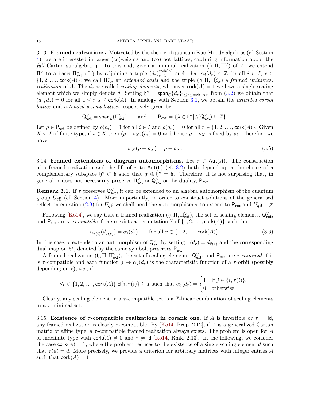3.13. Framed realizations. Motivated by the theory of quantum Kac-Moody algebras (cf. Section [4\)](#page-19-0), we are interested in larger (co)weights and (co)root lattices, capturing information about the full Cartan subalgebra h. To this end, given a minimal realization  $(\mathfrak{h}, \Pi, \Pi^{\vee})$  of A, we extend  $\Pi^{\vee}$  to a basis  $\Pi_{ext}^{\vee}$  of h by adjoining a tuple  $(d_r)_{r=1}^{cork(A)}$  such that  $\alpha_i(d_r) \in \mathbb{Z}$  for all  $i \in I$ ,  $r \in$  $\{1, 2, \ldots, \text{cork}(A)\}\;$ ; we call  $\Pi_{\text{ext}}^{\vee}$  an extended basis and the triple  $(\mathfrak{h}, \Pi, \Pi_{\text{ext}}^{\vee})$  a framed (minimal) *realization* of A. The  $d_r$  are called *scaling elements*; whenever  $\text{cork}(A) = 1$  we have a single scaling element which we simply denote d. Setting  $\mathfrak{h}'' = \text{span}_{\mathbb{C}}\{d_r\}_{1 \leq r \leq \text{cork}(A)}$ , from  $(3.2)$  we obtain that  $(d_r, d_s) = 0$  for all  $1 \leq r, s \leq \text{cork}(A)$ . In analogy with Section [3.1,](#page-12-2) we obtain the *extended coroot* lattice and extended weight lattice, respectively given by

$$
Q_{\text{ext}}^\vee = \text{span}_\mathbb{Z}(\Pi_{\text{ext}}^\vee) \qquad \text{and} \qquad P_{\text{ext}} = \{\lambda \in \mathfrak{h}^* \, | \, \lambda(Q_{\text{ext}}^\vee) \subseteq \mathbb{Z}\}.
$$

Let  $\rho \in \mathsf{P}_{\textsf{ext}}$  be defined by  $\rho(h_i) = 1$  for all  $i \in I$  and  $\rho(d_r) = 0$  for all  $r \in \{1, 2, \ldots, \textsf{cork}(A)\}$ . Given  $X \subseteq I$  of finite type, if  $i \in X$  then  $(\rho - \rho_X)(h_i) = 0$  and hence  $\rho - \rho_X$  is fixed by  $s_i$ . Therefore we have

<span id="page-17-1"></span><span id="page-17-0"></span>
$$
w_X(\rho - \rho_X) = \rho - \rho_X. \tag{3.5}
$$

3.14. Framed extensions of diagram automorphisms. Let  $\tau \in Aut(A)$ . The construction of a framed realization and the lift of  $\tau$  to Aut(h) (cf. [3.2\)](#page-13-1) both depend upon the choice of a complementary subspace  $\mathfrak{h}'' \subset \mathfrak{h}$  such that  $\mathfrak{h}' \oplus \mathfrak{h}'' = \mathfrak{h}$ . Therefore, it is not surprising that, in general,  $\tau$  does not necessarily preserve  $\Pi_{\text{ext}}^{\vee}$  or  $\mathsf{Q}^{\vee}_{\text{ext}}$  or, by duality,  $\mathsf{P}_{\text{ext}}$ .

**Remark 3.1.** If  $\tau$  preserves  $Q_{ext}^{\vee}$ , it can be extended to an algebra automorphism of the quantum group  $U_q$ **g** (cf. Section [4\)](#page-19-0). More importantly, in order to construct solutions of the generalised reflection equation [\(2.9\)](#page-9-2) for  $U_q\mathfrak{g}$  we shall need the automorphism  $\tau$  to extend to  $P_{ext}$  and  $U_q\mathfrak{g}$ .  $\varnothing$ 

Following [\[Ko14\]](#page-56-7), we say that a framed realization  $(\mathfrak{h}, \Pi, \Pi_{\text{ext}}^{\vee})$ , the set of scaling elements,  $Q_{\text{ext}}^{\vee}$ , and  $P_{ext}$  are  $\tau$ -compatible if there exists a permutation  $\hat{\tau}$  of  $\{1, 2, \ldots, \text{cork}(A)\}\$  such that

$$
\alpha_{\tau(i)}(d_{\widehat{\tau}(r)}) = \alpha_i(d_r) \qquad \text{for all } r \in \{1, 2, \dots, \text{cork}(A)\}. \tag{3.6}
$$

In this case,  $\tau$  extends to an automorphism of  $Q_{\text{ext}}^{\vee}$  by setting  $\tau(d_r) = d_{\hat{\tau}(r)}$  and the corresponding dual map on  $h^*$  denoted by the same symbol, presents  $R$ dual map on  $\mathfrak{h}^*$ , denoted by the same symbol, preserves  $P_{ext}$ .

A framed realization  $(\mathfrak{h}, \Pi, \Pi_{ext}^{\vee})$ , the set of scaling elements,  $Q_{ext}^{\vee}$ , and  $P_{ext}$  are  $\tau$ -minimal if it is  $\tau$ -compatible and each function  $j \mapsto \alpha_j(d_r)$  is the characteristic function of a  $\tau$ -orbit (possibly depending on  $r$ ), *i.e.*, if

$$
\forall r \in \{1, 2, \ldots, \text{cork}(A)\} \; \exists \{i, \tau(i)\} \subseteq I \text{ such that } \alpha_j(d_r) = \begin{cases} 1 & \text{if } j \in \{i, \tau(i)\}, \\ 0 & \text{otherwise.} \end{cases}
$$

Clearly, any scaling element in a  $\tau$ -compatible set is a  $\mathbb{Z}$ -linear combination of scaling elements in a  $\tau$ -minimal set.

3.15. Existence of  $\tau$ -compatible realizations in corank one. If A is invertible or  $\tau = id$ . any framed realization is clearly  $\tau$ -compatible. By [\[Ko14,](#page-56-7) Prop. 2.12], if A is a generalized Cartan matrix of affine type, a  $\tau$ -compatible framed realization always exists. The problem is open for A of indefinite type with  $\text{cork}(A) \neq 0$  and  $\tau \neq \text{id}$  [\[Ko14,](#page-56-7) Rmk. 2.13]. In the following, we consider the case  $\text{cork}(A) = 1$ , where the problem reduces to the existence of a single scaling element d such that  $\tau(d) = d$ . More precisely, we provide a criterion for arbitrary matrices with integer entries A such that  $\text{cork}(A) = 1$ .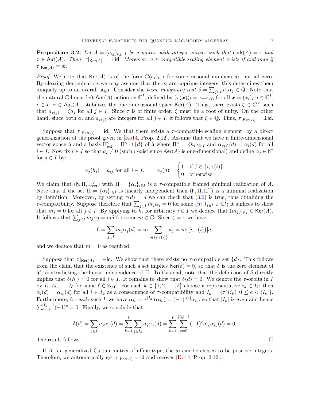<span id="page-18-0"></span>**Proposition 3.2.** Let  $A = (a_{ij})_{i,j\in I}$  be a matrix with integer entries such that  $\text{cork}(A) = 1$  and  $\tau \in$  Aut(A). Then,  $\tau|_{\text{Ker}(A)} = \pm id$ . Moreover, a  $\tau$ -compatible scaling element exists if and only if  $\tau|_{\mathsf{Ker}(A)} = \mathsf{id}.$ 

*Proof.* We note that Ker(A) is of the form  $\mathbb{C}(a_i)_{i\in I}$  for some rational numbers  $a_i$ , not all zero. By clearing denominators we may assume that the  $a_i$  are coprime integers; this determines them uniquely up to an overall sign. Consider the basic imaginary root  $\delta = \sum_{j\in I} a_j \alpha_j \in \mathbb{Q}$ . Note that the natural C-linear left Aut(A)-action on  $\mathbb{C}^{I}$ , defined by  $(\tau(\boldsymbol{x}))_i = x_{\tau^{-1}(i)}$  for all  $\boldsymbol{x} = (x_i)_{i \in I} \in \mathbb{C}^{I}$ ,  $i \in I$ ,  $\tau \in \text{Aut}(A)$ , stabilizes the one-dimensional space Ker(A). Thus, there exists  $\zeta \in \mathbb{C}^\times$  such that  $a_{\tau(j)} = \zeta a_j$  for all  $j \in I$ . Since  $\tau$  is of finite order,  $\zeta$  must be a root of unity. On the other hand, since both  $a_j$  and  $a_{\tau(j)}$  are integers for all  $j \in I$ , it follows that  $\zeta \in \mathbb{Q}$ . Thus,  $\tau|_{\mathsf{Ker}(A)} = \pm \mathrm{id}$ .

Suppose that  $\tau|_{\text{Ker}(A)} = id$ . We that there exists a  $\tau$ -compatible scaling element, by a direct generalization of the proof given in [\[Ko14,](#page-56-7) Prop. 2.12]. Assume that we have a finite-dimensional vector space h and a basis  $\Pi_{ext}^{\vee} = \Pi^{\vee} \cap \{d\}$  of h where  $\Pi^{\vee} = \{h_i\}_{i \in I}$  and  $\alpha_{\tau(i)}(d) = \alpha_i(d)$  for all  $i \in I$ . Now fix  $i \in I$  so that  $a_i \neq 0$  (such i exist since Ker(A) is one-dimensional) and define  $\alpha_j \in \mathfrak{h}^*$ for  $j \in I$  by:

$$
\alpha_j(h_i) = a_{ij}
$$
 for all  $i \in I$ ,  $\alpha_j(d) = \begin{cases} 1 & \text{if } j \in \{i, \tau(i)\}, \\ 0 & \text{otherwise.} \end{cases}$ 

We claim that  $(\mathfrak{h}, \Pi, \Pi_{\text{ext}}^{\vee})$  with  $\Pi = {\alpha_i}_{i\in I}$  is a  $\tau$ -compatible framed minimal realization of A. Note that if the set  $\Pi = {\alpha_i}_{i\in I}$  is linearly independent then  $(\mathfrak{h}, \Pi, \Pi^{\vee})$  is a minimal realization by definition. Moreover, by setting  $\tau(d) = d$  we can check that [\(3.6\)](#page-17-0) is true, thus obtaining the  $\tau$ -compatibility. Suppose therefore that  $\sum_{j\in I} m_j \alpha_j = 0$  for some  $(m_j)_{j\in I} \in \mathbb{C}^I$ ; it suffices to show that  $m_j = 0$  for all  $j \in I$ . By applying to  $\tilde{h}_i$  for arbitrary  $i \in I$  we deduce that  $(m_j)_{j \in I} \in \text{Ker}(A)$ . It follows that  $\sum_{j\in I} m_j \alpha_j = m\delta$  for some  $m \in \mathbb{C}$ . Since  $\zeta = 1$  we have

$$
0 = \sum_{j \in I} m_j \alpha_j(d) = m \sum_{j \in \{i, \tau(i)\}} a_j = m | \{i, \tau(i)\} | a_i
$$

and we deduce that  $m = 0$  as required.

Suppose that  $\tau|_{\text{Ker}(A)} = -id$ . We show that there exists no  $\tau$ -compatible set  $\{d\}$ . This follows from the claim that the existence of such a set implies  $\text{Ker}(\delta) = \mathfrak{h}$ , so that  $\delta$  is the zero element of  $\mathfrak{h}^*$ , contradicting the linear independence of Π. To this end, note that the definition of δ directly implies that  $\delta(h_i) = 0$  for all  $i \in I$ . It remains to show that  $\delta(d) = 0$ . We denote the  $\tau$ -orbits in I by  $I_1, I_2, \ldots, I_\ell$  for some  $\ell \in \mathbb{Z}_{>0}$ . For each  $k \in \{1, 2, \ldots, \ell\}$  choose a representative  $i_k \in I_k$ ; then  $\alpha_i(d) = \alpha_{i_k}(d)$  for all  $i \in I_k$  as a consequence of  $\tau$ -compatibility and  $I_k = {\tau^e(i_k)} \cup \{0 \leq e \leq |I_k|\}.$ Furthermore, for each such k we have  $\alpha_{i_k} = \tau^{|I_k|}(\alpha_{i_k}) = (-1)^{|I_k|} \alpha_{i_k}$ , so that  $|I_k|$  is even and hence  $\sum_{e=0}^{|I_k|-1}(-1)^e=0$ . Finally, we conclude that

$$
\delta(d) = \sum_{j \in I} a_j \alpha_j(d) = \sum_{k=1}^{\ell} \sum_{j \in I_k} a_j \alpha_j(d) = \sum_{k=1}^{\ell} \sum_{e=0}^{|I_k|-1} (-1)^e a_{i_k} \alpha_{i_k}(d) = 0.
$$

The result follows. □

If A is a generalized Cartan matrix of affine type, the  $a_i$  can be chosen to be positive integers. Therefore, we automatically get  $\tau|_{\mathsf{Ker}(A)} = \mathsf{id}$  and recover [\[Ko14,](#page-56-7) Prop. 2.12].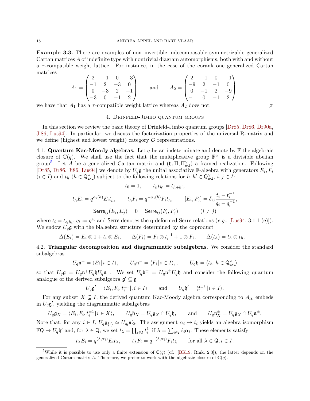Example 3.3. There are examples of non–invertible indecomposable symmetrizable generalized Cartan matrices A of indefinite type with nontrivial diagram automorphisms, both with and without a  $\tau$ -compatible weight lattice. For instance, in the case of the corank one generalized Cartan matrices

$$
A_1 = \begin{pmatrix} 2 & -1 & 0 & -3 \\ -1 & 2 & -3 & 0 \\ 0 & -3 & 2 & -1 \\ -3 & 0 & -1 & 2 \end{pmatrix} \text{ and } A_2 = \begin{pmatrix} 2 & -1 & 0 & -1 \\ -9 & 2 & -1 & 0 \\ 0 & -1 & 2 & -9 \\ -1 & 0 & -1 & 2 \end{pmatrix}.
$$

<span id="page-19-0"></span>we have that  $A_1$  has a  $\tau$ -compatible weight lattice whereas  $A_2$  does not.

#### 4. Drinfeld-Jimbo quantum groups

In this section we review the basic theory of Drinfeld-Jimbo quantum groups [\[Dr85,](#page-56-4) [Dr86,](#page-56-1) [Dr90a,](#page-56-17) [Ji86,](#page-56-5) [Lus94\]](#page-57-3). In particular, we discuss the factorization properties of the universal R-matrix and we define (highest and lowest weight) category  $\mathcal O$  representations.

4.1. Quantum Kac-Moody algebras. Let q be an indeterminate and denote by  $\mathbb F$  the algebraic closure of  $\mathbb{C}(q)$ . We shall use the fact that the multiplicative group  $\mathbb{F}^{\times}$  is a divisible abelian group<sup>[5](#page-19-1)</sup>. Let A be a generalized Cartan matrix and  $(\mathfrak{h}, \Pi, \Pi^{\vee}_{ext})$  a framed realization. Following [\[Dr85,](#page-56-4) [Dr86,](#page-56-1) [Ji86,](#page-56-5) [Lus94\]](#page-57-3) we denote by  $U_q$ **g** the unital associative F-algebra with generators  $E_i$ ,  $F_i$  $(i \in I)$  and  $t_h$   $(h \in \mathsf{Q}^{\vee}_{\mathsf{ext}})$  subject to the following relations for  $h, h' \in \mathsf{Q}^{\vee}_{\mathsf{ext}}, i, j \in I$ :

$$
t_0 = 1, \qquad t_h t_{h'} = t_{h+h'},
$$
  
\n
$$
t_h E_i = q^{\alpha_i(h)} E_i t_h, \qquad t_h F_i = q^{-\alpha_i(h)} F_i t_h, \qquad [E_i, F_j] = \delta_{ij} \frac{t_i - t_i^{-1}}{q_i - q_i^{-1}},
$$
  
\n
$$
\text{Serre}_{ij}(E_i, E_j) = 0 = \text{Serre}_{ij}(F_i, F_j) \qquad (i \neq j)
$$

where  $t_i = t_{\epsilon_i h_i}$ ,  $q_i \coloneqq q^{\epsilon_i}$  and Serre denotes the q-deformed Serre relations  $(e.g., [\text{Lus94}, 3.1.1 (e)]).$ We endow  $U_q$ **g** with the bialgebra structure determined by the coproduct

$$
\Delta(E_i) = E_i \otimes 1 + t_i \otimes E_i, \qquad \Delta(F_i) = F_i \otimes t_i^{-1} + 1 \otimes F_i, \qquad \Delta(t_h) = t_h \otimes t_h.
$$

4.2. Triangular decomposition and diagrammatic subalgebras. We consider the standard subalgebras

$$
U_q \mathfrak{n}^+ = \langle E_i | i \in I \rangle, \qquad U_q \mathfrak{n}^- = \langle F_i | i \in I \rangle, \qquad U_q \mathfrak{h} = \langle t_h | h \in \mathsf{Q}^{\vee}_{\text{ext}} \rangle
$$

so that  $U_q\mathfrak{g} = U_q\mathfrak{n}^+U_q\mathfrak{h}U_q\mathfrak{n}^-$ . We set  $U_q\mathfrak{b}^{\pm} = U_q\mathfrak{n}^{\pm}U_q\mathfrak{h}$  and consider the following quantum analogue of the derived subalgebra  $\mathfrak{g}' \subseteq \mathfrak{g}$ 

$$
U_q\mathfrak{g}' = \langle E_i, F_i, t_i^{\pm 1} |, i \in I \rangle \quad \text{and} \quad U_q\mathfrak{h}' = \langle t_i^{\pm 1} | i \in I \rangle.
$$

For any subset  $X \subseteq I$ , the derived quantum Kac-Moody algebra corresponding to  $A_X$  embeds in  $U_q$ **g'**, yielding the diagrammatic subalgebras

$$
U_q \mathfrak{g}_X = \langle E_i, F_i, t_i^{\pm 1} | i \in X \rangle, \qquad U_q \mathfrak{h}_X = U_q \mathfrak{g}_X \cap U_q \mathfrak{h}, \qquad \text{and} \qquad U_q \mathfrak{n}_X^{\pm} = U_q \mathfrak{g}_X \cap U_q \mathfrak{n}^{\pm}.
$$

Note that, for any  $i \in I$ ,  $U_q \mathfrak{g}_{\{i\}} \simeq U_{q_i} \mathfrak{sl}_2$ . The assignment  $\alpha_i \mapsto t_i$  yields an algebra isomorphism  $\mathbb{F}Q \to U_q \mathfrak{h}'$  and, for  $\lambda \in Q$ , we set  $t_\lambda = \prod_{i \in I} t_i^{\ell_i}$  if  $\lambda = \sum_{i \in I} \ell_i \alpha_i$ . These elements satisfy

$$
t_{\lambda}E_i = q^{(\lambda,\alpha_i)}E_i t_{\lambda}, \qquad t_{\lambda}F_i = q^{-(\lambda,\alpha_i)}F_i t_{\lambda} \qquad \text{for all } \lambda \in \mathsf{Q}, i \in I.
$$

<span id="page-19-1"></span><sup>&</sup>lt;sup>5</sup>While it is possible to use only a finite extension of  $\mathbb{C}(q)$  (cf. [\[BK19,](#page-55-1) Rmk. 2.3]), the latter depends on the generalized Cartan matrix A. Therefore, we prefer to work with the algebraic closure of  $\mathbb{C}(q)$ .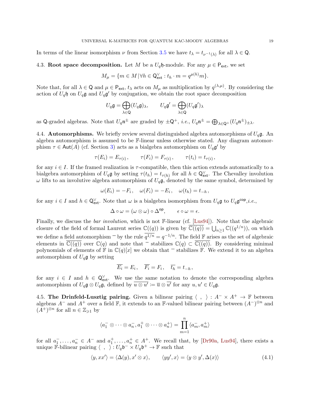In terms of the linear isomorphism  $\nu$  from Section [3.5](#page-14-1) we have  $t_{\lambda} = t_{\nu^{-1}(\lambda)}$  for all  $\lambda \in \mathbb{Q}$ .

4.3. Root space decomposition. Let M be a  $U_q$ h-module. For any  $\mu \in \mathsf{P}_{ext}$ , we set

$$
M_{\mu} = \{ m \in M \, | \, \forall h \in \mathsf{Q}^{\vee}_{\mathsf{ext}} : t_h \cdot m = q^{\mu(h)} m \}.
$$

Note that, for all  $\lambda \in \mathbb{Q}$  and  $\mu \in \mathsf{P}_{\mathsf{ext}}, t_\lambda$  acts on  $M_\mu$  as multiplication by  $q^{(\lambda,\mu)}$ . By considering the action of  $U_q$ h on  $U_q$ g and  $U_q$ g' by conjugation, we obtain the root space decomposition

$$
U_q \mathfrak{g} = \bigoplus_{\lambda \in \mathsf{Q}} (U_q \mathfrak{g})_\lambda, \qquad U_q \mathfrak{g}' = \bigoplus_{\lambda \in \mathsf{Q}} (U_q \mathfrak{g}')_\lambda
$$

as Q-graded algebras. Note that  $U_q \mathfrak{n}^{\pm}$  are graded by  $\pm Q^+$ , *i.e.*,  $U_q \mathfrak{n}^{\pm} = \bigoplus_{\lambda \in Q^+} (U_q \mathfrak{n}^{\pm})_{\pm \lambda}$ .

4.4. **Automorphisms.** We briefly review several distinguished algebra automorphisms of  $U_q\mathfrak{g}$ . An algebra automorphism is assumed to be F-linear unless otherwise stated. Any diagram automorphism  $\tau \in \text{Aut}(A)$  (cf. Section [3\)](#page-12-0) acts as a bialgebra automorphism on  $U_q \mathfrak{g}'$  by

$$
\tau(E_i) = E_{\tau(i)}, \qquad \tau(F_i) = F_{\tau(i)}, \qquad \tau(t_i) = t_{\tau(i)},
$$

for any  $i \in I$ . If the framed realization is  $\tau$ -compatible, then this action extends automatically to a bialgebra automorphism of  $U_q\mathfrak{g}$  by setting  $\tau(t_h) = t_{\tau(h)}$  for all  $h \in \mathsf{Q}^{\vee}_{\text{ext}}$ . The Chevalley involution  $\omega$  lifts to an involutive algebra automorphism of  $U_q\mathfrak{g}$ , denoted by the same symbol, determined by

$$
\omega(E_i) = -F_i, \quad \omega(F_i) = -E_i, \quad \omega(t_h) = t_{-h},
$$

for any  $i \in I$  and  $h \in \mathsf{Q}^{\vee}_{\mathsf{ext}}$ . Note that  $\omega$  is a bialgebra isomorphism from  $U_q \mathfrak{g}$  to  $U_q \mathfrak{g}^{\mathsf{cop}}$ ,*i.e.*,

$$
\Delta \circ \omega = (\omega \otimes \omega) \circ \Delta^{\mathrm{op}}, \qquad \epsilon \circ \omega = \epsilon.
$$

Finally, we discuss the *bar involution*, which is not F-linear (cf. [\[Lus94\]](#page-57-3)). Note that the algebraic closure of the field of formal Laurent series  $\mathbb{C}((q))$  is given by  $\overline{\mathbb{C}((q))} = \bigcup_{n \geq 1} \mathbb{C}((q^{1/n}))$ , on which we define a field automorphism  $\bar{ }$  by the rule  $\bar{q}^{1/n} = q^{-1/n}$ . The field  $\mathbb F$  arises as the set of algebraic elements in  $\mathbb{C}((q))$  over  $\mathbb{C}(q)$  and note that  $\overline{\phantom{a}}$  stabilizes  $\mathbb{C}(q) \subset \mathbb{C}((q))$ . By considering minimal polynomials of elements of  $\mathbb F$  in  $\mathbb C(q)[x]$  we obtain that  $\overline{\phantom{a}}$  stabilizes  $\mathbb F$ . We extend it to an algebra automorphism of  $U_q$ **g** by setting

$$
\overline{E_i} = E_i, \quad \overline{F_i} = F_i, \quad \overline{t_h} = t_{-h},
$$

for any  $i \in I$  and  $h \in \mathsf{Q}^{\vee}_{ext}$ . We use the same notation to denote the corresponding algebra automorphism of  $U_q\mathfrak{g} \otimes U_q\mathfrak{g}$ , defined by  $\overline{u \otimes u'} := \overline{u} \otimes \overline{u'}$  for any  $u, u' \in U_q\mathfrak{g}$ .

4.5. The Drinfeld-Lusztig pairing. Given a bilinear pairing  $\langle , \rangle : A^- \times A^+ \to \mathbb{F}$  between algebras  $A^-$  and  $A^+$  over a field F, it extends to an F-valued bilinear pairing between  $(A^-)^{\otimes n}$  and  $(A^+)^{\otimes n}$  for all  $n \in \mathbb{Z}_{\geqslant 1}$  by

<span id="page-20-0"></span>
$$
\langle a_1^- \otimes \cdots \otimes a_n^-, a_1^+ \otimes \cdots \otimes a_n^+ \rangle = \prod_{m=1}^n \langle a_m^-, a_m^+ \rangle
$$

for all  $a_1^-, \ldots, a_n^- \in A^-$  and  $a_1^+, \ldots, a_n^+ \in A^+$ . We recall that, by [\[Dr90a,](#page-56-17) [Lus94\]](#page-57-3), there exists a unique F-bilinear pairing  $\langle , \rangle : U_q \mathfrak{b}^- \times U_q \mathfrak{b}^+ \to \mathbb{F}$  such that

$$
\langle y, xx' \rangle = \langle \Delta(y), x' \otimes x \rangle, \qquad \langle yy', x \rangle = \langle y \otimes y', \Delta(x) \rangle \tag{4.1}
$$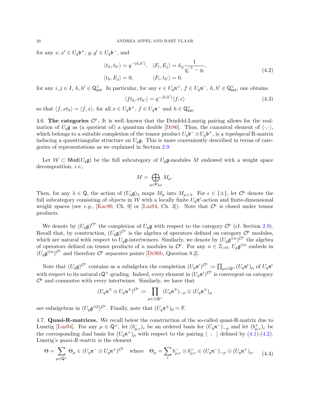for any  $x, x' \in U_q \mathfrak{b}^+, y, y' \in U_q \mathfrak{b}^-,$  and

$$
\langle t_h, t_{h'} \rangle = q^{-(h, h')}, \quad \langle F_i, E_j \rangle = \delta_{ij} \frac{1}{q_i^{-1} - q_i},
$$
  

$$
\langle t_h, E_j \rangle = 0, \qquad \langle F_i, t_{h'} \rangle = 0.
$$
 (4.2)

for any  $i, j \in I$ ,  $h, h' \in \mathbb{Q}^{\vee}_{ext}$ . In particular, for any  $e \in U_q \mathfrak{n}^+$ ,  $f \in U_q \mathfrak{n}^-$ ,  $h, h' \in \mathbb{Q}^{\vee}_{ext}$ , one obtains

<span id="page-21-2"></span><span id="page-21-0"></span>
$$
\langle ft_h, et_{h'} \rangle = q^{-(h,h')} \langle f, e \rangle \tag{4.3}
$$

so that  $\langle f,xt_h\rangle = \langle f,x\rangle$ , for all  $x \in U_q\mathfrak{b}^+$ ,  $f \in U_q\mathfrak{n}^-$  and  $h \in \mathsf{Q}_\text{ext}^\vee$ .

<span id="page-21-1"></span>4.6. The categories  $\mathcal{O}^{\epsilon}$ . It is well-known that the Drinfeld-Lusztig pairing allows for the realization of  $U_q$ **g** as (a quotient of) a quantum double [\[Dr86\]](#page-56-1). Thus, the canonical element of  $\langle \cdot, \cdot \rangle$ , which belongs to a suitable completion of the tensor product  $U_q \mathfrak{b}^- \otimes U_q \mathfrak{b}^+$ , is a topological R-matrix inducing a quasitriangular structure on  $U_q$ g. This is more conveniently described in terms of categories of representations as we explained in Section [2.9.](#page-11-1)

Let  $W \subset \text{Mod}(U_q\mathfrak{g})$  be the full subcategory of  $U_q\mathfrak{g}$ -modules M endowed with a weight space decomposition, *i.e.*,

$$
M=\bigoplus_{\mu\in\mathsf{P}_{\mathsf{ext}}}M_\mu.
$$

Then, for any  $\lambda \in \mathbb{Q}$ , the action of  $(U_q \mathfrak{g})_\lambda$  maps  $M_\mu$  into  $M_{\mu+\lambda}$ . For  $\epsilon \in {\pm}$ , let  $\mathcal{O}^{\epsilon}$  denote the full subcategory consisting of objects in W with a locally finite  $U_q\mathfrak{n}^{\epsilon}$ -action and finite-dimensional weight spaces (see e.g., [\[Kac90,](#page-56-22) Ch. 9] or [\[Lus94,](#page-57-3) Ch. 3]). Note that  $\mathcal{O}^{\epsilon}$  is closed under tensor products.

We denote by  $(U_q \mathfrak{g})^{\mathcal{O}^{\epsilon}}$  the completion of  $U_q \mathfrak{g}$  with respect to the category  $\mathcal{O}^{\epsilon}$  (cf. Section [2.9\)](#page-11-1). Recall that, by construction,  $(U_q \mathfrak{g})^{\mathcal{O}^{\epsilon}}$  is the algebra of operators defined on category  $\mathcal{O}^{\epsilon}$  modules, which are natural with respect to  $U_q$ **g**-intertwiners. Similarly, we denote by  $(U_q \mathfrak{g}^{\otimes n})^{\mathcal{O}^{\epsilon}}$  the algebra of operators defined on tensor products of n modules in  $\mathcal{O}^{\epsilon}$ . For any  $n \in \mathbb{Z}_{>0}$ ,  $U_q \mathfrak{g}^{\otimes n}$  embeds in  $(U_q \mathfrak{g}^{\otimes n})^{\mathcal{O}^{\epsilon}}$  and therefore  $\mathcal{O}^{\epsilon}$  separates points [\[Dr90b,](#page-56-23) Question 8.2].

Note that  $(U_q\mathfrak{g})^{\mathcal{O}^{\epsilon}}$  contains as a subalgebra the completion  $(U_q\mathfrak{n}^{\epsilon})^{\mathcal{O}^{\epsilon}} := \prod_{\mu \in \epsilon \mathbb{Q}^+} (U_q\mathfrak{n}^{\epsilon})_{\mu}$  of  $U_q\mathfrak{n}^{\epsilon}$ with respect to its natural  $\epsilon Q^+$ -grading. Indeed, every element in  $(U_q\mathfrak{n}^{\epsilon})^{\mathcal{O}^{\epsilon}}$  is convergent on category  $\mathcal{O}^{\epsilon}$  and commutes with every intertwiner. Similarly, we have that

<span id="page-21-3"></span>
$$
(U_q \mathfrak{n}^\mp \otimes U_q \mathfrak{n}^\pm)^{\mathcal{O}^\epsilon} \coloneqq \prod_{\mu \in \pm \mathsf{Q}^+} (U_q \mathfrak{n}^\mp)_{-\mu} \otimes (U_q \mathfrak{n}^\pm)_{\mu}
$$

are subalgebras in  $(U_q \mathfrak{g}^{\otimes 2})^{\mathcal{O}^{\epsilon}}$ . Finally, note that  $(U_q \mathfrak{n}^{\pm})_0 = \mathbb{F}$ .

4.7. Quasi-R-matrices. We recall below the construction of the so-called quasi-R-matrix due to Lusztig [\[Lus94\]](#page-57-3). For any  $\mu \in \mathsf{Q}^+$ , let  $(b_{\mu,r}^-)_r$  be an ordered basis for  $(U_q \mathfrak{n}^-)_{-\mu}$  and let  $(b_{\mu,r}^+)_r$  be the corresponding dual basis for  $(U_q\mathfrak{n}^+)_\mu$  with respect to the pairing  $\langle , \rangle$  defined by  $(4.1)-(4.2)$  $(4.1)-(4.2)$ . Lusztig's quasi-R-matrix is the element

$$
\Theta = \sum_{\mu \in \mathsf{Q}^+} \Theta_{\mu} \in (U_q \mathfrak{n}^- \otimes U_q \mathfrak{n}^+)^{\mathcal{O}^{\epsilon}} \quad \text{where} \quad \Theta_{\mu} = \sum_r b_{\mu,r}^- \otimes b_{\mu,r}^+ \in (U_q \mathfrak{n}^-)_{-\mu} \otimes (U_q \mathfrak{n}^+)_{\mu}.
$$
 (4.4)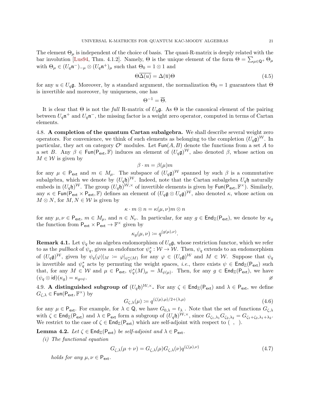The element  $\Theta_{\mu}$  is independent of the choice of basis. The quasi-R-matrix is deeply related with the bar involution [\[Lus94,](#page-57-3) Thm. 4.1.2]. Namely,  $\Theta$  is the unique element of the form  $\Theta = \sum_{\mu \in \mathbb{Q}^+} \Theta_{\mu}$ with  $\Theta_{\mu} \in (U_q \mathfrak{n}^{-})_{-\mu} \otimes (U_q \mathfrak{n}^{+})_{\mu}$  such that  $\Theta_0 = 1 \otimes 1$  and

$$
\Theta \overline{\Delta(u)} = \Delta(\overline{u}) \Theta \tag{4.5}
$$

for any  $u \in U_q\mathfrak{g}$ . Moreover, by a standard argument, the normalization  $\Theta_0 = 1$  guarantees that  $\Theta$ is invertible and moreover, by uniqueness, one has

<span id="page-22-1"></span>
$$
\Theta^{-1} = \overline{\Theta}.
$$

It is clear that  $\Theta$  is not the full R-matrix of  $U_q\mathfrak{g}$ . As  $\Theta$  is the canonical element of the pairing between  $U_q$ n<sup>+</sup> and  $U_q$ n<sup>-</sup>, the missing factor is a weight zero operator, computed in terms of Cartan elements.

<span id="page-22-3"></span>4.8. A completion of the quantum Cartan subalgebra. We shall describe several weight zero operators. For convenience, we think of such elements as belonging to the completion  $(U_q\mathfrak{g})^W$ . In particular, they act on category  $\mathcal{O}^{\epsilon}$  modules. Let  $\text{Fun}(A, B)$  denote the functions from a set A to a set B. Any  $\beta \in \text{Fun}(\mathsf{P}_{\text{ext}}, \mathbb{F})$  induces an element of  $(U_q \mathfrak{g})^W$ , also denoted  $\beta$ , whose action on  $M \in \mathcal{W}$  is given by

$$
\beta \cdot m = \beta(\mu)m
$$

for any  $\mu \in \mathsf{P}_{\textsf{ext}}$  and  $m \in M_{\mu}$ . The subspace of  $(U_q \mathfrak{g})^{\mathcal{W}}$  spanned by such  $\beta$  is a commutative subalgebra, which we denote by  $(U_q \mathfrak{h})^{\mathcal{W}}$ . Indeed, note that the Cartan subalgebra  $U_q \mathfrak{h}$  naturally embeds in  $(U_q \mathfrak{h})^{\mathcal{W}}$ . The group  $(U_q \mathfrak{h})^{\mathcal{W},\times}$  of invertible elements is given by  $\mathsf{Fun}(\mathsf{P}_{\mathsf{ext}},\mathbb{F}^{\times})$ . Similarly, any  $\kappa \in \text{Fun}(P_{ext} \times P_{ext}, \mathbb{F})$  defines an element of  $(U_q \mathfrak{g} \otimes U_q \mathfrak{g})^{\mathcal{W}}$ , also denoted  $\kappa$ , whose action on  $M \otimes N$ , for  $M, N \in \mathcal{W}$  is given by

$$
\kappa \cdot m \otimes n = \kappa(\mu, \nu)m \otimes n
$$

for any  $\mu, \nu \in \mathsf{P}_{\textsf{ext}}, m \in M_{\mu}$ , and  $n \in N_{\nu}$ . In particular, for any  $g \in \mathsf{End}_{\mathbb{Z}}(\mathsf{P}_{\textsf{ext}})$ , we denote by  $\kappa_g$ the function from  $P_{ext} \times P_{ext} \to \mathbb{F}^{\times}$  given by

$$
\kappa_g(\mu,\nu) \coloneqq q^{(g(\mu),\nu)}.
$$

<span id="page-22-5"></span>**Remark 4.1.** Let  $\psi_q$  be an algebra endomorphism of  $U_q\mathfrak{g}$ , whose restriction functor, which we refer to as the *pullback* of  $\psi_q$ , gives an endofunctor  $\psi_q^*: \mathcal{W} \to \mathcal{W}$ . Then,  $\psi_q$  extends to an endomorphism of  $(U_q\mathfrak{g})^{\mathcal{W}}$ , given by  $\psi_q(\varphi)|_M := \varphi|_{\psi_q^*(M)}$  for any  $\varphi \in (U_q\mathfrak{g})^{\mathcal{W}}$  and  $M \in \mathcal{W}$ . Suppose that  $\psi_q$ is invertible and  $\psi_q^*$  acts by permuting the weight spaces, *i.e.*, there exists  $\psi \in \text{End}_{\mathbb{Z}}(\mathsf{P}_{\text{ext}})$  such that, for any  $M \in \mathcal{W}$  and  $\mu \in \mathsf{P}_{\textsf{ext}}, \ \psi_q^*(M)_{\mu} = M_{\psi(\mu)}$ . Then, for any  $g \in \mathsf{End}_{\mathbb{Z}}(\mathsf{P}_{\textsf{ext}})$ , we have  $(\psi_q \otimes \text{id})(\kappa_g) = \kappa_{g \circ \psi}.$ 

<span id="page-22-6"></span>4.9. A distinguished subgroup of  $(U_q \mathfrak{h})^{\mathcal{W},\times}$ . For any  $\zeta \in \text{End}_{\mathbb{Z}}(P_{ext})$  and  $\lambda \in P_{ext}$ , we define  $G_{\zeta,\lambda} \in \mathsf{Fun}(\overline{\mathsf{P}_{\mathsf{ext}}},\mathbb{F}^{\times})$  by

<span id="page-22-2"></span><span id="page-22-0"></span>
$$
G_{\zeta,\lambda}(\mu) := q^{(\zeta(\mu),\mu)/2 + (\lambda,\mu)}\tag{4.6}
$$

for any  $\mu \in \mathsf{P}_{\textsf{ext}}$ . For example, for  $\lambda \in \mathsf{Q}$ , we have  $G_{0,\lambda} = t_\lambda$ . Note that the set of functions  $G_{\zeta,\lambda}$ with  $\zeta \in \text{End}_{\mathbb{Z}}(\mathsf{P}_{\text{ext}})$  and  $\lambda \in \mathsf{P}_{\text{ext}}$  form a subgroup of  $(U_q \mathfrak{h})^{\mathcal{W}, \times}$ , since  $G_{\zeta_1, \lambda_1} G_{\zeta_2, \lambda_2} = G_{\zeta_1 + \zeta_2, \lambda_1 + \lambda_2}$ . We restrict to the case of  $\zeta \in \text{End}_{\mathbb{Z}}(\mathsf{P}_{\text{ext}})$  which are self-adjoint with respect to  $( , , ).$ 

<span id="page-22-4"></span>**Lemma 4.2.** Let  $\zeta \in \text{End}_{\mathbb{Z}}(\mathsf{P}_{\text{ext}})$  be self-adjoint and  $\lambda \in \mathsf{P}_{\text{ext}}$ .

(i) The functional equation

$$
G_{\zeta,\lambda}(\mu+\nu) = G_{\zeta,\lambda}(\mu)G_{\zeta,\lambda}(\nu)q^{(\zeta(\mu),\nu)}\tag{4.7}
$$

holds for any  $\mu, \nu \in P_{ext}$ .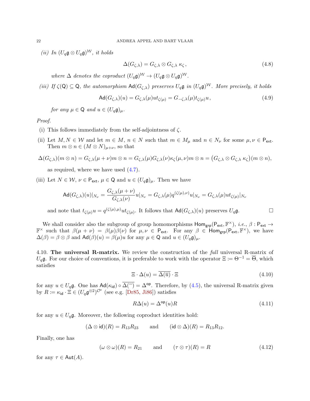(ii) In  $(U_q \mathfrak{g} \otimes U_q \mathfrak{g})^{\mathcal{W}}$ , it holds

<span id="page-23-2"></span><span id="page-23-1"></span>
$$
\Delta(G_{\zeta,\lambda}) = G_{\zeta,\lambda} \otimes G_{\zeta,\lambda} \kappa_{\zeta},\tag{4.8}
$$

where  $\Delta$  denotes the coproduct  $(U_q\mathfrak{g})^{\mathcal{W}} \to (U_q\mathfrak{g} \otimes U_q\mathfrak{g})^{\mathcal{W}}$ .

(iii) If  $\zeta(Q) \subseteq Q$ , the automorphism  $\text{Ad}(G_{\zeta,\lambda})$  preserves  $U_q\mathfrak{g}$  in  $(U_q\mathfrak{g})^{\mathcal{W}}$ . More precisely, it holds

$$
\operatorname{Ad}(G_{\zeta,\lambda})(u) = G_{\zeta,\lambda}(\mu)ut_{\zeta(\mu)} = G_{-\zeta,\lambda}(\mu)t_{\zeta(\mu)}u,\tag{4.9}
$$

for any  $\mu \in \mathsf{Q}$  and  $u \in (U_a \mathfrak{g})_\mu$ .

#### Proof.

- (i) This follows immediately from the self-adjointness of  $\zeta$ .
- (ii) Let  $M, N \in \mathcal{W}$  and let  $m \in M$ ,  $n \in N$  such that  $m \in M_{\mu}$  and  $n \in N_{\nu}$  for some  $\mu, \nu \in P_{ext}$ . Then  $m \otimes n \in (M \otimes N)_{\mu+\nu}$ , so that

$$
\Delta(G_{\zeta,\lambda})(m \otimes n) = G_{\zeta,\lambda}(\mu + \nu)m \otimes n = G_{\zeta,\lambda}(\mu)G_{\zeta,\lambda}(\nu)\kappa_{\zeta}(\mu, \nu)m \otimes n = (G_{\zeta,\lambda} \otimes G_{\zeta,\lambda} \kappa_{\zeta})(m \otimes n),
$$

as required, where we have used [\(4.7\)](#page-22-0).

(iii) Let  $N \in \mathcal{W}$ ,  $\nu \in \mathsf{P}_{\mathsf{ext}}, \mu \in \mathsf{Q}$  and  $u \in (U_q \mathfrak{g})_\mu$ . Then we have

$$
\operatorname{Ad}(G_{\zeta,\lambda})(u)|_{N_{\nu}} = \frac{G_{\zeta,\lambda}(\mu+\nu)}{G_{\zeta,\lambda}(\nu)}u|_{N_{\nu}} = G_{\zeta,\lambda}(\mu)q^{(\zeta(\mu),\nu)}u|_{N_{\nu}} = G_{\zeta,\lambda}(\mu)ut_{\zeta(\mu)}|_{N_{\nu}}
$$

and note that  $t_{\zeta(\mu)}u = q^{(\zeta(\mu),\mu)}ut_{\zeta(\mu)}$ . It follows that  $\mathsf{Ad}(G_{\zeta,\lambda})(u)$  preserves  $U_q\mathfrak{g}$ .

We shall consider also the subgroup of group homomorphisms  $\text{Hom}_{\text{grp}}(P_{ext}, \mathbb{F}^{\times}), i.e., \beta : P_{ext} \to$  $\mathbb{F}^\times$  such that  $\beta(\mu + \nu) = \beta(\mu)\overline{\beta(\nu)}$  for  $\mu, \nu \in \mathsf{P}_{\textsf{ext}}$ . For any  $\beta \in \textsf{Hom}_{\textsf{grp}}(\mathsf{P}_{\textsf{ext}}, \mathbb{F}^\times)$ , we have  $\Delta(\beta) = \beta \otimes \beta$  and  $\mathsf{Ad}(\beta)(u) = \beta(\mu)u$  for any  $\mu \in \mathsf{Q}$  and  $u \in (U_q \mathfrak{g})_\mu$ .

<span id="page-23-5"></span>4.10. The universal R-matrix. We review the construction of the *full* universal R-matrix of  $U_q$ g. For our choice of conventions, it is preferable to work with the operator  $\Xi := \Theta^{-1} = \overline{\Theta}$ , which satisfies

<span id="page-23-3"></span>
$$
\Xi \cdot \Delta(u) = \overline{\Delta(\overline{u})} \cdot \Xi \tag{4.10}
$$

for any  $u \in U_q\mathfrak{g}$ . One has  $\mathsf{Ad}(\kappa_{\mathsf{id}}) \circ \overline{\Delta}^{-1} = \Delta^{\mathsf{op}}$ . Therefore, by [\(4.5\)](#page-22-1), the universal R-matrix given by  $R \coloneqq \kappa_{\mathsf{id}} \cdot \Xi \in (U_q \mathfrak{g}^{\otimes 2})^{\mathcal{O}^{\epsilon}}$  (see e.g. [\[Dr85,](#page-56-4) [Ji86\]](#page-56-5)) satisfies

<span id="page-23-4"></span><span id="page-23-0"></span>
$$
R\Delta(u) = \Delta^{\rm op}(u)R\tag{4.11}
$$

for any  $u \in U_q\mathfrak{g}$ . Moreover, the following coproduct identities hold:

$$
(\Delta \otimes id)(R) = R_{13}R_{23}
$$
 and  $(id \otimes \Delta)(R) = R_{13}R_{12}$ .

Finally, one has

$$
(\omega \otimes \omega)(R) = R_{21} \quad \text{and} \quad (\tau \otimes \tau)(R) = R \tag{4.12}
$$

for any  $\tau \in \text{Aut}(A)$ .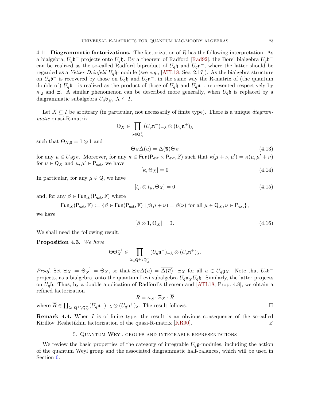4.11. Diagrammatic factorizations. The factorization of  $R$  has the following interpretation. As a bialgebra,  $U_q$ b<sup>-</sup> projects onto  $U_q$ h. By a theorem of Radford [\[Rad92\]](#page-57-19), the Borel bialgebra  $U_q$ b<sup>-</sup> can be realized as the so-called Radford biproduct of  $U_q$ h and  $U_q$ n<sup>-</sup>, where the latter should be regarded as a Yetter-Drinfeld  $U_q$ h-module (see e.g., [\[ATL18,](#page-55-16) Sec. 2.17]). As the bialgebra structure on  $U_q$ b<sup>-</sup> is recovered by those on  $U_q$ h and  $U_q$ n<sup>-</sup>, in the same way the R-matrix of (the quantum double of)  $U_q$ b<sup>-</sup> is realized as the product of those of  $U_q$ h and  $U_q$ n<sup>-</sup>, represented respectively by  $\kappa_{\text{id}}$  and Ξ. A similar phenomenon can be described more generally, when  $U_q$ h is replaced by a diagrammatic subalgebra  $U_q\mathfrak{b}_X^-, X \subseteq I$ .

Let  $X \subseteq I$  be arbitrary (in particular, not necessarily of finite type). There is a unique *diagram*matic quasi-R-matrix

$$
\Theta_X \in \prod_{\lambda \in \mathsf{Q}_X^+} (U_q \mathfrak{n}^-)_{-\lambda} \otimes (U_q \mathfrak{n}^+)_{\lambda}
$$

such that  $\Theta_{X,0} = 1 \otimes 1$  and

$$
\Theta_X \Delta(u) = \Delta(\overline{u}) \Theta_X \tag{4.13}
$$

for any  $u \in U_q \mathfrak{g}_X$ . Moreover, for any  $\kappa \in \text{Fun}(\mathsf{P}_{\text{ext}} \times \mathsf{P}_{\text{ext}}, \mathbb{F})$  such that  $\kappa(\mu + \nu, \mu') = \kappa(\mu, \mu' + \nu)$ for  $\nu \in \mathsf{Q}_X$  and  $\mu, \mu' \in \mathsf{P}_{\mathsf{ext}},$  we have

<span id="page-24-6"></span><span id="page-24-4"></span><span id="page-24-3"></span>
$$
[\kappa, \Theta_X] = 0 \tag{4.14}
$$

In particular, for any  $\mu \in \mathsf{Q}$ , we have

$$
[t_{\mu} \otimes t_{\mu}, \Theta_X] = 0 \tag{4.15}
$$

and, for any  $\beta \in \text{Fun}_X(\mathsf{P}_{\text{ext}}, \mathbb{F})$  where

$$
\operatorname{\mathsf{Fun}}\nolimits_X(\mathsf{P}_{\mathsf{ext}}, \mathbb{F}) := \{ \beta \in \operatorname{\mathsf{Fun}}\nolimits(\mathsf{P}_{\mathsf{ext}}, \mathbb{F}) \mid \beta(\mu + \nu) = \beta(\nu) \text{ for all } \mu \in \mathsf{Q}_X, \nu \in \mathsf{P}_{\mathsf{ext}} \} \text{,}
$$

we have

<span id="page-24-5"></span>
$$
[\beta \otimes 1, \Theta_X] = 0. \tag{4.16}
$$

We shall need the following result.

<span id="page-24-1"></span>Proposition 4.3. We have

$$
\Theta\Theta_X^{-1}\in \prod_{\lambda\in \mathsf{Q}^+\backslash \mathsf{Q}_X^+}(U_q\mathfrak{n}^-)_{-\lambda}\otimes (U_q\mathfrak{n}^+)_{\lambda}.
$$

*Proof.* Set  $\Xi_X := \Theta_X^{-1} = \overline{\Theta_X}$ , so that  $\Xi_X \Delta(u) = \overline{\Delta(\overline{u})} \cdot \Xi_X$  for all  $u \in U_q \mathfrak{g}_X$ . Note that  $U_q \mathfrak{b}^$ projects, as a bialgebra, onto the quantum Levi subalgebra  $U_q \mathfrak{n}_X^- U_q \mathfrak{h}$ . Similarly, the latter projects on  $U_q$ h. Thus, by a double application of Radford's theorem and [\[ATL18,](#page-55-16) Prop. 4.8], we obtain a refined factorization

$$
R = \kappa_{\mathsf{id}} \cdot \Xi_X \cdot \overline{R}
$$

where  $\overline{R} \in \prod_{\lambda \in \mathsf{Q}^+ \setminus \mathsf{Q}^+_{\mathsf{X}}}(U_q \mathfrak{n}^-)_{-\lambda} \otimes (U_q \mathfrak{n}^+)_{\lambda}$ . The result follows.

<span id="page-24-2"></span>**Remark 4.4.** When I is of finite type, the result is an obvious consequence of the so-called Kirillov–Reshetikhin factorization of the quasi-R-matrix [\[KR90\]](#page-56-10).  $\varnothing$ 

#### 5. Quantum Weyl groups and integrable representations

<span id="page-24-0"></span>We review the basic properties of the category of integrable  $U_q$ **g**-modules, including the action of the quantum Weyl group and the associated diagrammatic half-balances, which will be used in Section [6.](#page-27-0)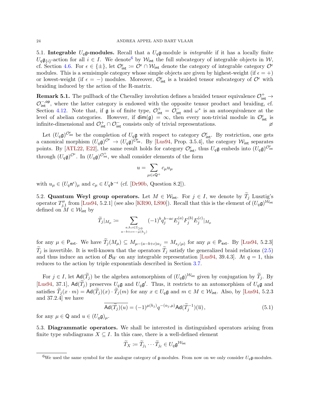5.1. Integrable  $U_q$ g-modules. Recall that a  $U_q$ g-module is *integrable* if it has a locally finite  $U_q\mathfrak{g}_{\{i\}}$ -action for all  $i \in I$ . We denote by  $\mathcal{W}_{\text{int}}$  the full subcategory of integrable objects in  $\mathcal{W},$ cf. Section [4.6.](#page-21-1) For  $\epsilon \in {\pm}$ , let  $\mathcal{O}_{\text{int}}^{\epsilon} := \mathcal{O}^{\epsilon} \cap \mathcal{W}_{\text{int}}$  denote the category of integrable category  $\mathcal{O}^{\epsilon}$ modules. This is a semisimple category whose simple objects are given by highest-weight (if  $\epsilon = +$ ) or lowest-weight (if  $\epsilon = -$ ) modules. Moreover,  $\mathcal{O}_{int}^{\epsilon}$  is a braided tensor subcategory of  $\mathcal{O}^{\epsilon}$  with braiding induced by the action of the R-matrix.

**Remark 5.1.** The pullback of the Chevalley involution defines a braided tensor equivalence  $\mathcal{O}^+_{\text{int}} \to$  $\mathcal{O}_{\text{int}}^{-,\text{op}}$ , where the latter category is endowed with the opposite tensor product and braiding, cf. Section [4.12.](#page-23-0) Note that, if  $\mathfrak g$  is of finite type,  $\mathcal O^+_{\text{int}} = \mathcal O^-_{\text{int}}$  and  $\omega^*$  is an autoequivalence at the level of abelian categories. However, if  $\dim(\mathfrak{g}) = \infty$ , then every non-trivial module in  $\mathcal{O}_{\text{int}}^{\epsilon}$  is infinite-dimensional and  $\mathcal{O}_{int}^+ \cap \mathcal{O}_{int}^-$  consists only of trivial representations.

Let  $(U_q\mathfrak{g})^{\mathcal{O}_{\mathsf{int}}^{\epsilon}}$  be the completion of  $U_q\mathfrak{g}$  with respect to category  $\mathcal{O}_{\mathsf{int}}^{\epsilon}$ . By restriction, one gets a canonical morphism  $(U_q \mathfrak{g})^{\mathcal{O}^{\epsilon}} \to (U_q \mathfrak{g})^{\mathcal{O}^{\epsilon}_{\text{int}}}$ . By [\[Lus94,](#page-57-3) Prop. 3.5.4], the category  $\mathcal{W}_{\text{int}}$  separates points. By [\[ATL22,](#page-55-17) [E22\]](#page-56-24), the same result holds for category  $\mathcal{O}_{int}^{\epsilon}$ , thus  $U_q\mathfrak{g}$  embeds into  $(U_q\mathfrak{g})^{\mathcal{O}_{int}^{\epsilon}}$ through  $(U_q \mathfrak{g})^{\mathcal{O}^{\epsilon}}$ . In  $(U_q \mathfrak{g})^{\mathcal{O}^{\epsilon}_{\rm int}}$ , we shall consider elements of the form

$$
u=\sum_{\mu\in\epsilon \mathsf{Q}^+}c_\mu u_\mu
$$

with  $u_{\mu} \in (U_q \mathfrak{n}^{\epsilon})_{\mu}$  and  $c_{\mu} \in U_q \mathfrak{b}^{-\epsilon}$  (cf. [\[Dr90b,](#page-56-23) Question 8.2]).

5.2. Quantum Weyl group operators. Let  $M \in \mathcal{W}_{int}$ . For  $j \in I$ , we denote by  $\widetilde{T}_j$  Lusztig's operator  $T''_{j,1}$  from [\[Lus94,](#page-57-3) 5.2.1] (see also [\[KR90,](#page-56-10) [LS90\]](#page-57-20)). Recall that this is the element of  $(U_q\mathfrak{g})^{\mathcal{W}_{\text{int}}}$ defined on  $M \in \mathcal{W}_{\text{int}}$  by

$$
\widetilde{T}_j|_{M_\mu} := \sum_{\substack{a,b,c \in \mathbb{Z}_{\geq 0} \\ a-b+c = -\mu(h_j)}} (-1)^b q_j^{b-ac} E_j^{(a)} F_j^{(b)} E_j^{(c)} |_{M_\mu}
$$

for any  $\mu \in \mathsf{P}_{\textsf{ext}}$ . We have  $T_j(M_\mu) \subseteq M_{\mu-(a-b+c)\alpha_j} = M_{s_j(\mu)}$  for any  $\mu \in \mathsf{P}_{\textsf{ext}}$ . By [\[Lus94,](#page-57-3) 5.2.3]  $T_i$  is invertible. It is well-known that the operators  $T_i$  satisfy the generalized braid relations [\(2.5\)](#page-8-2) and thus induce an action of  $\mathcal{B}_W$  on any integrable representation [\[Lus94,](#page-57-3) 39.4.3]. At  $q = 1$ , this reduces to the action by triple exponentials described in Section [3.7.](#page-14-2)

For  $j \in I$ , let  $\text{Ad}(\widetilde{T}_j)$  be the algebra automorphism of  $(U_q\mathfrak{g})^{\mathcal{W}_{\text{int}}}$  given by conjugation by  $\widetilde{T}_j$ . By [\[Lus94,](#page-57-3) 37.1],  $Ad(\tilde{T}_j)$  preserves  $U_q$ **g** and  $U_q$ **g**'. Thus, it restricts to an automorphism of  $U_q$ **g** and satisfies  $T_j(x \cdot m) = \text{Ad}(T_j)(x) \cdot T_j(m)$  for any  $x \in U_q \mathfrak{g}$  and  $m \in M \in \mathcal{W}_{\text{int}}$ . Also, by [\[Lus94,](#page-57-3) 5.2.3] and 37.2.4] we have

$$
\operatorname{Ad}(\widetilde{T}_j)(u) = (-1)^{\mu(h_j)} q^{-(\alpha_j,\mu)} \operatorname{Ad}(\widetilde{T}_j^{-1})(\overline{u}), \tag{5.1}
$$

for any  $\mu \in \mathsf{Q}$  and  $u \in (U_q \mathfrak{g})_\mu$ .

5.3. Diagrammatic operators. We shall be interested in distinguished operators arising from finite type subdiagrams  $X \subseteq I$ . In this case, there is a well-defined element

<span id="page-25-1"></span>
$$
\widetilde{T}_X \coloneqq \widetilde{T}_{j_1} \cdots \widetilde{T}_{j_\ell} \in U_q \mathfrak{g}^{\mathcal{W}_{\text{int}}}
$$

<span id="page-25-0"></span><sup>&</sup>lt;sup>6</sup>We used the same symbol for the analogue category of g-modules. From now on we only consider  $U_q$ g-modules.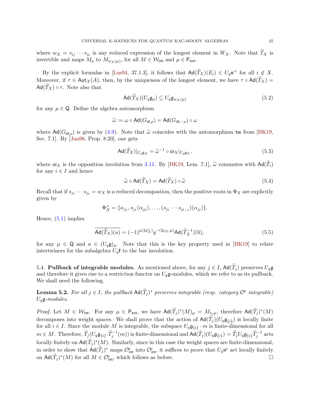where  $w_X = s_{j_1} \cdots s_{j_\ell}$  is any reduced expression of the longest element in  $W_X$ . Note that  $T_X$  is invertible and maps  $M_{\mu}$  to  $M_{w_X(\mu)}$ , for all  $M \in \mathcal{W}_{\text{int}}$  and  $\mu \in \mathsf{P}_{\text{ext}}$ .

By the explicit formulae in [\[Lus94,](#page-57-3) 37.1.3], it follows that  $\mathsf{Ad}(\widetilde{T}_X)(E_i) \in U_q \mathfrak{n}^+$  for all  $i \notin X$ . Moreover, if  $\tau \in Aut_X(A)$ , then, by the uniqueness of the longest element, we have  $\tau \circ Ad(\widetilde{T}_X) =$  $Ad(T_X) \circ \tau$ . Note also that

<span id="page-26-2"></span>
$$
\operatorname{Ad}(\tilde{T}_X)(U_q\mathfrak{g}_{\mu}) \subseteq U_q\mathfrak{g}_{w_X(\mu)}
$$
\n(5.2)

for any  $\mu \in \mathbb{Q}$ . Define the algebra automorphism

$$
\widetilde{\omega} \coloneqq \omega \circ \mathsf{Ad}(G_{\mathsf{id},\rho}) = \mathsf{Ad}(G_{\mathsf{id},-\rho}) \circ \omega
$$

where  $\text{Ad}(G_{\text{id},\rho})$  is given by [\(4.9\)](#page-23-1). Note that  $\tilde{\omega}$  coincides with the automorphism tw from [\[BK19,](#page-55-1) Sec. 7.1]. By [\[Jan96,](#page-56-25) Prop. 8.20], one gets

$$
\operatorname{Ad}(\widetilde{T}_X)|_{U_q \mathfrak{g}_X} = \widetilde{\omega}^{-1} \circ \operatorname{oi}_X|_{U_q \mathfrak{g}_X}.\tag{5.3}
$$

where  $\sigma_{X}$  is the opposition involution from [3.11.](#page-16-1) By [\[BK19,](#page-55-1) Lem. 7.1],  $\tilde{\omega}$  commutes with  $\text{Ad}(\tilde{T}_i)$ for any  $i \in I$  and hence

<span id="page-26-3"></span><span id="page-26-1"></span><span id="page-26-0"></span>
$$
\widetilde{\omega} \circ \mathrm{Ad}(\widetilde{T}_X) = \mathrm{Ad}(\widetilde{T}_X) \circ \widetilde{\omega} \tag{5.4}
$$

Recall that if  $s_{j_1} \cdots s_{j_\ell} = w_X$  is a reduced decompostion, then the positive roots in  $\Phi_X$  are explicitly given by

$$
\Phi_X^+ = \{\alpha_{j_1}, s_{j_1}(\alpha_{j_2}), \ldots, (s_{j_1} \cdots s_{j_{\ell-1}})(\alpha_{j_\ell})\}.
$$

Hence, [\(5.1\)](#page-25-1) implies

$$
\overline{\text{Ad}(\widetilde{T}_X)(u)} = (-1)^{\mu(2\rho_X^{\vee})} q^{-(2\rho_X,\mu)} \text{Ad}(\widetilde{T}_X^{-1})(\overline{u}), \tag{5.5}
$$

for any  $\mu \in \mathbb{Q}$  and  $u \in (U_q\mathfrak{g})_\mu$ . Note that this is the key property used in [\[BK19\]](#page-55-1) to relate intertwiners for the subalgebra  $U_q$ **t** to the bar involution.

5.4. Pullback of integrable modules. As mentioned above, for any  $j \in I$ ,  $\text{Ad}(\tilde{T}_j)$  preserves  $U_q\mathfrak{g}$ and therefore it gives rise to a restriction functor on  $U_q$ **g**-modules, which we refer to as its pullback. We shall need the following.

**Lemma 5.2.** For all  $j \in I$ , the pullback  $\text{Ad}(\widetilde{T}_j)^*$  preserves integrable (resp. category  $\mathcal{O}^{\epsilon}$  integrable)  $U_q$ g-modules.

*Proof.* Let  $M \in \mathcal{W}_{\text{int}}$ . For any  $\mu \in \mathsf{P}_{\text{ext}}$ , we have  $\mathsf{Ad}(\widetilde{T}_j)^*(M)_{\mu} = M_{s_j\mu}$ , therefore  $\mathsf{Ad}(\widetilde{T}_j)^*(M)$ decomposes into weight spaces. We shall prove that the action of  $\mathsf{Ad}(T_j)(U_q\mathfrak{g}_{\{i\}})$  is locally finite for all  $i \in I$ . Since the module M is integrable, the subspace  $U_q \mathfrak{g}_{\{i\}} \cdot m$  is finite-dimensional for all  $m \in M$ . Therefore,  $\widetilde{T}_j(U_q \mathfrak{g}_{\{i\}} \cdot \widetilde{T}_j^{-1}(m))$  is finite-dimensional and  $\mathsf{Ad}(\widetilde{T}_j)(U_q \mathfrak{g}_{\{i\}}) = \widetilde{T}_j U_q \mathfrak{g}_{\{i\}} \widetilde{T}_j^{-1}$  acts locally finitely on  $\mathsf{Ad}(\widetilde{T}_j)^*(M)$ . Similarly, since in this case the weight spaces are finite-dimensional, in order to show that  $\mathsf{Ad}(\widetilde{T}_j)^*$  maps  $\mathcal{O}^{\epsilon}_{\text{int}}$  into  $\mathcal{O}^{\epsilon}_{\text{int}}$ , it suffices to prove that  $U_q \mathfrak{n}^{\epsilon}$  act locally finitely on  $\mathsf{Ad}(\widetilde{T}_j)^*(M)$  for all  $M \in \mathcal{O}_{\mathsf{int}}^{\epsilon}$ , which follows as before.  $\Box$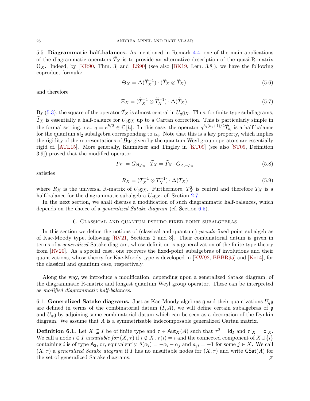<span id="page-27-2"></span>5.5. Diagrammatic half-balances. As mentioned in Remark [4.4,](#page-24-2) one of the main applications of the diagrammatic operators  $T_X$  is to provide an alternative description of the quasi-R-matrix  $\Theta_X$ . Indeed, by [\[KR90,](#page-56-10) Thm. 3] and [\[LS90\]](#page-57-20) (see also [\[BK19,](#page-55-1) Lem. 3.8]), we have the following coproduct formula:

<span id="page-27-1"></span>
$$
\Theta_X = \Delta(\widetilde{T}_X^{-1}) \cdot (\widetilde{T}_X \otimes \widetilde{T}_X). \tag{5.6}
$$

and therefore

<span id="page-27-6"></span>
$$
\Xi_X = (\widetilde{T}_X^{-1} \otimes \widetilde{T}_X^{-1}) \cdot \Delta(\widetilde{T}_X). \tag{5.7}
$$

By [\(5.3\)](#page-26-0), the square of the operator  $\widetilde{T}_X$  is almost central in  $U_q \mathfrak{g}_X$ . Thus, for finite type subdiagrams,  $\widetilde{T}_X$  is essentially a half-balance for  $U_q \mathfrak{g}_X$  up to a Cartan correction. This is particularly simple in the formal setting, *i.e.*,  $q = e^{\hbar/2} \in \mathbb{C}[\![\hbar]\!]$ . In this case, the operator  $q^{h_i(h_i+1)/2} \widetilde{T}_{s_i}$  is a half-balance for the quantum  $\mathfrak{sl}_2$  subalgebra corresponding to  $\alpha_i$ . Note that this is a key property, which implies the rigidity of the representations of  $\mathcal{B}_W$  given by the quantum Weyl group operators are essentially rigid cf. [\[ATL15\]](#page-55-18). More generally, Kamnitzer and Tingley in [\[KT09\]](#page-57-11) (see also [\[ST09,](#page-57-12) Definition 3.9]) proved that the modified operator

$$
T_X := G_{\mathsf{id}, \rho_X} \cdot \widetilde{T}_X = \widetilde{T}_X \cdot G_{\mathsf{id}, -\rho_X} \tag{5.8}
$$

satisfies

<span id="page-27-5"></span><span id="page-27-4"></span>
$$
R_X = (T_X^{-1} \otimes T_X^{-1}) \cdot \Delta(T_X) \tag{5.9}
$$

where  $R_X$  is the universal R-matrix of  $U_q$ **g**<sub>X</sub>. Furthermore,  $T_X^2$  is central and therefore  $T_X$  is a half-balance for the diagrammatic subalgebra  $U_q \mathfrak{g}_X$ , cf. Section [2.7.](#page-10-0)

In the next section, we shall discuss a modification of such diagrammatic half-balances, which depends on the choice of a generalized Satake diagram (cf. Section [6.5\)](#page-30-0).

#### 6. Classical and quantum pseudo-fixed-point subalgebras

<span id="page-27-0"></span>In this section we define the notions of (classical and quantum) *pseudo-fixed-point subalgebras* of Kac-Moody type, following [\[RV21,](#page-57-16) Sections 2 and 3]. Their combinatorial datum is given in terms of a generalized Satake diagram, whose definition is a generalization of the finite type theory from [\[RV20\]](#page-57-15). As a special case, one recovers the fixed-point subalgebras of involutions and their quantizations, whose theory for Kac-Moody type is developed in [\[KW92,](#page-57-14) [BBBR95\]](#page-55-15) and [\[Ko14\]](#page-56-7), for the classical and quantum case, respectively.

Along the way, we introduce a modification, depending upon a generalized Satake diagram, of the diagrammatic R-matrix and longest quantum Weyl group operator. These can be interpreted as modified diagrammatic half-balances.

6.1. Generalized Satake diagrams. Just as Kac-Moody algebras  $\mathfrak g$  and their quantizations  $U_q\mathfrak g$ are defined in terms of the combinatorial datum  $(I, A)$ , we will define certain subalgebras of g and  $U_q$ g by adjoining some combinatorial datum which can be seen as a decoration of the Dynkin diagram. We assume that A is a symmetrizable indecomposable generalized Cartan matrix.

<span id="page-27-3"></span>**Definition 6.1.** Let  $X \subseteq I$  be of finite type and  $\tau \in \text{Aut}_X(A)$  such that  $\tau^2 = id_I$  and  $\tau|_X = \text{o}i_X$ . We call a node  $i \in I$  unsuitable for  $(X, \tau)$  if  $i \notin X$ ,  $\tau(i) = i$  and the connected component of  $X \cup \{i\}$ containing i is of type A<sub>2</sub>, or, equivalently,  $\theta(\alpha_i) = -\alpha_i - \alpha_j$  and  $a_{ji} = -1$  for some  $j \in X$ . We call  $(X, \tau)$  a generalized Satake diagram if I has no unsuitable nodes for  $(X, \tau)$  and write  $\mathsf{GSat}(A)$  for the set of generalized Satake diagrams.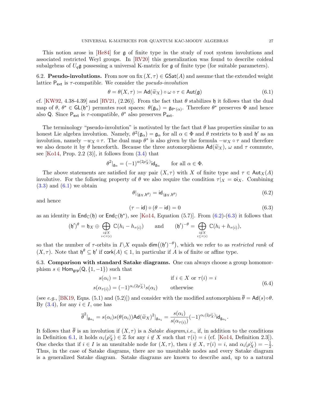<span id="page-28-1"></span>6.2. **Pseudo-involutions.** From now on fix  $(X, \tau) \in \text{GSat}(A)$  and assume that the extended weight lattice  $P_{ext}$  is  $\tau$ -compatible. We consider the *pseudo-involution* 

<span id="page-28-2"></span>
$$
\theta = \theta(X, \tau) := \text{Ad}(\widetilde{w}_X) \circ \omega \circ \tau \in \text{Aut}(\mathfrak{g}) \tag{6.1}
$$

cf. [\[KW92,](#page-57-14) 4.38-4.39] and [\[RV21,](#page-57-16) (2.26)]. From the fact that  $\theta$  stabilizes h it follows that the dual map of  $\theta, \theta^* \in GL(\mathfrak{h}^*)$  permutes root spaces:  $\theta(\mathfrak{g}_{\alpha}) = \mathfrak{g}_{\theta^*(\alpha)}$ . Therefore  $\theta^*$  preserves  $\Phi$  and hence also Q. Since  $P_{ext}$  is  $\tau$ -compatible,  $\theta^*$  also preserves  $P_{ext}$ .

The terminology "pseudo-involution" is motivated by the fact that  $\theta$  has properties similar to an honest Lie algebra involution. Namely,  $\theta^2(\mathfrak{g}_{\alpha}) = \mathfrak{g}_{\alpha}$  for all  $\alpha \in \Phi$  and  $\theta$  restricts to  $\mathfrak{h}$  and  $\mathfrak{h}'$  as an involution, namely  $-w_X \circ \tau$ . The dual map  $\theta^*$  is also given by the formula  $-w_X \circ \tau$  and therefore we also denote it by  $\theta$  henceforth. Because the three automorphisms  $\mathsf{Ad}(\widetilde{w}_X)$ ,  $\omega$  and  $\tau$  commute, see  $[Ko14, Prop. 2.2 (3)],$  it follows from  $(3.4)$  that

$$
\theta^2|_{\mathfrak{g}_\alpha} = (-1)^{\alpha(2\rho_X^\vee)} \mathrm{id}_{\mathfrak{g}_\alpha} \qquad \text{for all } \alpha \in \Phi.
$$

The above statements are satisfied for any pair  $(X, \tau)$  with X of finite type and  $\tau \in \text{Aut}_X(A)$ involutive. For the following property of  $\theta$  we also require the condition  $\tau|_X = o_iX$ . Combining  $(3.3)$  and  $(6.1)$  we obtain

<span id="page-28-3"></span>
$$
\theta|_{\langle \mathfrak{g}_X, \mathfrak{h}^\theta \rangle} = \mathrm{id}_{\langle \mathfrak{g}_X, \mathfrak{h}^\theta \rangle} \tag{6.2}
$$

and hence

$$
(\tau - \mathsf{id}) \circ (\theta - \mathsf{id}) = 0 \tag{6.3}
$$

<span id="page-28-5"></span><span id="page-28-4"></span>.

as an identity in  $\mathsf{End}_{\mathbb{C}}(\mathfrak{h})$  or  $\mathsf{End}_{\mathbb{C}}(\mathfrak{h}^*)$ , see [\[Ko14,](#page-56-7) Equation (5.7)]. From [\(6.2\)](#page-28-3)-[\(6.3\)](#page-28-4) it follows that

$$
(\mathfrak{h}')^{\theta} = \mathfrak{h}_X \oplus \bigoplus_{\substack{i \notin X \\ i < \tau(i)}} \mathbb{C}(h_i - h_{\tau(i)}) \quad \text{and} \quad (\mathfrak{h}')^{-\theta} = \bigoplus_{\substack{i \notin X \\ i \leq \tau(i)}} \mathbb{C}(h_i + h_{\tau(i)}),
$$

so that the number of  $\tau$ -orbits in  $I\setminus X$  equals  $\dim((\mathfrak{h}')^{-\theta})$ , which we refer to as *restricted rank* of  $(X, \tau)$ . Note that  $\mathfrak{h}^{\theta} \subseteq \mathfrak{h}'$  if cork $(A) \leq 1$ , in particular if A is of finite or affine type.

<span id="page-28-0"></span>6.3. Comparison with standard Satake diagrams. One can always choose a group homomorphism  $s \in \text{Hom}_{\text{grp}}(Q, \{1, -1\})$  such that

$$
s(\alpha_i) = 1 \qquad \text{if } i \in X \text{ or } \tau(i) = i
$$
  

$$
s(\alpha_{\tau(i)}) = (-1)^{\alpha_i(2\rho_X^{\vee})} s(\alpha_i) \qquad \text{otherwise}
$$
 (6.4)

(see e.g., [\[BK19,](#page-55-1) Eqns. (5.1) and (5.2)]) and consider with the modified automorphism  $\bar{\theta} = Ad(s) \circ \theta$ . By  $(3.4)$ , for any  $i \in I$ , one has

$$
\overline{\theta}^2|_{\mathfrak{g}_{\alpha_i}}=s(\alpha_i)s(\theta(\alpha_i))\text{Ad}(\widetilde{w}_X)^2|_{\mathfrak{g}_{\alpha_i}}=\frac{s(\alpha_i)}{s(\alpha_{\tau(i)})}(-1)^{\alpha_i(2\rho_X^\vee)}\text{id}_{\mathfrak{g}_{\alpha_i}}
$$

It follows that  $\bar{\theta}$  is an involution if  $(X, \tau)$  is a *Satake diagram,i.e.*, if, in addition to the conditions in Definition [6.1,](#page-27-3) it holds  $\alpha_i(\rho_X^{\vee}) \in \mathbb{Z}$  for any  $i \notin X$  such that  $\tau(i) = i$  (cf. [\[Ko14,](#page-56-7) Definition 2.3]). One checks that if  $i \in I$  is an unsuitable node for  $(X, \tau)$ , then  $i \notin X$ ,  $\tau(i) = i$ , and  $\alpha_i(\rho_X^{\vee}) = -\frac{1}{2}$  $\frac{1}{2}$ . Thus, in the case of Satake diagrams, there are no unsuitable nodes and every Satake diagram is a generalized Satake diagram. Satake diagrams are known to describe and, up to a natural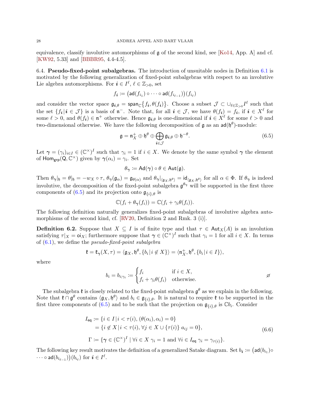equivalence, classify involutive automorphisms of g of the second kind, see [\[Ko14,](#page-56-7) App. A] and cf. [\[KW92,](#page-57-14) 5.33] and [\[BBBR95,](#page-55-15) 4.4-4.5].

6.4. Pseudo-fixed-point subalgebras. The introduction of unsuitable nodes in Definition [6.1](#page-27-3) is motivated by the following generalization of fixed-point subalgebras with respect to an involutive Lie algebra automorphisms. For  $i \in I^{\ell}, \ell \in \mathbb{Z}_{>0}$ , set

$$
f_{\boldsymbol{i}} \coloneqq \big(\mathsf{ad}(f_{i_1}) \circ \cdots \circ \mathsf{ad}(f_{i_{\ell-1}})\big)(f_{i_\ell})
$$

and consider the vector space  $\mathfrak{g}_{i,\theta} = \text{span}_{\mathbb{C}}\{f_i,\theta(f_i)\}\.$  Choose a subset  $\mathcal{J} \subset \cup_{\ell \in \mathbb{Z}_{>0}} I^{\ell}$  such that the set  $\{f_i | i \in \mathcal{J}\}\$ is a basis of  $\mathfrak{n}^-$ . Note that, for all  $i \in \mathcal{J}$ , we have  $\theta(f_i) = f_i$ , if  $i \in X^{\ell}$  for some  $\ell > 0$ , and  $\theta(f_i) \in \mathfrak{n}^+$  otherwise. Hence  $\mathfrak{g}_{i,\theta}$  is one-dimensional if  $i \in X^{\ell}$  for some  $\ell > 0$  and two-dimensional otherwise. We have the following decomposition of  $\mathfrak g$  as an  $ad(\mathfrak h^{\theta})$ -module:

$$
\mathfrak{g} = \mathfrak{n}_X^+ \oplus \mathfrak{h}^\theta \oplus \bigoplus_{\mathbf{i} \in \mathcal{J}} \mathfrak{g}_{\mathbf{i},\theta} \oplus \mathfrak{h}^{-\theta}.
$$
 (6.5)

Let  $\gamma = (\gamma_i)_{i \in I} \in (\mathbb{C}^{\times})^I$  such that  $\gamma_i = 1$  if  $i \in X$ . We denote by the same symbol  $\gamma$  the element of  $\text{Hom}_{\text{grp}}(Q, \mathbb{C}^{\times})$  given by  $\gamma(\alpha_i) = \gamma_i$ . Set

<span id="page-29-0"></span>
$$
\theta_{\gamma} \coloneqq \mathsf{Ad}(\gamma) \circ \theta \in \mathsf{Aut}(\mathfrak{g}).
$$

Then  $\theta_{\gamma}|_{\mathfrak{h}} = \theta|_{\mathfrak{h}} = -w_X \circ \tau$ ,  $\theta_{\gamma}(\mathfrak{g}_{\alpha}) = \mathfrak{g}_{\theta(\alpha)}$  and  $\theta_{\gamma}|_{(\mathfrak{g}_X, \mathfrak{h}^{\theta})} = id_{\langle \mathfrak{g}_X, \mathfrak{h}^{\theta} \rangle}$  for all  $\alpha \in \Phi$ . If  $\theta_{\gamma}$  is indeed involutive, the decomposition of the fixed-point subalgebra  $\mathfrak{g}^{\theta_{\gamma}}$  will be supported in the first three components of [\(6.5\)](#page-29-0) and its projection onto  $\mathfrak{g}_{\{i\},\theta}$  is

$$
\mathbb{C}(f_i + \theta_{\gamma}(f_i)) = \mathbb{C}(f_i + \gamma_i \theta(f_i)).
$$

The following definition naturally generalizes fixed-point subalgebras of involutive algebra automorphisms of the second kind, cf. [\[RV20,](#page-57-15) Definition 2 and Rmk. 3 (i)].

**Definition 6.2.** Suppose that  $X \subseteq I$  is of finite type and that  $\tau \in Aut_X(A)$  is an involution satisfying  $\tau |_{X} = \mathsf{o}i_{X}$ ; furthermore suppose that  $\gamma \in (\mathbb{C}^{\times})^{I}$  such that  $\gamma_{i} = 1$  for all  $i \in X$ . In terms of  $(6.1)$ , we define the *pseudo-fixed-point subalgebra* 

$$
\mathfrak{k}=\mathfrak{k}_{\pmb\gamma}(X,\tau)=\langle \mathfrak{g}_X,\mathfrak{h}^\theta,\{b_i\,|\,i\not\in X\}\rangle=\langle \mathfrak{n}^+_X,\mathfrak{h}^\theta,\{b_i\,|\,i\in I\}\rangle,
$$

where

<span id="page-29-1"></span>
$$
b_i = b_{i; \gamma_i} := \begin{cases} f_i & \text{if } i \in X, \\ f_i + \gamma_i \theta(f_i) & \text{otherwise.} \end{cases} \qquad \qquad \beta
$$

The subalgebra  $\mathfrak k$  is closely related to the fixed-point subalgebra  $\mathfrak g^\theta$  as we explain in the following. Note that  $\mathfrak{k} \cap \mathfrak{g}^{\theta}$  contains  $\langle \mathfrak{g}_X, \mathfrak{h}^{\theta} \rangle$  and  $b_i \in \mathfrak{g}_{\{i\},\theta}$ . It is natural to require  $\mathfrak{k}$  to be supported in the first three components of [\(6.5\)](#page-29-0) and to be such that the projection on  $\mathfrak{g}_{\{i\},\theta}$  is  $\mathbb{C}b_i$ . Consider

$$
I_{\text{eq}} := \{ i \in I | i < \tau(i), (\theta(\alpha_i), \alpha_i) = 0 \}
$$
\n
$$
= \{ i \notin X | i < \tau(i), \forall j \in X \cup \{\tau(i)\} \ a_{ij} = 0 \},
$$
\n
$$
\Gamma := \{ \gamma \in (\mathbb{C}^\times)^I \mid \forall i \in X \ \gamma_i = 1 \ \text{and} \ \forall i \in I_{\text{eq}} \ \gamma_i = \gamma_{\tau(i)} \}.
$$
\n
$$
(6.6)
$$

The following key result motivates the definition of a generalized Satake diagram. Set  $b_i := (\mathsf{ad}(b_{i_1}) \circ$  $\cdots\circ \mathsf{ad}(b_{i_{\ell-1}})\big)(b_{i_\ell})\;\text{for}\; \bm{i} \in I^\ell.$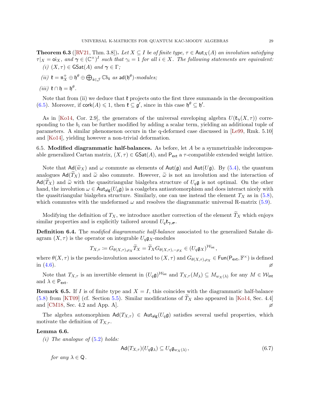**Theorem 6.3** ([\[RV21,](#page-57-16) Thm. 3.8]). Let  $X \subseteq I$  be of finite type,  $\tau \in \text{Aut}_X(A)$  an involution satisfying  $\tau |_{X} = \mathsf{o}i_{X}, \text{ and } \mathsf{o}_{\mathcal{I}} \in (\mathbb{C}^{\times})^{I} \text{ such that } \gamma_{i} = 1 \text{ for all } i \in X.$  The following statements are equivalent: (i)  $(X, \tau) \in \text{GSat}(A)$  and  $\gamma \in \Gamma$ ;

(ii)  $\mathfrak{k} = \mathfrak{n}_X^+ \oplus \mathfrak{h}^{\theta} \oplus \bigoplus_{\mathbf{i} \in \mathcal{J}} \mathbb{C} b_{\mathbf{i}}$  as  $\mathsf{ad}(\mathfrak{h}^{\theta})$ -modules;

$$
(iii) \ \mathfrak{k} \cap \mathfrak{h} = \mathfrak{h}^{\theta}.
$$

Note that from (ii) we deduce that  $\mathfrak k$  projects onto the first three summands in the decomposition [\(6.5\)](#page-29-0). Moreover, if  $\text{cork}(A) \leq 1$ , then  $\mathfrak{k} \subseteq \mathfrak{g}'$ , since in this case  $\mathfrak{h}^{\theta} \subseteq \mathfrak{h}'$ .

As in [\[Ko14,](#page-56-7) Cor. 2.9], the generators of the universal enveloping algebra  $U(\mathfrak{k}_{\gamma}(X,\tau))$  corresponding to the  $b_i$  can be further modified by adding a scalar term, yielding an additional tuple of parameters. A similar phenomenon occurs in the q-deformed case discussed in [\[Le99,](#page-57-7) Rmk. 5.10] and [\[Ko14\]](#page-56-7), yielding however a non-trivial deformation.

<span id="page-30-0"></span>6.5. Modified diagrammatic half-balances. As before, let  $A$  be a symmetrizable indecomposable generalized Cartan matrix,  $(X, \tau) \in \text{GSat}(A)$ , and  $P_{ext}$  a  $\tau$ -compatible extended weight lattice.

Note that  $\text{Ad}(\widetilde{w}_X)$  and  $\omega$  commute as elements of  $\text{Aut}(\mathfrak{g})$  and  $\text{Aut}(U\mathfrak{g})$ . By [\(5.4\)](#page-26-1), the quantum analogues  $\mathsf{Ad}(T_X)$  and  $\tilde{\omega}$  also commute. However,  $\tilde{\omega}$  is not an involution and the interaction of  $\mathsf{Ad}(T_X)$  and  $\widetilde{\omega}$  with the quasitriangular bialgebra structure of  $U_q\mathfrak{g}$  is not optimal. On the other hand, the involution  $\omega \in \text{Aut}_{\text{alg}}(U_q\mathfrak{g})$  is a coalgebra antiautomorphism and does interact nicely with the quasitriangular bialgebra structure. Similarly, one can use instead the element  $T_X$  as in [\(5.8\)](#page-27-4), which commutes with the undeformed  $\omega$  and resolves the diagrammatic universal R-matrix [\(5.9\)](#page-27-5).

Modifying the definition of  $T_X$ , we introduce another correction of the element  $\widetilde{T}_X$  which enjoys similar properties and is explicitly tailored around  $U_q \mathfrak{k}_{\gamma, \sigma}$ .

Definition 6.4. The modified diagrammatic half-balance associated to the generalized Satake diagram  $(X, \tau)$  is the operator on integrable  $U_q \mathfrak{g}_X$ -modules

$$
T_{X,\tau} := G_{\theta(X,\tau),\rho_X} \widetilde{T}_X = \widetilde{T}_X G_{\theta(X,\tau),-\rho_X} \in (U_q \mathfrak{g}_X)^{\mathcal{W}_{\text{int}}},
$$

where  $\theta(X,\tau)$  is the pseudo-involution associated to  $(X,\tau)$  and  $G_{\theta(X,\tau),\rho_X} \in \text{Fun}(\mathsf{P}_{\textsf{ext}},\mathbb{F}^{\times})$  is defined in  $(4.6)$ .

Note that  $T_{X,\tau}$  is an invertible element in  $(U_q\mathfrak{g})^{\mathcal{W}_{int}}$  and  $T_{X,\tau}(M_\lambda) \subseteq M_{w_X(\lambda)}$  for any  $M \in \mathcal{W}_{int}$ and  $\lambda \in \mathsf{P}_{\mathsf{ext}}$ .

**Remark 6.5.** If I is of finite type and  $X = I$ , this coincides with the diagrammatic half-balance [\(5.8\)](#page-27-4) from [\[KT09\]](#page-57-11) (cf. Section [5.5\)](#page-27-2). Similar modifications of  $T_X$  also appeared in [\[Ko14,](#page-56-7) Sec. 4.4] and [CM18, Sec. 4.2 and App. A]. and [\[CM18,](#page-55-19) Sec. 4.2 and App. A].

The algebra automorphism  $\text{Ad}(T_{X,\tau}) \in \text{Aut}_{\text{alg}}(U_q\mathfrak{g})$  satisfies several useful properties, which motivate the definition of  $T_{X,\tau}$ .

#### Lemma 6.6.

(i) The analogue of  $(5.2)$  holds:

<span id="page-30-1"></span>
$$
\mathsf{Ad}(T_{X,\tau})(U_q\mathfrak{g}_\lambda) \subseteq U_q\mathfrak{g}_{w_X(\lambda)},\tag{6.7}
$$

for any  $\lambda \in \mathsf{Q}$ .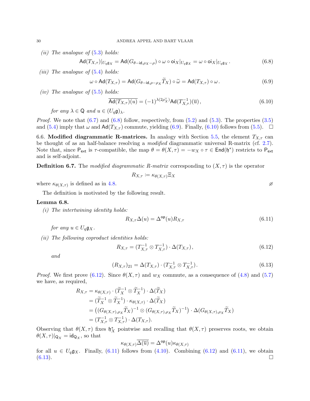(ii) The analogue of  $(5.3)$  holds:

$$
\operatorname{Ad}(T_{X,\tau})|_{U_q\mathfrak{g}_X} = \operatorname{Ad}(G_{\theta-\operatorname{id},\rho_X-\rho}) \circ \omega \circ \operatorname{oi}_X|_{U_q\mathfrak{g}_X} = \omega \circ \operatorname{oi}_X|_{U_q\mathfrak{g}_X}.
$$
(6.8)

(*iii*) The analogue of  $(5.4)$  holds:

$$
\omega \circ \operatorname{Ad}(T_{X,\tau}) = \operatorname{Ad}(G_{\theta-\operatorname{id},\rho-\rho_X}\widetilde{T}_X) \circ \widetilde{\omega} = \operatorname{Ad}(T_{X,\tau}) \circ \omega. \tag{6.9}
$$

(iv) The analogue of  $(5.5)$  holds:

$$
\overline{\text{Ad}(T_{X,\tau})(u)} = (-1)^{\lambda(2\rho_X^{\vee})} \text{Ad}(T_{X,\tau}^{-1})(\overline{u}), \qquad (6.10)
$$

for any  $\lambda \in \mathsf{Q}$  and  $u \in (U_a \mathfrak{g})_\lambda$ .

*Proof.* We note that  $(6.7)$  and  $(6.8)$  follow, respectively, from  $(5.2)$  and  $(5.3)$ . The properties  $(3.5)$ and [\(5.4\)](#page-26-1) imply that  $\omega$  and  $\mathsf{Ad}(T_{X,\tau})$  commute, yielding [\(6.9\)](#page-31-1). Finally, [\(6.10\)](#page-31-2) follows from [\(5.5\)](#page-26-3).  $\Box$ 

6.6. Modified diagrammatic R-matrices. In analogy with Section [5.5,](#page-27-2) the element  $T_{X,\tau}$  can be thought of as an half-balance resolving a *modified* diagrammatic universal R-matrix (cf. [2.7\)](#page-10-0). Note that, since  $P_{ext}$  is  $\tau$ -compatible, the map  $\theta = \theta(X, \tau) = -w_X \circ \tau \in \text{End}(\mathfrak{h}^*)$  restricts to  $P_{ext}$ and is self-adjoint.

<span id="page-31-6"></span>**Definition 6.7.** The modified diagrammatic R-matrix corresponding to  $(X, \tau)$  is the operator

$$
R_{X,\tau} \coloneqq \kappa_{\theta(X,\tau)} \Xi_X
$$

where  $\kappa_{\theta(X,\tau)}$  is defined as in [4.8.](#page-22-3)

The definition is motivated by the following result.

#### Lemma 6.8.

(i) The intertwining identity holds:

$$
R_{X,\tau} \Delta(u) = \Delta^{\rm op}(u) R_{X,\tau} \tag{6.11}
$$

for any  $u \in U_q \mathfrak{g}_X$ .

(ii) The following coproduct identities holds:

$$
R_{X,\tau} = (T_{X,\tau}^{-1} \otimes T_{X,\tau}^{-1}) \cdot \Delta(T_{X,\tau}), \qquad (6.12)
$$

and

$$
(R_{X,\tau})_{21} = \Delta(T_{X,\tau}) \cdot (T_{X,\tau}^{-1} \otimes T_{X,\tau}^{-1}).
$$
\n(6.13)

*Proof.* We first prove [\(6.12\)](#page-31-3). Since  $\theta(X, \tau)$  and  $w_X$  commute, as a consequence of [\(4.8\)](#page-23-2) and [\(5.7\)](#page-27-6) we have, as required,

$$
R_{X,\tau} = \kappa_{\theta(X,\tau)} \cdot (\widetilde{T}_X^{-1} \otimes \widetilde{T}_X^{-1}) \cdot \Delta(\widetilde{T}_X)
$$
  
\n
$$
= (\widetilde{T}_X^{-1} \otimes \widetilde{T}_X^{-1}) \cdot \kappa_{\theta(X,\tau)} \cdot \Delta(\widetilde{T}_X)
$$
  
\n
$$
= ((G_{\theta(X,\tau),\rho_X} \widetilde{T}_X)^{-1} \otimes (G_{\theta(X,\tau),\rho_X} \widetilde{T}_X)^{-1}) \cdot \Delta(G_{\theta(X,\tau),\rho_X} \widetilde{T}_X)
$$
  
\n
$$
= (T_{X,\tau}^{-1} \otimes T_{X,\tau}^{-1}) \cdot \Delta(T_{X,\tau}).
$$

Observing that  $\theta(X,\tau)$  fixes  $\mathfrak{h}_X^*$  pointwise and recalling that  $\theta(X,\tau)$  preserves roots, we obtain  $\theta(X,\tau)|_{\mathsf{Q}_X} = \mathsf{id}_{\mathsf{Q}_X}$ , so that

$$
\kappa_{\theta(X,\tau)}\overline{\Delta(\overline{u})} = \Delta^{\mathsf{op}}(u)\kappa_{\theta(X,\tau)}
$$

for all  $u \in U_q \mathfrak{g}_X$ . Finally, [\(6.11\)](#page-31-4) follows from [\(4.10\)](#page-23-3). Combining [\(6.12\)](#page-31-3) and (6.11), we obtain  $(6.13)$ .

<span id="page-31-5"></span><span id="page-31-4"></span><span id="page-31-3"></span><span id="page-31-2"></span><span id="page-31-1"></span><span id="page-31-0"></span>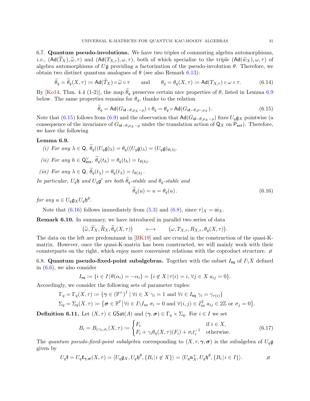6.7. Quantum pseudo-involutions. We have two triples of commuting algebra automorphisms, *i.e.*,  $(\text{Ad}(T_X), \tilde{\omega}, \tau)$  and  $(\text{Ad}(T_{X,\tau}), \omega, \tau)$ , both of which specialize to the triple  $(\text{Ad}(\tilde{w}_X), \omega, \tau)$  of algebra automorphisms of Ug providing a factorization of the pseudo-involution  $\theta$ . Therefore, we obtain two distinct quantum analogues of  $\theta$  (see also Remark [6.13\)](#page-33-1):

$$
\tilde{\theta}_q = \tilde{\theta}_q(X,\tau) := \text{Ad}(\tilde{T}_X) \circ \tilde{\omega} \circ \tau \qquad \text{and} \qquad \theta_q = \theta_q(X,\tau) := \text{Ad}(T_{X,\tau}) \circ \omega \circ \tau. \tag{6.14}
$$

By [\[Ko14,](#page-56-7) Thm. 4.4 (1-2)], the map  $\theta_q$  preserves certain nice properties of  $\theta$ , listed in Lemma [6.9](#page-32-1) below. The same properties remains for  $\theta_q$ , thanks to the relation

<span id="page-32-4"></span>
$$
\theta_q = \text{Ad}(G_{\text{id}-\theta,\rho_X-\rho}) \circ \theta_q = \theta_q \circ \text{Ad}(G_{\text{id}-\theta,\rho-\rho_X}). \tag{6.15}
$$

Note that [\(6.15\)](#page-32-2) follows from [\(6.9\)](#page-31-1) and the observation that  $\text{Ad}(G_{\text{id}-\theta,\rho_X-\rho})$  fixes  $U_q\mathfrak{g}_X$  pointwise (a consequence of the invariance of  $G_{\mathsf{id}-\theta,\rho_X-\rho}$  under the translation action of  $\mathsf{Q}_X$  on  $\mathsf{P}_{\mathsf{ext}}$ ). Therefore, we have the following

#### <span id="page-32-1"></span>Lemma 6.9.

(i) For any 
$$
\lambda \in \mathbb{Q}
$$
,  $\tilde{\theta}_q((U_q \mathfrak{g})_\lambda) = \theta_q((U_q \mathfrak{g})_\lambda) = (U_q \mathfrak{g})_{\theta(\lambda)}$ .

- (ii) For any  $h \in \mathsf{Q}^{\vee}_{\mathsf{ext}}, \widetilde{\theta}_q(t_h) = \theta_q(t_h) = t_{\theta(h)}.$
- (iii) For any  $\lambda \in \mathsf{Q}$ ,  $\theta_q(t_\lambda) = \theta_q(t_\lambda) = t_{\theta(\lambda)}$ .

In particular,  $U_q$ h and  $U_q$ g' are both  $\widetilde{\theta}_q$ -stable and  $\theta_q$ -stable and

<span id="page-32-3"></span><span id="page-32-2"></span>
$$
\theta_q(u) = u = \theta_q(u). \tag{6.16}
$$

for any  $u \in U_q \mathfrak{g}_X U_q \mathfrak{h}^{\theta}$ .

Note that [\(6.16\)](#page-32-3) follows immediately from [\(5.3\)](#page-26-0) and [\(6.8\)](#page-31-0), since  $\tau|_X = o_{X}$ .

Remark 6.10. In summary, we have introduced in parallel two series of data

$$
(\widetilde{\omega}, \widetilde{T}_X, \widetilde{R}_X, \widetilde{\theta}_q(X, \tau)) \longleftrightarrow (\omega, T_{X, \tau}, R_{X, \tau}, \theta_q(X, \tau)).
$$

The data on the left are predominant in [\[BK19\]](#page-55-1) and are crucial in the construction of the quasi-Kmatrix. However, once the quasi-K-matrix has been constructed, we will mainly work with their counterparts on the right, which enjoy more convenient relations with the coproduct structure.  $\varnothing$ 

6.8. Quantum pseudo-fixed-point subalgebras. Together with the subset  $I_{eq}$  of  $I\setminus X$  defined in  $(6.6)$ , we also consider

$$
I_{\text{ns}} := \{i \in I | \theta(\alpha_i) = -\alpha_i\} = \{i \notin X | \tau(i) = i, \forall j \in X \ a_{ij} = 0\}.
$$

Accordingly, we consider the following sets of parameter tuples:

$$
\Gamma_q = \Gamma_q(X, \tau) \coloneqq \{ \gamma \in (\mathbb{F}^\times)^I \mid \forall i \in X \; \gamma_i = 1 \text{ and } \forall i \in I_{\text{eq}} \; \gamma_i = \gamma_{\tau(i)} \}
$$
\n
$$
\Sigma_q = \Sigma_q(X, \tau) \coloneqq \{ \sigma \in \mathbb{F}^I \, \big| \forall i \in I \setminus I_{\text{ns}} \; \sigma_i = 0 \text{ and } \forall (i, j) \in I_{\text{ns}}^2 \; a_{ij} \in 2\mathbb{Z} \text{ or } \sigma_j = 0 \}.
$$

<span id="page-32-0"></span>**Definition 6.11.** Let  $(X, \tau) \in \text{GSat}(A)$  and  $(\gamma, \sigma) \in \Gamma_q \times \Sigma_q$ . For  $i \in I$  we set

<span id="page-32-5"></span>
$$
B_i = B_{i; \gamma_i, \sigma_i}(X, \tau) := \begin{cases} F_i & \text{if } i \in X, \\ F_i + \gamma_i \theta_q(X, \tau)(F_i) + \sigma_i t_i^{-1} & \text{otherwise.} \end{cases}
$$
(6.17)

The quantum pseudo-fixed-point subalgebra corresponding to  $(X, \tau, \gamma, \sigma)$  is the subalgebra of  $U_q\mathfrak{g}$ given by

$$
U_q\mathfrak{k} = U_q\mathfrak{k}_{\gamma,\sigma}(X,\tau) = \langle U_q\mathfrak{g}_X, U_q\mathfrak{h}^\theta, \{B_i \mid i \notin X\} \rangle = \langle U_q\mathfrak{n}_X^+, U_q\mathfrak{h}^\theta, \{B_i \mid i \in I\} \rangle.
$$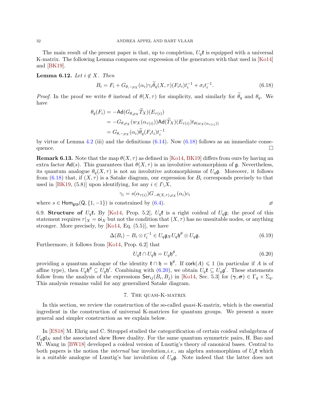The main result of the present paper is that, up to completion,  $U_q$ **t** is equipped with a universal K-matrix. The following Lemma compares our expression of the generators with that used in [\[Ko14\]](#page-56-7) and [\[BK19\]](#page-55-1).

#### Lemma 6.12. Let  $i \notin X$ . Then

<span id="page-33-2"></span>
$$
B_i = F_i + G_{\theta, -\rho_X}(\alpha_i)\gamma_i \widetilde{\theta}_q(X, \tau) (F_i t_i) t_i^{-1} + \sigma_i t_i^{-1}.
$$
\n
$$
(6.18)
$$

*Proof.* In the proof we write  $\theta$  instead of  $\theta(X, \tau)$  for simplicity, and similarly for  $\theta_q$  and  $\theta_q$ . We have

$$
\theta_q(F_i) = -\mathsf{Ad}(G_{\theta,\rho_X} T_X)(E_{\tau(i)})
$$
  
= 
$$
-G_{\theta,\rho_X}(w_X(\alpha_{\tau(i)}))\mathsf{Ad}(\widetilde{T}_X)(E_{\tau(i)})t_{\theta(w_X(\alpha_{\tau(i)}))}
$$
  
= 
$$
G_{\theta,-\rho_X}(\alpha_i)\widetilde{\theta}_q(F_it_i)t_i^{-1}
$$

by virtue of Lemma [4.2](#page-22-4) (iii) and the definitions  $(6.14)$ . Now  $(6.18)$  follows as an immediate consequence.  $\Box$ 

<span id="page-33-1"></span>**Remark 6.13.** Note that the map  $\theta(X, \tau)$  as defined in [\[Ko14,](#page-56-7) [BK19\]](#page-55-1) differs from ours by having an extra factor  $Ad(s)$ . This guarantees that  $\theta(X, \tau)$  is an involutive automorphism of g. Nevertheless, its quantum analogue  $\theta_q(X, \tau)$  is not an involutive automorphisms of  $U_q\mathfrak{g}$ . Moreover, it follows from [\(6.18\)](#page-33-2) that, if  $(X, \tau)$  is a Satake diagram, our expression for  $B_i$  corresponds precisely to that used in [\[BK19,](#page-55-1) (5.8)] upon identifying, for any  $i \in I \backslash X$ ,

$$
\gamma_i = s(\alpha_{\tau(i)}) G_{-\theta(X,\tau),\rho_X}(\alpha_i) c_i
$$

where  $s \in \text{Hom}_{\text{grp}}(Q, \{1, -1\})$  is constrained by [\(6.4\)](#page-28-5).

6.9. Structure of  $U_q$ **t**. By [\[Ko14,](#page-56-7) Prop. 5.2],  $U_q$ **t** is a right coideal of  $U_q$ **g**; the proof of this statement requires  $\tau |_{X} = o_{X}$  but not the condition that  $(X, \tau)$  has no unsuitable nodes, or anything stronger. More precisely, by  $[Ko14, Eq. (5.5)],$  we have

$$
\Delta(B_i) - B_i \otimes t_i^{-1} \in U_q \mathfrak{g}_X U_q \mathfrak{h}^\theta \otimes U_q \mathfrak{g}.
$$
 (6.19)

Furthermore, it follows from [\[Ko14,](#page-56-7) Prop. 6.2] that

<span id="page-33-4"></span><span id="page-33-3"></span>
$$
U_q \mathfrak{k} \cap U_q \mathfrak{h} = U_q \mathfrak{h}^\theta,\tag{6.20}
$$

providing a quantum analogue of the identity  $\mathfrak{k} \cap \mathfrak{h} = \mathfrak{h}^{\theta}$ . If cork $(A) \leq 1$  (in particular if A is of affine type), then  $U_q \mathfrak{h}^{\theta} \subseteq U_q \mathfrak{h}'$ . Combining with  $(6.20)$ , we obtain  $U_q \mathfrak{k} \subseteq U_q \mathfrak{g}'$ . These statements follow from the analysis of the expressions  $\mathsf{Ser}_{ij}(B_i, B_j)$  in [\[Ko14,](#page-56-7) Sec. 5.3] for  $(\gamma, \sigma) \in \Gamma_q \times \Sigma_q$ . This analysis remains valid for any generalized Satake diagram.

#### 7. The quasi-K-matrix

<span id="page-33-0"></span>In this section, we review the construction of the so-called *quasi*-K-matrix, which is the essential ingredient in the construction of universal K-matrices for quantum groups. We present a more general and simpler construction as we explain below.

In [\[ES18\]](#page-56-8) M. Ehrig and C. Stroppel studied the categorification of certain coideal subalgebras of  $U_q \mathfrak{gl}_N$  and the associated skew Howe duality. For the same quantum symmetric pairs, H. Bao and W. Wang in [\[BW18\]](#page-55-6) developed a coideal version of Lusztig's theory of canonical bases. Central to both papers is the notion the *internal* bar involution,*i.e.*, an algebra automorphism of  $U_q$ **t** which is a suitable analogue of Lusztig's bar involution of  $U_q\mathfrak{g}$ . Note indeed that the latter does not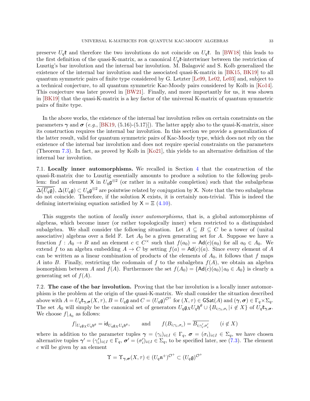preserve  $U_q$ **t** and therefore the two involutions do not coincide on  $U_q$ **t**. In [\[BW18\]](#page-55-6) this leads to the first definition of the quasi-K-matrix, as a canonical  $U_q$ **t**-intertwiner between the restriction of Lusztig's bar involution and the internal bar involution. M. Balagović and S. Kolb generalized the existence of the internal bar involution and the associated quasi-K-matrix in [\[BK15,](#page-55-20) [BK19\]](#page-55-1) to all quantum symmetric pairs of finite type considered by G. Letzter [\[Le99,](#page-57-7) [Le02,](#page-57-8) [Le03\]](#page-57-9) and, subject to a technical conjecture, to all quantum symmetric Kac-Moody pairs considered by Kolb in [\[Ko14\]](#page-56-7). This conjecture was later proved in [\[BW21\]](#page-55-9). Finally, and more importantly for us, it was shown in [\[BK19\]](#page-55-1) that the quasi-K-matrix is a key factor of the universal K-matrix of quantum symmetric pairs of finite type.

In the above works, the existence of the internal bar involution relies on certain constraints on the parameters  $\gamma$  and  $\sigma$  (e.g., [\[BK19,](#page-55-1) (5.16)-(5.17)]). The latter apply also to the quasi-K-matrix, since its construction requires the internal bar involution. In this section we provide a generalization of the latter result, valid for quantum symmetric pairs of Kac-Moody type, which does not rely on the existence of the internal bar involution and does not require special constraints on the parameters (Theorem [7.3\)](#page-36-0). In fact, as proved by Kolb in [\[Ko21\]](#page-56-14), this yields to an alternative definition of the internal bar involution.

7.1. Locally inner automorphisms. We recalled in Section [4](#page-19-0) that the construction of the quasi-R-matrix due to Lusztig essentially amounts to produce a solution to the following problem: find an element X in  $U_q \mathfrak{g}^{\otimes 2}$  (or rather in a suitable completion) such that the subalgebras  $\Delta(\overline{U_q\mathfrak{g}}), \Delta(U_q\mathfrak{g}) \subset U_q\mathfrak{g}^{\otimes 2}$  are pointwise related by conjugation by X. Note that the two subalgebras do not coincide. Therefore, if the solution X exists, it is certainly non-trivial. This is indeed the defining intertwining equation satisfied by  $X = \Xi$  [\(4.10\)](#page-23-3).

This suggests the notion of locally inner automorphisms, that is, a global automorphisms of algebras, which become inner (or rather topologically inner) when restricted to a distinguished subalgebra. We shall consider the following situation. Let  $A \subseteq B \subseteq C$  be a tower of (unital associative) algebras over a field  $\mathbb F$ . Let  $A_0$  be a given generating set for A. Suppose we have a function  $f: A_0 \to B$  and an element  $c \in C^{\times}$  such that  $f(a_0) = \text{Ad}(c)(a_0)$  for all  $a_0 \in A_0$ . We extend f to an algebra embedding  $A \to C$  by setting  $f(a) = Ad(c)(a)$ . Since every element of A can be written as a linear combination of products of the elements of  $A_0$ , it follows that f maps A into B. Finally, restricting the codomain of f to the subalgebra  $f(A)$ , we obtain an algebra isomorphism between A and  $f(A)$ . Furthermore the set  $f(A_0) = \{Ad(c)(a_0) | a_0 \in A_0 \}$  is clearly a generating set of  $f(A)$ .

7.2. The case of the bar involution. Proving that the bar involution is a locally inner automorphism is the problem at the origin of the quasi-K-matrix. We shall consider the situation described above with  $A = U_q \mathfrak{k}_{\gamma, \sigma}(X, \tau)$ ,  $B = U_q \mathfrak{g}$  and  $C = (U_q \mathfrak{g})^{\mathcal{O}^+}$  for  $(X, \tau) \in \mathsf{GSat}(A)$  and  $(\gamma, \sigma) \in \Gamma_q \times \Sigma_q$ . The set  $A_0$  will simply be the canonical set of generators  $U_q$ **g** $_XU_q$ **h**<sup> $\theta$ </sup>  $\cup$  { $B_{i; \gamma_i, \sigma_i}$ | $i \notin X$ } of  $U_q$ **t** $_{\gamma, \sigma}$ . We choose  $f|_{A_0}$  as follows:

$$
f|_{U_q \mathfrak{g}_X U_q \mathfrak{h}^\theta} = \mathrm{id}_{U_q \mathfrak{g}_X U_q \mathfrak{h}^\theta}, \quad \text{and} \quad f(B_{i; \gamma_i, \sigma_i}) = \overline{B_{i; \gamma'_i, \sigma'_i}} \quad (i \notin X)
$$

where in addition to the parameter tuples  $\gamma = (\gamma_i)_{i \in I} \in \Gamma_q$ ,  $\sigma = (\sigma_i)_{i \in I} \in \Sigma_q$ , we have chosen alternative tuples  $\gamma' = (\gamma'_i)_{i \in I} \in \Gamma_q$ ,  $\sigma' = (\sigma'_i)_{i \in I} \in \Sigma_q$ , to be specified later, see [\(7.3\)](#page-35-0). The element c will be given by an element

$$
\Upsilon = \Upsilon_{\gamma,\sigma}(X,\tau) \in (U_q \mathfrak{n}^+)^{\mathcal{O}^+} \subset (U_q \mathfrak{g})^{\mathcal{O}^+}
$$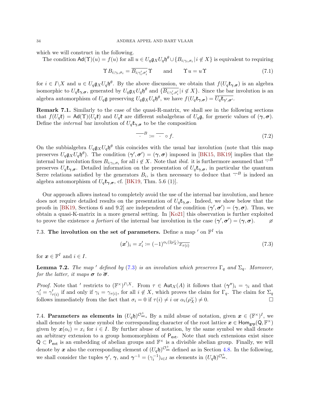which we will construct in the following.

The condition  $\mathsf{Ad}(\Upsilon)(u) = f(u)$  for all  $u \in U_q \mathfrak{g}_X U_q \mathfrak{h}^\theta \cup \{B_{i,\gamma_i,\sigma_i} \mid i \notin X\}$  is equivalent to requiring

$$
\Upsilon B_{i;\gamma_i,\sigma_i} = \overline{B_{i;\gamma'_i,\sigma'_i}} \Upsilon \quad \text{and} \quad \Upsilon u = u \Upsilon \tag{7.1}
$$

for  $i \in I \backslash X$  and  $u \in U_q \mathfrak{g}_X U_q \mathfrak{h}^\theta$ . By the above discussion, we obtain that  $f(U_q \mathfrak{k}_{\gamma, \sigma})$  is an algebra isomorphic to  $U_q$ **t**<sub> $\gamma,\sigma$ </sub>, generated by  $U_q$ **g**<sub> $X$ </sub> $U_q$ **h**<sup> $\theta$ </sup> and  $\{\overline{B}_{i; \gamma'_i, \sigma'_i} | i \notin X\}$ . Since the bar involution is an algebra automorphism of  $U_q$ **g** preserving  $U_q$ **g**<sub> $X$ </sub> $U_q$ **b**<sup> $\theta$ </sup>, we have  $f(U_q\mathfrak{k}_{\gamma, \sigma}) = \overline{U_q \mathfrak{k}_{\gamma', \sigma'}}$ .

Remark 7.1. Similarly to the case of the quasi-R-matrix, we shall see in the following sections that  $f(U_q\mathfrak{k}) = \text{Ad}(\Upsilon)(U_q\mathfrak{k})$  and  $U_q\mathfrak{k}$  are different subalgebras of  $U_q\mathfrak{g}$ , for generic values of  $(\gamma, \sigma)$ . Define the *internal* bar involution of  $U_q \mathfrak{k}_{\gamma, \sigma}$  to be the composition

<span id="page-35-2"></span><span id="page-35-1"></span>
$$
\overline{B} := \overline{B} \circ f. \tag{7.2}
$$

On the subbialgebra  $U_q$ **g**<sub>X</sub> $U_q$ **h**<sup> $\theta$ </sup> this coincides with the usual bar involution (note that this map preserves  $U_q$ **g**<sub>X</sub> $U_q$ **h**<sup> $\theta$ </sup>). The condition  $(\gamma', \sigma') = (\gamma, \sigma)$  imposed in [\[BK15,](#page-55-20) [BK19\]](#page-55-1) implies that the internal bar involution fixes  $B_{i,\gamma_i,\sigma_i}$  for all  $i \notin X$ . Note that *ibid.* it is furthermore assumed that  $\overline{\cdot}^B$ preserves  $U_q \mathfrak{k}_{\gamma,\sigma}$ . Detailed information on the presentation of  $U_q \mathfrak{k}_{\gamma,\sigma}$ , in particular the quantum Serre relations satisfied by the generators  $B_i$ , is then necessary to deduce that  $\overline{B}$  is indeed an algebra automorphism of  $U_q\mathfrak{k}_{\gamma,\sigma}$ , cf. [\[BK19,](#page-55-1) Thm. 5.6 (1)].

Our approach allows instead to completely avoid the use of the internal bar involution, and hence does not require detailed results on the presentation of  $U_q\mathfrak{k}_{\gamma,q}$ . Indeed, we show below that the proofs in [\[BK19,](#page-55-1) Sections 6 and 9.2] are independent of the condition  $(\gamma', \sigma') = (\gamma, \sigma)$ . Thus, we obtain a quasi-K-matrix in a more general setting. In [\[Ko21\]](#page-56-14) this observation is further exploited to prove the existence a fortiori of the internal bar involution in the case  $(\gamma', \sigma') = (\gamma, \sigma)$ .

### 7.3. The involution on the set of parameters. Define a map  $'$  on  $\mathbb{F}^I$  via

<span id="page-35-0"></span>
$$
(\mathbf{x}')_i = x'_i := (-1)^{\alpha_i(2\rho_X^{\vee})} \overline{x_{\tau(i)}}
$$
\n
$$
(7.3)
$$

for  $\boldsymbol{x} \in \mathbb{F}^I$  and  $i \in I$ .

**Lemma 7.2.** The map ' defined by [\(7.3\)](#page-35-0) is an involution which preserves  $\Gamma_q$  and  $\Sigma_q$ . Moreover, for the latter, it maps  $\sigma$  to  $\overline{\sigma}$ .

*Proof.* Note that ' restricts to  $(\mathbb{F}^{\times})^{I \setminus X}$ . From  $\tau \in Aut_X(A)$  it follows that  $(\gamma'')_i = \gamma_i$  and that  $\gamma'_i = \gamma'_{\tau(i)}$  if and only if  $\gamma_i = \gamma_{\tau(i)}$ , for all  $i \notin X$ , which proves the claim for  $\Gamma_q$ . The claim for  $\Sigma_q$ follows immediately from the fact that  $\sigma_i = 0$  if  $\tau(i) \neq i$  or  $\alpha_i(\rho_X^{\vee}) \neq 0$ .

7.4. Parameters as elements in  $(U_q \mathfrak{h})^{\mathcal{O}_{\rm int}^+}$ . By a mild abuse of notation, given  $\mathbf{x} \in (\mathbb{F}^{\times})^I$ , we shall denote by the same symbol the corresponding character of the root lattice  $x \in Hom_{grp}(Q, \mathbb{F}^{\times})$ given by  $x(\alpha_i) = x_i$  for  $i \in I$ . By further abuse of notation, by the same symbol we shall denote an arbitrary extension to a group homomorphism of  $P_{ext}$ . Note that such extensions exist since  $Q \subset P_{ext}$  is an embedding of abelian groups and  $\mathbb{F}^{\times}$  is a divisible abelian group. Finally, we will denote by x also the corresponding element of  $(U_q \mathfrak{h})^{\mathcal{O}_{\rm int}^+}$  defined as in Section [4.8.](#page-22-3) In the following, we shall consider the tuples  $\gamma'$ ,  $\gamma$ , and  $\gamma^{-1} = (\gamma_i^{-1})_{i \in I}$  as elements in  $(U_q \mathfrak{h})^{\mathcal{O}_{\rm int}^+}$ .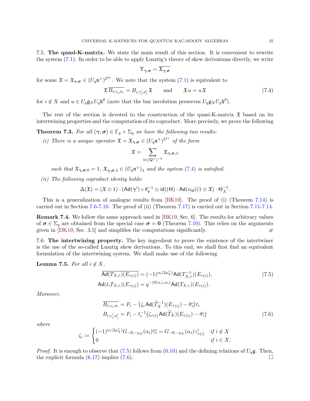7.5. The quasi-K-matrix. We state the main result of this section. It is convenient to rewrite the system [\(7.1\)](#page-35-1). In order to be able to apply Lusztig's theory of skew derivations directly, we write

<span id="page-36-1"></span>
$$
\Upsilon_{\boldsymbol{\gamma},\boldsymbol{\sigma}}=\overline{\mathfrak{X}_{\boldsymbol{\gamma},\boldsymbol{\sigma}}}
$$

for some  $\mathfrak{X} = \mathfrak{X}_{\gamma,\sigma} \in (U_q \mathfrak{n}^+)^{\mathcal{O}^+}$ . We note that the system  $(7.1)$  is equivalent to

$$
\mathfrak{X}\overline{B_{i;\gamma_i,\sigma_i}} = B_{i;\gamma_i',\sigma_i'}\mathfrak{X} \quad \text{and} \quad \mathfrak{X}u = u\mathfrak{X}
$$
\n(7.4)

for  $i \notin X$  and  $u \in U_q \mathfrak{g}_X U_q \mathfrak{h}^\theta$  (note that the bar involution preserves  $U_q \mathfrak{g}_X U_q \mathfrak{h}^\theta$ ).

The rest of the section is devoted to the construction of the quasi-K-matrix  $\mathfrak X$  based on its intertwining properties and the computation of its coproduct. More precisely, we prove the following

<span id="page-36-0"></span>**Theorem 7.3.** For all  $(\gamma, \sigma) \in \Gamma_q \times \Sigma_q$  we have the following two results:

(i) There is a unique operator  $\mathfrak{X} = \mathfrak{X}_{\gamma, \sigma} \in (U_q \mathfrak{n}^+)^{\mathcal{O}^+}$  of the form

$$
\mathfrak{X}=\sum_{\lambda\in (\mathsf{Q}^+)^{-\theta}}\mathfrak{X}_{\bm{\gamma},\bm{\sigma};\lambda}
$$

such that  $\mathfrak{X}_{\gamma,\sigma,0} = 1$ ,  $\mathfrak{X}_{\gamma,\sigma,\lambda} \in (U_q \mathfrak{n}^+)_{\lambda}$  and the system [\(7.4\)](#page-36-1) is satisfied.

(ii) The following coproduct identiy holds:

$$
\Delta(\mathfrak{X}) = (\mathfrak{X} \otimes 1) \cdot (\mathrm{Ad}(\gamma') \circ \theta_q^{-1} \otimes \mathrm{id})(\Theta) \cdot \mathrm{Ad}(\kappa_{\mathrm{id}}) (1 \otimes \mathfrak{X}) \cdot \Theta_X^{-1}.
$$

This is a generalization of analogue results from [\[BK19\]](#page-55-1). The proof of (i) (Theorem [7.14\)](#page-40-0) is carried out in Section [7.6-](#page-36-2)[7.10.](#page-40-1) The proof of (ii) (Theorem [7.17\)](#page-42-0) is carried out in Section [7.11-](#page-42-1)[7.14.](#page-44-0)

Remark 7.4. We follow the same approach used in [\[BK19,](#page-55-1) Sec. 6]. The results for arbitrary values of  $\sigma \in \Sigma_q$  are obtained from the special case  $\sigma = 0$  (Theorem [7.10\)](#page-38-0). This relies on the arguments given in [\[DK19,](#page-56-15) Sec. 3.5] and simplifies the computations significantly.  $\varnothing$ 

<span id="page-36-2"></span>7.6. The intertwining property. The key ingredient to prove the existence of the intertwiner is the use of the so-called Lusztig skew derivations. To this end, we shall first find an equivalent formulation of the intertwining system. We shall make use of the following

#### Lemma 7.5. For all  $i \notin X$ ,

$$
\overline{\text{Ad}(T_{X,\tau})(E_{\tau(i)})} = (-1)^{\alpha_i(2\rho_X^{\vee})} \text{Ad}(T_{X,\tau}^{-1})(E_{\tau(i)}),
$$
\n
$$
\text{Ad}(t_i T_{X,\tau})(E_{\tau(i)}) = q^{-(\theta(\alpha_i), \alpha_i)} \text{Ad}(T_{X,\tau})(E_{\tau(i)}).
$$
\n(7.5)

Moreover,

<span id="page-36-4"></span><span id="page-36-3"></span>
$$
\overline{B_{i;\gamma_i,\sigma_i}} = F_i - (\zeta_i \operatorname{Ad}(\widetilde{T}_X^{-1})(E_{\tau(i)}) - \overline{\sigma_i})t_i
$$
  
\n
$$
B_{i;\gamma_i',\sigma_i'} = F_i - t_i^{-1}(\zeta_{\tau(i)} \operatorname{Ad}(\widetilde{T}_X)(E_{\tau(i)}) - \overline{\sigma_i})
$$
\n(7.6)

where

$$
\zeta_i := \begin{cases}\n(-1)^{\alpha_i(2\rho_X^{\vee})} G_{-\theta, -\rho_X}(\alpha_i) \overline{\gamma_i} = G_{-\theta, -\rho_X}(\alpha_i) \gamma'_{\tau(i)} & \text{if } i \notin X \\
0 & \text{if } i \in X.\n\end{cases}
$$

*Proof.* It is enough to observe that [\(7.5\)](#page-36-3) follows from [\(6.10\)](#page-31-2) and the defining relations of  $U_q\mathfrak{g}$ . Then, the explicit formula  $(6.17)$  implies  $(7.6)$ . □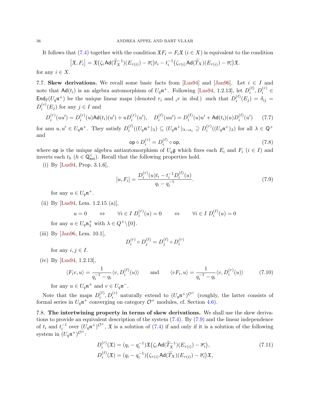It follows that [\(7.4\)](#page-36-1) together with the condition  $\mathfrak{X}F_i = F_i\mathfrak{X}$  ( $i \in X$ ) is equivalent to the condition

$$
[\mathfrak{X}, F_i] = \mathfrak{X}(\zeta_i \mathsf{Ad}(\widetilde{T}_X^{-1})(E_{\tau(i)}) - \overline{\sigma_i})t_i - t_i^{-1}(\zeta_{\tau(i)} \mathsf{Ad}(\widetilde{T}_X)(E_{\tau(i)}) - \overline{\sigma_i})\mathfrak{X}.
$$

for any  $i \in X$ .

7.7. Skew derivations. We recall some basic facts from [\[Lus94\]](#page-57-3) and [\[Jan96\]](#page-56-25). Let  $i \in I$  and note that  $\mathsf{Ad}(t_i)$  is an algebra automorphism of  $U_q\mathfrak{n}^+$ . Following [\[Lus94,](#page-57-3) 1.2.13], let  $D_i^{(\ell)}$  $i^{(\ell)}, D_i^{(r)} \in$ End<sub>F</sub>( $U_q$ n<sup>+</sup>) be the unique linear maps (denoted  $r_i$  and  $_i$ r in *ibid.*) such that  $D_i^{(\ell)}$  $i^{(\ell)}(E_j) = \delta_{ij} =$  $D_i^{(r)}$  $i^{(r)}(E_j)$  for any  $j \in I$  and

$$
D_i^{(r)}(uu') = D_i^{(r)}(u) \text{Ad}(t_i)(u') + u D_i^{(r)}(u'), \quad D_i^{(\ell)}(uu') = D_i^{(\ell)}(u)u' + \text{Ad}(t_i)(u)D_i^{(\ell)}(u') \tag{7.7}
$$

for anu  $u, u' \in U_q \mathfrak{n}^+$ . They satisfy  $D_i^{(\ell)}$  $\lambda_i^{(\ell)}((U_q\mathfrak{n}^+)_\lambda) \subseteq (U_q\mathfrak{n}^+)_{\lambda-\alpha_i} \supseteq D_i^{(r)}$  $i^{(r)}((U_q\mathfrak{n}^+)_\lambda)$  for all  $\lambda \in \mathsf{Q}^+$ and

<span id="page-37-2"></span><span id="page-37-1"></span><span id="page-37-0"></span>
$$
\mathsf{op} \circ D_i^{(r)} = D_i^{(\ell)} \circ \mathsf{op},\tag{7.8}
$$

where op is the unique algebra antiautomorphism of  $U_q\mathfrak{g}$  which fixes each  $E_i$  and  $F_i$   $(i \in I)$  and inverts each  $t_h$  ( $h \in \mathsf{Q}^{\vee}_{ext}$ ). Recall that the following properties hold.

(i) By [\[Lus94,](#page-57-3) Prop. 3.1.6],

$$
[u, F_i] = \frac{D_i^{(r)}(u)t_i - t_i^{-1}D_i^{(\ell)}(u)}{q_i - q_i^{-1}}.
$$
\n(7.9)

for any  $u \in U_q \mathfrak{n}^+$ .

(ii) By [\[Lus94,](#page-57-3) Lem. 1.2.15 (a)],

$$
u = 0 \qquad \Leftrightarrow \qquad \forall i \in I \ D_i^{(r)}(u) = 0 \qquad \Leftrightarrow \qquad \forall i \in I \ D_i^{(\ell)}(u) = 0
$$
\n
$$
\text{for any } u \in U_q \mathfrak{n}_\lambda^+ \text{ with } \lambda \in Q^+ \setminus \{0\}.
$$

(iii) By [\[Jan96,](#page-56-25) Lem. 10.1],

<span id="page-37-3"></span>
$$
D_i^{(r)} \circ D_j^{(\ell)} = D_j^{(\ell)} \circ D_i^{(r)}
$$

for any  $i, j \in I$ .

(iv) By [\[Lus94,](#page-57-3) 1.2.13],

$$
\langle F_i v, u \rangle = \frac{1}{q_i^{-1} - q_i} \langle v, D_i^{(\ell)}(u) \rangle \quad \text{and} \quad \langle v F_i, u \rangle = \frac{1}{q_i^{-1} - q_i} \langle v, D_i^{(r)}(u) \rangle \tag{7.10}
$$

for any  $u \in U_q \mathfrak{n}^+$  and  $v \in U_q \mathfrak{n}^-$ .

Note that the maps  $D_i^{(\ell)}$  $\binom{\ell}{i}, D_i^{(r)}$  naturally extend to  $(U_q \mathfrak{n}^+)^{\mathcal{O}^+}$  (roughly, the latter consists of formal series in  $U_q$ n<sup>+</sup> converging on category  $\mathcal{O}^+$  modules, cf. Section [4.6\)](#page-21-1).

7.8. The intertwining property in terms of skew derivations. We shall use the skew derivations to provide an equivalent description of the system [\(7.4\)](#page-36-1). By [\(7.9\)](#page-37-0) and the linear independence of  $t_i$  and  $t_i^{-1}$  over  $(U_q \mathfrak{n}^+)^{\mathcal{O}^+}$ ,  $\mathfrak X$  is a solution of [\(7.4\)](#page-36-1) if and only if it is a solution of the following system in  $(U_q\mathfrak{n}^+)^{\mathcal{O}^+}$ :

<span id="page-37-4"></span>
$$
D_i^{(r)}(\mathfrak{X}) = (q_i - q_i^{-1}) \mathfrak{X} (\zeta_i \operatorname{Ad}(\widetilde{T}_X^{-1})(E_{\tau(i)}) - \overline{\sigma_i}),
$$
  
\n
$$
D_i^{(\ell)}(\mathfrak{X}) = (q_i - q_i^{-1}) (\zeta_{\tau(i)} \operatorname{Ad}(\widetilde{T}_X)(E_{\tau(i)}) - \overline{\sigma_i}) \mathfrak{X},
$$
\n(7.11)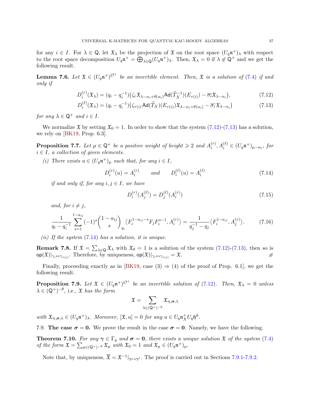for any  $i \in I$ . For  $\lambda \in \mathbb{Q}$ , let  $\mathfrak{X}_{\lambda}$  be the projection of  $\mathfrak{X}$  on the root space  $(U_q \mathfrak{n}^+)_{\lambda}$  with respect to the root space decomposition  $U_q \mathfrak{n}^+ = \bigoplus_{\lambda \in \mathbb{Q}} (U_q \mathfrak{n}^+)_{\lambda}$ . Then,  $\mathfrak{X}_{\lambda} = 0$  if  $\lambda \notin \mathbb{Q}^+$  and we get the following result.

**Lemma 7.6.** Let  $\mathfrak{X} \in (U_q \mathfrak{n}^+)^{\mathcal{O}^+}$  be an invertible element. Then,  $\mathfrak{X}$  is a solution of [\(7.4\)](#page-36-1) if and only if

$$
D_i^{(r)}(\mathfrak{X}_{\lambda}) = (q_i - q_i^{-1}) \left( \zeta_i \mathfrak{X}_{\lambda - \alpha_i + \theta(\alpha_i)} \mathsf{Ad}(\widetilde{T}_{X}^{-1})(E_{\tau(i)}) - \overline{\sigma_i} \mathfrak{X}_{\lambda - \alpha_i} \right),\tag{7.12}
$$

$$
D_i^{(\ell)}(\mathfrak{X}_{\lambda}) = (q_i - q_i^{-1}) \big( \zeta_{\tau(i)} \operatorname{Ad}(\widetilde{T}_X)(E_{\tau(i)}) \mathfrak{X}_{\lambda - \alpha_i + \theta(\alpha_i)} - \overline{\sigma_i} \mathfrak{X}_{\lambda - \alpha_i} \big)
$$
(7.13)

for any  $\lambda \in \mathsf{Q}^+$  and  $i \in I$ .

We normalize  $\mathfrak{X}$  by setting  $\mathfrak{X}_0 = 1$ . In order to show that the system [\(7.12\)](#page-38-1)-[\(7.13\)](#page-38-2) has a solution, we rely on [\[BK19,](#page-55-1) Prop. 6.3].

<span id="page-38-4"></span>**Proposition 7.7.** Let  $\mu \in \mathsf{Q}^+$  be a positive weight of height  $\geq 2$  and  $A_i^{(r)}$  $i^{(r)}$ ,  $A_i^{(\ell)} \in (U_q \mathfrak{n}^+)_{\mu-\alpha_i}$ , for  $i \in I$ , a collection of given elements.

(i) There exists  $u \in (U_q \mathfrak{n}^+)_\mu$  such that, for any  $i \in I$ ,

$$
D_i^{(r)}(u) = A_i^{(r)} \qquad and \qquad D_i^{(\ell)}(u) = A_i^{(\ell)} \tag{7.14}
$$

if and only if, for any  $i, j \in I$ , we have

<span id="page-38-6"></span><span id="page-38-5"></span><span id="page-38-3"></span><span id="page-38-2"></span><span id="page-38-1"></span>
$$
D_i^{(r)}(A_j^{(\ell)}) = D_j^{(\ell)}(A_i^{(r)})
$$
\n(7.15)

and, for  $i \neq j$ ,

$$
\frac{1}{q_i - q_i^{-1}} \sum_{s=1}^{1-a_{ij}} (-1)^s {1-a_{ij} \choose s}_{q_i} \langle F_i^{1-a_{ij}-s} F_j F_i^{s-1}, A_i^{(r)} \rangle = \frac{1}{q_j^{-1} - q_j} \langle F_i^{1-a_{ij}}, A_j^{(r)} \rangle.
$$
 (7.16)

(ii) If the system  $(7.14)$  has a solution, it is unique.

**Remark 7.8.** If  $\mathfrak{X} = \sum_{\lambda \in \mathbb{Q}} \mathfrak{X}_{\lambda}$  with  $\mathfrak{X}_0 = 1$  is a solution of the system  $(7.12)-(7.13)$  $(7.12)-(7.13)$ , then so is  $\mathsf{op}(\mathfrak{X})|_{\gamma_i \leftrightarrow \gamma_{\tau(i)}}$ . Therefore, by uniqueness,  $\mathsf{op}(\mathfrak{X})|_{\gamma_i \leftrightarrow \gamma_{\tau(i)}} = \mathfrak{X}$ .

Finally, proceeding exactly as in [\[BK19,](#page-55-1) case  $(3) \Rightarrow (4)$  of the proof of Prop. 6.1], we get the following result.

<span id="page-38-7"></span>**Proposition 7.9.** Let  $\mathfrak{X} \in (U_q \mathfrak{n}^+)^{\mathcal{O}^+}$  be an invertible solution of [\(7.12\)](#page-38-1). Then,  $\mathfrak{X}_{\lambda} = 0$  unless  $\lambda \in (Q^+)^{-\theta}$ , i.e.,  $\mathfrak X$  has the form

$$
\mathfrak{X}=\sum_{\lambda\in (\mathsf{Q}^+)^{-\theta}}\mathfrak{X}_{\bm{\gamma},\bm{\sigma};\lambda}
$$

with  $\mathfrak{X}_{\gamma,\sigma;\lambda} \in (U_q \mathfrak{n}^+)_{\lambda}$ . Moreover,  $[\mathfrak{X}, u] = 0$  for any  $u \in U_q \mathfrak{n}_X^+ U_q \mathfrak{h}^{\theta}$ .

7.9. The case  $\sigma = 0$ . We prove the result in the case  $\sigma = 0$ . Namely, we have the following.

<span id="page-38-0"></span>**Theorem 7.10.** For any  $\gamma \in \Gamma_q$  and  $\sigma = 0$ , there exists a unique solution  $\mathfrak{X}$  of the system [\(7.4\)](#page-36-1) of the form  $\mathfrak{X} = \sum_{\mu \in (\mathsf{Q}^+)^{-\theta}} \mathfrak{X}_{\mu}$  with  $\mathfrak{X}_0 = 1$  and  $\mathfrak{X}_{\mu} \in (U_q \mathfrak{n}^+)_\mu$ .

Note that, by uniqueness,  $\overline{\mathfrak{X}} = \mathfrak{X}^{-1}|_{\gamma \mapsto \gamma'}$ . The proof is carried out in Sections [7.9.1-](#page-39-0)[7.9.2.](#page-39-1)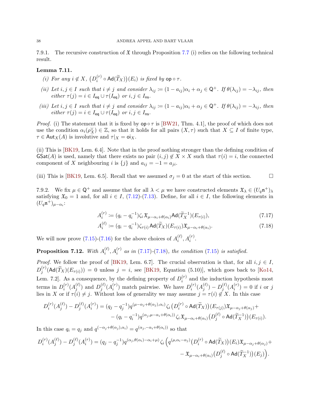<span id="page-39-0"></span>7.9.1. The recursive construction of  $\mathfrak X$  through Proposition [7.7](#page-38-4) (i) relies on the following technical result.

#### <span id="page-39-4"></span>Lemma 7.11.

- (i) For any  $i \notin X$ ,  $(D_i^{(r)}$  $\hat{f}_i^{(r)} \circ \mathsf{Ad}(\tilde{T}_X))(E_i)$  is fixed by  $\mathsf{op} \circ \tau$ .
- (ii) Let  $i, j \in I$  such that  $i \neq j$  and consider  $\lambda_{ij} := (1 a_{ij})\alpha_i + \alpha_j \in \mathsf{Q}^+$ . If  $\theta(\lambda_{ij}) = -\lambda_{ij}$ , then either  $\tau(j) = i \in I_{eq} \cup \tau(I_{eq})$  or  $i, j \in I_{ns}$ .
- (iii) Let  $i, j \in I$  such that  $i \neq j$  and consider  $\lambda_{ij} := (1 a_{ij})\alpha_i + \alpha_j \in \mathsf{Q}^+$ . If  $\theta(\lambda_{ij}) = -\lambda_{ij}$ , then either  $\tau(j) = i \in I_{eq} \cup \tau(I_{eq})$  or  $i, j \in I_{ns}$ .

*Proof.* (i) The statement that it is fixed by  $op \circ \tau$  is [\[BW21,](#page-55-9) Thm. 4.1], the proof of which does not use the condition  $\alpha_i(\rho_X^{\vee}) \in \mathbb{Z}$ , so that it holds for all pairs  $(X, \tau)$  such that  $X \subseteq I$  of finite type,  $\tau \in \text{Aut}_X(A)$  is involutive and  $\tau|_X = \text{o}i_X$ .

(ii) This is [\[BK19,](#page-55-1) Lem. 6.4]. Note that in the proof nothing stronger than the defining condition of  $\text{GSat}(A)$  is used, namely that there exists no pair  $(i, j) \notin X \times X$  such that  $\tau(i) = i$ , the connected component of X neighbouring i is  $\{j\}$  and  $a_{ij} = -1 = a_{ji}$ .

(iii) This is [\[BK19,](#page-55-1) Lem. 6.5]. Recall that we assumed  $\sigma_j = 0$  at the start of this section.  $\Box$ 

<span id="page-39-1"></span>7.9.2. We fix  $\mu \in \mathsf{Q}^+$  and assume that for all  $\lambda < \mu$  we have constructed elements  $\mathfrak{X}_{\lambda} \in (U_q \mathfrak{n}^+)_{\lambda}$ satisfying  $\mathfrak{X}_0 = 1$  and, for all  $i \in I$ , [\(7.12\)](#page-38-1)-[\(7.13\)](#page-38-2). Define, for all  $i \in I$ , the following elements in  $(U_q\mathfrak{n}^+)_{{\mu}-\alpha_i}$ :

<span id="page-39-2"></span>
$$
A_i^{(r)} := (q_i - q_i^{-1})\zeta_i \mathfrak{X}_{\mu - \alpha_i + \theta(\alpha_i)} \mathsf{Ad}(\widetilde{T}_X^{-1})(E_{\tau(i)}),
$$
\n
$$
(7.17)
$$

<span id="page-39-3"></span>
$$
A_i^{(\ell)} := (q_i - q_i^{-1})\zeta_{\tau(i)} \operatorname{Ad}(\widetilde{T}_X)(E_{\tau(i)}) \mathfrak{X}_{\mu - \alpha_i + \theta(\alpha_i)}.
$$
\n(7.18)

We will now prove  $(7.15)-(7.16)$  $(7.15)-(7.16)$  for the above choices of  $A_i^{(\ell)}$  $i^{(\ell)}, A_i^{(r)}.$ 

Proposition 7.12. With  $A_i^{(\ell)}$  $\hat{h}^{(\ell)}_{i}, A^{(r)}_{i}$  as in [\(7.17\)](#page-39-2)-[\(7.18\)](#page-39-3), the condition [\(7.15\)](#page-38-5) is satisfied.

*Proof.* We follow the proof of [\[BK19,](#page-55-1) Lem. 6.7]. The crucial observation is that, for all  $i, j \in I$ ,  $D_i^{(r)}$  $j^{(r)}(\text{Ad}(T_X)(E_{\tau(i)})) = 0$  unless  $j = i$ , see [\[BK19,](#page-55-1) Equation (5.10)], which goes back to [\[Ko14,](#page-56-7) Lem. 7.2. As a consequence, by the defining property of  $D_i^{(r)}$  $i^{(r)}$  and the induction hypothesis most terms in  $D_i^{(r)}$  $\binom{(r)}{i}(A_j^{(\ell)})$  $j^{(\ell)}$  and  $D_j^{(\ell)}$  $_{j}^{(\ell)}(A_{i}^{(r)}% )=\frac{\epsilon_{j}}{2\pi i}\sum_{i,j=1}^{N}(\epsilon_{j}^{(\ell)}-1)(\epsilon_{j}^{(\ell)}-1)(\epsilon_{j}^{(\ell)}-1)(\epsilon_{j}^{(\ell)}-1)(\epsilon_{j}^{(\ell)}-1)(\epsilon_{j}^{(\ell)}-1)(\epsilon_{j}^{(\ell)}-1)(\epsilon_{j}^{(\ell)}-1)(\epsilon_{j}^{(\ell)}-1)(\epsilon_{j}^{(\ell)}-1)(\epsilon_{j}^{(\ell)}-1)(\epsilon_{j}^{(\ell)}-1)(\epsilon_{j}^{(\ell)}-1)(\epsilon_{j}^{(\ell)}-1)(\epsilon_{j}^{(\ell)}-1$  $i^{(r)}$ ) match pairwise. We have  $D_i^{(r)}$  $_{i}^{(r)}(A_{j}^{(\ell)}% )\approx\frac{\epsilon_{j}^{(\ell)}(a_{j}^{(\ell)}(a_{j}^{(\ell)}))}{\epsilon_{j}^{(\ell)}(a_{j}^{(\ell)}(a_{j}^{(\ell)}))} \label{epsilon}%$  $\binom{\ell}{j}-D_{j}^{(\ell)}$  $_{j}^{(\ell)}(A_i^{(r)}% )=\frac{\epsilon_j^{(\ell)}(A_i^{(r)}(A_i^{(r)}))}{\epsilon_j^{(\ell)}(A_i^{(r)}(A_i^{(r)}))} \label{epsilon_j}$  $i^{(r)}$ ) = 0 if *i* or *j* lies in X or if  $\tau(i) \neq j$ . Without loss of generality we may assume  $j = \tau(i) \notin X$ . In this case

$$
D_i^{(r)}(A_j^{(\ell)}) - D_j^{(\ell)}(A_i^{(r)}) = (q_j - q_j^{-1})q^{(\mu - \alpha_j + \theta(\alpha_j), \alpha_i)} \zeta_i (D_i^{(r)} \circ \text{Ad}(\widetilde{T}_X))(E_{\tau(j)}) \mathfrak{X}_{\mu - \alpha_j + \theta(\alpha_j)} + (q_i - q_i^{-1})q^{(\alpha_j, \mu - \alpha_i + \theta(\alpha_i))} \zeta_i \mathfrak{X}_{\mu - \alpha_i + \theta(\alpha_i)} (D_j^{(\ell)} \circ \text{Ad}(\widetilde{T}_X^{-1}))(E_{\tau(i)}).
$$

In this case  $q_i = q_j$  and  $q^{(-\alpha_j + \theta(\alpha_j), \alpha_i)} = q^{(\alpha_j, -\alpha_i + \theta(\alpha_i))}$  so that

$$
D_i^{(r)}(A_j^{(\ell)}) - D_j^{(\ell)}(A_i^{(r)}) = (q_j - q_j^{-1})q^{(\alpha_j, \theta(\alpha_i) - \alpha_i + \mu)} \zeta_i \left( q^{(\mu, \alpha_i - \alpha_j)} \left( D_i^{(r)} \circ \operatorname{Ad}(\widetilde{T}_X) \right) (E_i) \mathfrak{X}_{\mu - \alpha_j + \theta(\alpha_j)} + \right. \\
 \left. - \mathfrak{X}_{\mu - \alpha_i + \theta(\alpha_i)} \left( D_j^{(\ell)} \circ \operatorname{Ad}(\widetilde{T}_X^{-1}) \right) (E_j) \right).
$$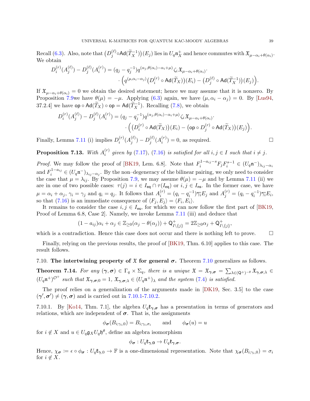Recall [\(6.3\)](#page-28-4). Also, note that  $(D_i^{(\ell)})$  $\binom{\ell}{j} \circ \mathsf{Ad}(\widetilde{T}_X^{-1}) \big)(E_j)$  lies in  $U_q \mathfrak{n}_X^+$  and hence commutes with  $\mathfrak{X}_{\mu-\alpha_i+\theta(\alpha_i)}$ . We obtain

$$
D_i^{(r)}(A_j^{(\ell)}) - D_j^{(\ell)}(A_i^{(r)}) = (q_j - q_j^{-1})q^{(\alpha_j, \theta(\alpha_i) - \alpha_i + \mu)} \zeta_i \mathfrak{X}_{\mu - \alpha_i + \theta(\alpha_i)}.
$$

$$
\cdot \Big( q^{(\mu, \alpha_i - \alpha_j)} \big( D_i^{(r)} \circ \mathrm{Ad}(\widetilde{T}_X) \big) (E_i) - \big( D_j^{(\ell)} \circ \mathrm{Ad}(\widetilde{T}_X^{-1}) \big) (E_j) \Big).
$$

If  $\mathfrak{X}_{\mu-\alpha_i+\theta(\alpha_i)}=0$  we obtain the desired statement; hence we may assume that it is nonzero. By Proposition [7.9w](#page-38-7)e have  $\theta(\mu) = -\mu$ . Applying [\(6.3\)](#page-28-4) again, we have  $(\mu, \alpha_i - \alpha_j) = 0$ . By [\[Lus94,](#page-57-3) 37.2.4] we have  $\mathsf{op} \circ \mathsf{Ad}(\widetilde{T}_X) \circ \mathsf{op} = \mathsf{Ad}(\widetilde{T}_X^{-1})$ . Recalling [\(7.8\)](#page-37-1), we obtain

$$
D_i^{(r)}(A_j^{(\ell)}) - D_j^{(\ell)}(A_i^{(r)}) = (q_j - q_j^{-1})q^{(\alpha_j, \theta(\alpha_i) - \alpha_i + \mu)} \zeta_i \mathfrak{X}_{\mu - \alpha_i + \theta(\alpha_i)} \cdot \left( \left( D_i^{(r)} \circ \mathrm{Ad}(\widetilde{T}_X) \right) (E_i) - \left( \mathrm{op} \circ D_j^{(r)} \circ \mathrm{Ad}(\widetilde{T}_X) \right) (E_j) \right).
$$

Finally, Lemma [7.11](#page-39-4) (i) implies  $D_i^{(r)}$  $_{i}^{(r)}(A_{j}^{(\ell)}% )\approx\frac{\epsilon_{j}^{(\ell)}(a_{j}^{(\ell)}(a_{j}^{(\ell)}))}{\epsilon_{j}^{(\ell)}(a_{j}^{(\ell)}(a_{j}^{(\ell)}))} \label{eq:4.14}$  $\binom{\ell}{j}-D_{j}^{(\ell)}$  $_{j}^{(\ell)}(A_i^{(r)}% ,A_{j}^{(\ell)}(A_i^{(r)}))$  $i^{(r)}$  = 0, as required.

Proposition 7.13. With  $A_i^{(r)}$  $i_j^{(r)}$  given by [\(7.17\)](#page-39-2), [\(7.16\)](#page-38-6) is satisfied for all  $i, j \in I$  such that  $i \neq j$ .

*Proof.* We may follow the proof of [\[BK19,](#page-55-1) Lem. 6.8]. Note that  $F_i^{1-a_{ij}-s}F_jF_i^{s-1} \in (U_q \mathfrak{n}^{-})_{\lambda_{ij}-\alpha_i}$ and  $F_i^{1-a_{ij}} \in (U_q \mathfrak{n}^-)_{\lambda_{ij}-\alpha_j}$ . By the non–degeneracy of the bilinear pairing, we only need to consider the case that  $\mu = \lambda_{ij}$ . By Proposition [7.9,](#page-38-7) we may assume  $\theta(\mu) = -\mu$  and by Lemma [7.11](#page-39-4) (ii) we are in one of two possible cases:  $\tau(j) = i \in I_{eq} \cap \tau(I_{eq})$  or  $i, j \in I_{ns}$ . In the former case, we have  $\mu = \alpha_i + \alpha_j$ ,  $\gamma_i = \gamma_j$  and  $q_i = q_j$ . It follows that  $A_i^{(r)} = (q_i - q_i^{-1})\overline{\gamma_i}E_j$  and  $A_j^{(r)} = (q_i - q_i^{-1})\overline{\gamma_i}E_i$ , so that [\(7.16\)](#page-38-6) is an immediate consequence of  $\langle F_j, E_j \rangle = \langle F_i, E_i \rangle$ .

It remains to consider the case  $i, j \in I_{\text{ns}}$ , for which we can now follow the first part of [\[BK19,](#page-55-1) Proof of Lemma 6.8, Case 2]. Namely, we invoke Lemma [7.11](#page-39-4) (iii) and deduce that

$$
(1 - a_{ij})\alpha_i + \alpha_j \in \mathbb{Z}_{\geq 0}(\alpha_j - \theta(\alpha_j)) + \mathsf{Q}_{I\setminus\{j\}}^+ = 2\mathbb{Z}_{\geq 0}\alpha_j + \mathsf{Q}_{I\setminus\{j\}}^+,
$$

which is a contradiction. Hence this case does not occur and there is nothing left to prove.  $\Box$ 

Finally, relying on the previous results, the proof of [\[BK19,](#page-55-1) Thm. 6.10] applies to this case. The result follows.

<span id="page-40-1"></span>[7.10](#page-38-0). The intertwining property of  $\mathfrak X$  for general  $\sigma$ . Theorem 7.10 generalizes as follows.

<span id="page-40-0"></span>**Theorem 7.14.** For any  $(\gamma, \sigma) \in \Gamma_q \times \Sigma_q$ , there is a unique  $\mathfrak{X} = \mathfrak{X}_{\gamma, \sigma} = \sum_{\lambda \in (\mathsf{Q}^+)^{-\theta}} \mathfrak{X}_{\gamma, \sigma, \lambda} \in$  $(U_q\mathfrak{n}^+)^{\mathcal{O}^+}$  such that  $\mathfrak{X}_{\gamma,\sigma,0} = 1$ ,  $\mathfrak{X}_{\gamma,\sigma,\lambda} \in (U_q\mathfrak{n}^+)_{\lambda}$  and the system [\(7.4\)](#page-36-1) is satisfied.

The proof relies on a generalization of the arguments made in [\[DK19,](#page-56-15) Sec. 3.5] to the case  $(\gamma', \sigma') \neq (\gamma, \sigma)$  and is carried out in [7.10.1-](#page-40-2)[7.10.2.](#page-41-0)

<span id="page-40-2"></span>7.10.1. By [\[Ko14,](#page-56-7) Thm. 7.1], the algebra  $U_q \mathfrak{k}_{\gamma, \sigma}$  has a presentation in terms of generators and relations, which are independent of  $\sigma$ . That is, the assignments

$$
\phi_{\sigma}(B_{i;\gamma_i,0}) = B_{i;\gamma_i,\sigma_i}
$$
 and  $\phi_{\sigma}(u) = u$ 

for  $i \notin X$  and  $u \in U_q \mathfrak{g}_X U_q \mathfrak{h}^\theta$ , define an algebra isomorphism

$$
\phi_{\sigma}: U_q\mathfrak{k}_{\gamma,0}\to U_q\mathfrak{k}_{\gamma,\sigma}.
$$

Hence,  $\chi_{\sigma} := \epsilon \circ \phi_{\sigma} : U_q \mathfrak{k}_{\gamma,0} \to \mathbb{F}$  is a one-dimensional representation. Note that  $\chi_{\sigma}(B_{i; \gamma_i,0}) = \sigma_i$ for  $i \notin X$ .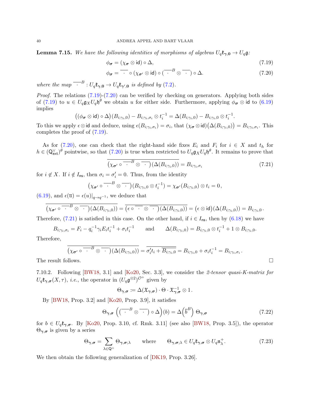**Lemma 7.15.** We have the following identities of morphisms of algebras  $U_q \mathfrak{k}_{\gamma,0} \to U_q \mathfrak{g}$ :

<span id="page-41-2"></span><span id="page-41-1"></span>
$$
\phi_{\sigma} = (\chi_{\sigma} \otimes \text{id}) \circ \Delta, \tag{7.19}
$$

$$
\phi_{\sigma} = \overline{\cdot} \circ (\chi_{\sigma'} \otimes id) \circ (\overline{\cdot}^B \otimes \overline{\cdot}) \circ \Delta. \tag{7.20}
$$

where the map  $\overline{\phantom{a}}^{B}: U_q\mathfrak{k}_{\gamma,0} \to U_q\mathfrak{k}_{\gamma',0}$  is defined by [\(7.2\)](#page-35-2).

Proof. The relations  $(7.19)-(7.20)$  $(7.19)-(7.20)$  can be verified by checking on generators. Applying both sides of [\(7.19\)](#page-41-1) to  $u \in U_q \mathfrak{g}_X U_q \mathfrak{h}^\theta$  we obtain u for either side. Furthermore, applying  $\phi_{\sigma} \otimes \mathfrak{id}$  to [\(6.19\)](#page-33-4) implies

$$
((\phi_{\boldsymbol{\sigma}}\otimes\mathsf{id})\circ\Delta)(B_{i;\gamma_i,0})-B_{i;\gamma_i,\sigma_i}\otimes t_i^{-1}=\Delta(B_{i;\gamma_i,0})-B_{i;\gamma_i,0}\otimes t_i^{-1}.
$$

To this we apply  $\epsilon \otimes \mathsf{id}$  and deduce, using  $\epsilon(B_{i;\gamma_i,\sigma_i}) = \sigma_i$ , that  $(\chi_{\sigma} \otimes \mathsf{id})(\Delta(B_{i;\gamma_i,0})) = B_{i;\gamma_i,\sigma_i}$ . This completes the proof of [\(7.19\)](#page-41-1).

As for [\(7.20\)](#page-41-2), one can check that the right-hand side fixes  $E_i$  and  $F_i$  for  $i \in X$  and  $t_h$  for  $h \in (\mathsf{Q}^{\vee}_{\mathsf{ext}})^{\theta}$  pointwise, so that [\(7.20\)](#page-41-2) is true when restricted to  $U_q \mathfrak{g}_X U_q \mathfrak{h}^{\theta}$ . It remains to prove that

<span id="page-41-3"></span>
$$
\overline{(\chi_{\sigma'} \circ \cdots^B \otimes \cdots)(\Delta(B_{i; \gamma_i, 0}))} = B_{i; \gamma_i, \sigma_i}
$$
\n(7.21)

for  $i \notin X$ . If  $i \notin I_{\text{ns}}$ , then  $\sigma_i = \sigma'_i = 0$ . Thus, from the identity

$$
(\chi_{\boldsymbol{\sigma}'}\circ \overline{\cdot\cdot}^B\otimes \overline{\cdot\cdot})(B_{i;\gamma_i,0}\otimes t_i^{-1})=\chi_{\boldsymbol{\sigma}'}(B_{i;\gamma_i,0})\otimes t_i=0,
$$

 $(6.19)$ , and  $\epsilon(\overline{u}) = \epsilon(u)|_{q \to q^{-1}}$ , we deduce that

$$
\overline{(\chi_{\sigma'} \circ \overline{\phantom{A}}^{B} \otimes \phantom{A}\phantom{A})}(\Delta(B_{i,\gamma_{i},0}))} = \overline{(\epsilon \circ \overline{\phantom{A}}^{B} \otimes \phantom{A}\phantom{A})}(\Delta(B_{i,\gamma_{i},0})) = (\epsilon \otimes \text{id})(\Delta(B_{i,\gamma_{i},0})) = B_{i,\gamma_{i},0}.
$$

Therefore, [\(7.21\)](#page-41-3) is satisfied in this case. On the other hand, if  $i \in I_{\text{ns}}$ , then by [\(6.18\)](#page-33-2) we have

$$
B_{i;\gamma_i,\sigma_i} = F_i - q_i^{-1} \gamma_i E_i t_i^{-1} + \sigma_i t_i^{-1} \quad \text{and} \quad \Delta(B_{i;\gamma_i,0}) = B_{i;\gamma_i,0} \otimes t_i^{-1} + 1 \otimes B_{i;\gamma_i,0}.
$$

Therefore,

$$
\overline{(\chi_{\sigma'} \circ \cdots^B \otimes \cdots)(\Delta(B_{i,\gamma_i,0}))} = \overline{\sigma'_i t_i + \overline{B_{i,\gamma_i,0}}} = B_{i,\gamma_i,0} + \sigma_i t_i^{-1} = B_{i,\gamma_i,\sigma_i}.
$$

The result follows.

<span id="page-41-0"></span>7.10.2. Following [\[BW18,](#page-55-6) 3.1] and [\[Ko20,](#page-56-21) Sec. 3.3], we consider the 2-tensor quasi-K-matrix for  $U_q\mathfrak{k}_{\gamma,\sigma}(X,\tau)$ , *i.e.*, the operator in  $(U_q\mathfrak{g}^{\otimes 2})^{\mathcal{O}^+}$  given by

<span id="page-41-5"></span><span id="page-41-4"></span>
$$
\Theta_{\boldsymbol{\gamma},\boldsymbol{\sigma}}\coloneqq \Delta(\mathfrak{X}_{\boldsymbol{\gamma},\boldsymbol{\sigma}})\cdot \Theta\cdot\mathfrak{X}_{\boldsymbol{\gamma},\boldsymbol{\sigma}}^{-1}\otimes 1.
$$

By  $[BW18, Prop. 3.2]$  and  $[Ko20, Prop. 3.9]$ , it satisfies

$$
\Theta_{\gamma,\sigma}\left(\left(\overline{\cdot}^{B}\otimes\overline{\cdot\cdot}\right)\circ\Delta\right)(b)=\Delta\left(\overline{b}^{B}\right)\Theta_{\gamma,\sigma}\tag{7.22}
$$

for  $b \in U_q \mathfrak{k}_{\gamma, \sigma}$ . By [\[Ko20,](#page-56-21) Prop. 3.10, cf. Rmk. 3.11] (see also [\[BW18,](#page-55-6) Prop. 3.5]), the operator  $\Theta_{\gamma,\sigma}$  is given by a series

$$
\Theta_{\gamma,\sigma} = \sum_{\lambda \in \mathbb{Q}^+} \Theta_{\gamma,\sigma;\lambda} \quad \text{where} \quad \Theta_{\gamma,\sigma;\lambda} \in U_q \mathfrak{k}_{\gamma,\sigma} \otimes U_q \mathfrak{n}_{\lambda}^+.
$$
 (7.23)

We then obtain the following generalization of [\[DK19,](#page-56-15) Prop. 3.26].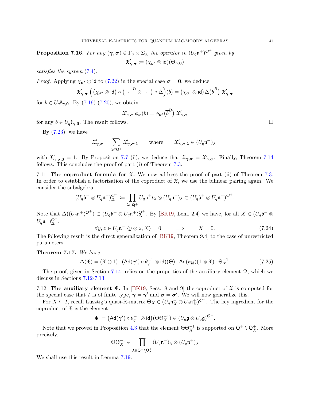**Proposition 7.16.** For any  $(\gamma, \sigma) \in \Gamma_q \times \Sigma_q$ , the operator in  $(U_q \mathfrak{n}^+)^{\mathcal{O}^+}$  given by  $\mathfrak{X}_{\bm{\gamma},\bm{\sigma}}' \coloneqq (\chi_{\bm{\sigma}'} \otimes \mathsf{id})(\Theta_{\bm{\gamma},\bm{0}})$ 

satisfies the system [\(7.4\)](#page-36-1).

*Proof.* Applying  $\chi_{\sigma'} \otimes \text{id}$  to [\(7.22\)](#page-41-4) in the special case  $\sigma = 0$ , we deduce

$$
\mathfrak{X}'_{\gamma,\sigma}\left(\left(\chi_{\sigma'}\otimes\text{id}\right)\circ\left(\overline{\phantom{a}}\cdot\overline{\phantom{a}}^{B}\otimes\overline{\phantom{a}}\right)\circ\Delta\right)(b)=\left(\chi_{\sigma'}\otimes\text{id}\right)\Delta\left(\overline{b}^B\right)\mathfrak{X}'_{\gamma,\sigma}
$$

for  $b \in U_q \mathfrak{k}_{\gamma,0}$ . By [\(7.19\)](#page-41-1)-[\(7.20\)](#page-41-2), we obtain

$$
\mathfrak{X}'_{\bm{\gamma},\bm{\sigma}}\ \overline{\phi_{\bm{\sigma}}(b)}=\phi_{\bm{\sigma}'}\big(\overline{b}^B\big)\ \mathfrak{X}'_{\bm{\gamma},\bm{\sigma}}
$$

for any  $b \in U_q \mathfrak{k}_{\gamma,0}$ . The result follows.

By  $(7.23)$ , we have

$$
\mathfrak{X}'_{\gamma,\sigma} = \sum_{\lambda \in \mathsf{Q}^+} \mathfrak{X}'_{\gamma,\sigma;\lambda} \quad \text{where} \quad \mathfrak{X}'_{\gamma,\sigma;\lambda} \in (U_q \mathfrak{n}^+)_{\lambda}.
$$

with  $\mathfrak{X}'_{\gamma,\sigma,0} = 1$ . By Proposition [7.7](#page-38-4) (ii), we deduce that  $\mathfrak{X}_{\gamma,\sigma} = \mathfrak{X}'_{\gamma,\sigma}$ . Finally, Theorem [7.14](#page-40-0) follows. This concludes the proof of part (i) of Theorem [7.3.](#page-36-0)

<span id="page-42-1"></span>7.11. The coproduct formula for  $\mathfrak{X}$ . We now address the proof of part (ii) of Theorem [7.3.](#page-36-0) In order to establish a factorization of the coproduct of  $\mathfrak{X}$ , we use the bilinear pairing again. We consider the subalgebra

$$
(U_q\mathfrak{b}^+\otimes U_q\mathfrak{n}^+)^{\mathcal{O}^+}_{\Delta}:=\prod_{\lambda\in\mathsf{Q}^+}U_q\mathfrak{n}^+t_{\lambda}\otimes (U_q\mathfrak{n}^+)_{\lambda}\subset (U_q\mathfrak{b}^+\otimes U_q\mathfrak{n}^+)^{\mathcal{O}^+}.
$$

Note that  $\Delta((U_q\mathfrak{n}^+)^{\mathcal{O}^+}) \subset (U_q\mathfrak{b}^+ \otimes U_q\mathfrak{n}^+)^{\mathcal{O}^+}_{\Delta}$ . By [\[BK19,](#page-55-1) Lem. 2.4] we have, for all  $X \in (U_q\mathfrak{b}^+ \otimes$  $U_q \mathfrak{n}^+ \rangle_{\Delta}^{\mathcal{O}^+},$ 

$$
\forall y, z \in U_q \mathfrak{n}^- \langle y \otimes z, X \rangle = 0 \qquad \Longrightarrow \qquad X = 0. \tag{7.24}
$$

The following result is the direct generalization of [\[BK19,](#page-55-1) Theorem 9.4] to the case of unrestricted parameters.

#### <span id="page-42-0"></span>Theorem 7.17. We have

$$
\Delta(\mathfrak{X}) = (\mathfrak{X} \otimes 1) \cdot (\mathrm{Ad}(\gamma') \circ \theta_q^{-1} \otimes \mathrm{id})(\Theta) \cdot \mathrm{Ad}(\kappa_{\mathrm{id}})(1 \otimes \mathfrak{X}) \cdot \Theta_X^{-1}.
$$
 (7.25)

The proof, given in Section [7.14,](#page-44-0) relies on the properties of the auxiliary element  $\Psi$ , which we discuss in Sections [7.12-](#page-42-2)[7.13.](#page-43-0)

<span id="page-42-2"></span>7.12. The auxiliary element  $\Psi$ . In [\[BK19,](#page-55-1) Secs. 8 and 9] the coproduct of  $\mathfrak X$  is computed for the special case that I is of finite type,  $\gamma = \gamma'$  and  $\sigma = \sigma'$ . We will now generalize this.

For  $X \subseteq I$ , recall Lusztig's quasi-R-matrix  $\Theta_X \in (U_q \mathfrak{n}_X^- \otimes U_q \mathfrak{n}_X^+)^{\mathcal{O}^+}$ . The key ingredient for the coproduct of  $\mathfrak X$  is the element

$$
\Psi \coloneqq (\mathrm{Ad}(\gamma') \circ \theta_q^{-1} \otimes \mathrm{id})(\Theta \Theta_X^{-1}) \in (U_q \mathfrak{g} \otimes U_q \mathfrak{g})^{\mathcal{O}^+}.
$$

Note that we proved in Proposition [4.3](#page-24-1) that the element  $\Theta \Theta_X^{-1}$  is supported on  $\mathsf{Q}^+ \setminus \mathsf{Q}_X^+$ . More precisely,

$$
\Theta\Theta_X^{-1}\in \prod_{\lambda\in \mathsf{Q}^+\backslash \mathsf{Q}^+_X}(U_q\mathfrak{n}^-)_\lambda\otimes (U_q\mathfrak{n}^+)_\lambda
$$

We shall use this result in Lemma [7.19.](#page-43-1)

<span id="page-42-4"></span><span id="page-42-3"></span>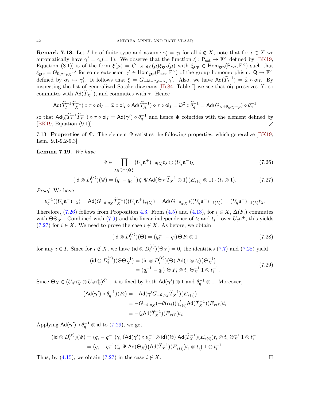**Remark 7.18.** Let I be of finite type and assume  $\gamma'_i = \gamma_i$  for all  $i \notin X$ ; note that for  $i \in X$  we automatically have  $\gamma_i' = \gamma_i (= 1)$ . We observe that the function  $\xi : \mathsf{P}_{\textsf{ext}} \to \mathbb{F}^\times$  defined by [\[BK19,](#page-55-1) Equation (8.1)] is of the form  $\xi(\mu) = G_{-id-\theta,0}(\mu)\xi_{\text{grp}}(\mu)$  with  $\xi_{\text{grp}} \in \text{Hom}_{\text{grp}}(P_{ext}, \mathbb{F}^{\times})$  such that  $\xi_{\text{grp}} = G_{0,\rho-\rho_X} \gamma'$  for some extension  $\gamma' \in \text{Hom}_{\text{grp}}(P_{\text{ext}}, \mathbb{F}^{\times})$  of the group homomorphism:  $Q \to \mathbb{F}^{\times}$ defined by  $\alpha_i \mapsto \gamma'_i$ . It follows that  $\xi = G_{-id-\theta,\rho-\rho_X} \gamma'$ . Also, we have  $\text{Ad}(\widetilde{T}_I^{-1}) = \widetilde{\omega} \circ \text{o}_I I$ . By<br>inspecting the list of generalized Satake diagrams [He84, Table I] we see that give presentes Y, so inspecting the list of generalized Satake diagrams [\[He84,](#page-56-26) Table I] we see that  $o<sub>I</sub>$  preserves X, so commutes with  $\mathsf{Ad}(\widetilde{T}_X^{-1})$ , and commutes with  $\tau$ . Hence

$$
\mathrm{Ad}(\widetilde{T}_{I}^{-1}\widetilde{T}_{X}^{-1})\circ\tau\circ\mathrm{o}_{I}{}_{I}=\widetilde{\omega}\circ\mathrm{o}_{I}{}_{I}\circ\mathrm{Ad}(\widetilde{T}_{X}^{-1})\circ\tau\circ\mathrm{o}_{I}{}_{I}=\widetilde{\omega}^{2}\circ\widetilde{\theta}_{q}^{-1}=\mathrm{Ad}(G_{\mathrm{id}+\theta,\rho_{X}-\rho})\circ\theta_{q}^{-1}
$$

so that  $\text{Ad}(\xi \tilde{T}_I^{-1} \tilde{T}_X^{-1}) \circ \tau \circ \text{o} i_I = \text{Ad}(\gamma') \circ \theta_q^{-1}$  and hence  $\Psi$  coincides with the element defined by  $[BK19, Equation (9.1)]$  $[BK19, Equation (9.1)]$ 

<span id="page-43-0"></span>7.13. Properties of  $\Psi$ . The element  $\Psi$  satisfies the following properties, which generalize [\[BK19,](#page-55-1) Lem. 9.1-9.2-9.3].

<span id="page-43-1"></span>Lemma 7.19. We have

<span id="page-43-2"></span>
$$
\Psi \in \prod_{\lambda \in \mathsf{Q}^+ \setminus \mathsf{Q}^+_{\mathcal{X}}} (U_q \mathfrak{n}^+)_{-\theta(\lambda)} t_\lambda \otimes (U_q \mathfrak{n}^+)_{\lambda} \tag{7.26}
$$

$$
(\mathrm{id} \otimes D_i^{(r)})(\Psi) = (q_i - q_i^{-1})\zeta_i \Psi \mathrm{Ad}(\Theta_X \widetilde{T}_X^{-1} \otimes 1)(E_{\tau(i)} \otimes 1) \cdot (t_i \otimes 1). \tag{7.27}
$$

Proof. We have

$$
\theta_q^{-1}((U_q \mathfrak{n}^-)_{-\lambda}) = \mathrm{Ad}(G_{-\theta,\rho_X}\widetilde{T}_X^{-1})((U_q \mathfrak{n}^+)_{\tau(\lambda)}) = \mathrm{Ad}(G_{-\theta,\rho_X})((U_q \mathfrak{n}^+)_{-\theta(\lambda)}) = (U_q \mathfrak{n}^+)_{-\theta(\lambda)} t_{\lambda}.
$$

Therefore, [\(7.26\)](#page-43-2) follows from Proposition [4.3.](#page-24-1) From [\(4.5\)](#page-22-1) and [\(4.13\)](#page-24-3), for  $i \in X$ ,  $\Delta(F_i)$  commutes with  $\Theta \Theta_X^{-1}$ . Combined with [\(7.9\)](#page-37-0) and the linear independence of  $t_i$  and  $t_i^{-1}$  over  $U_q \mathfrak{n}^+$ , this yields [\(7.27\)](#page-43-3) for  $i \in X$ . We need to prove the case  $i \notin X$ . As before, we obtain

<span id="page-43-3"></span>
$$
(\mathrm{id} \otimes D_i^{(r)})(\Theta) = (q_i^{-1} - q_i) \Theta F_i \otimes 1 \tag{7.28}
$$

for any  $i \in I$ . Since for  $i \notin X$ , we have  $(\mathsf{id} \otimes D_i^{(r)})$  $i^{(r)}$  $(\Theta_X) = 0$ , the identities [\(7.7\)](#page-37-2) and [\(7.28\)](#page-43-4) yield

$$
(\mathsf{id} \otimes D_i^{(r)}) (\Theta \Theta_X^{-1}) = (\mathsf{id} \otimes D_i^{(r)}) (\Theta) \; \mathsf{Ad}(1 \otimes t_i) (\Theta_X^{-1})
$$
\n
$$
= (q_i^{-1} - q_i) \; \Theta \; F_i \otimes t_i \; \Theta_X^{-1} \; 1 \otimes t_i^{-1}.\tag{7.29}
$$

Since  $\Theta_X \in (U_q \mathfrak{n}_X^- \otimes U_q \mathfrak{n}_X^+)^{\mathcal{O}^+}$ , it is fixed by both  $\mathsf{Ad}(\gamma') \otimes 1$  and  $\theta_q^{-1} \otimes 1$ . Moreover,

$$
\begin{aligned} \left(\mathsf{Ad}(\boldsymbol{\gamma}') \circ \theta_q^{-1}\right)(F_i) &= -\mathsf{Ad}(\boldsymbol{\gamma}' G_{-\theta,\rho_X} \widetilde{T}_X^{-1})(E_{\tau(i)}) \\ &= -G_{-\theta,\rho_X}(-\theta(\alpha_i))\gamma'_{\tau(i)} \mathsf{Ad}(\widetilde{T}_X^{-1})(E_{\tau(i)})t_i \\ &= -\zeta_i \mathsf{Ad}(\widetilde{T}_X^{-1})(E_{\tau(i)})t_i. \end{aligned}
$$

Applying  $\mathsf{Ad}(\bm{\gamma}') \circ \theta_q^{-1} \otimes \mathsf{id}$  to  $(7.29)$ , we get

$$
(\mathsf{id} \otimes D_i^{(r)})(\Psi) = (q_i - q_i^{-1})\gamma_i \ (\mathsf{Ad}(\gamma') \circ \theta_q^{-1} \otimes \mathsf{id})(\Theta) \ \mathsf{Ad}(\widetilde{T}_X^{-1})(E_{\tau(i)})t_i \otimes t_i \ \Theta_X^{-1} \ 1 \otimes t_i^{-1}
$$

$$
= (q_i - q_i^{-1})\zeta_i \ \Psi \ \mathsf{Ad}(\Theta_X) \big(\mathsf{Ad}(\widetilde{T}_X^{-1})(E_{\tau(i)})t_i \otimes t_i\big) \ 1 \otimes t_i^{-1}.
$$

Thus, by [\(4.15\)](#page-24-4), we obtain [\(7.27\)](#page-43-3) in the case  $i \notin X$ . □

<span id="page-43-5"></span><span id="page-43-4"></span>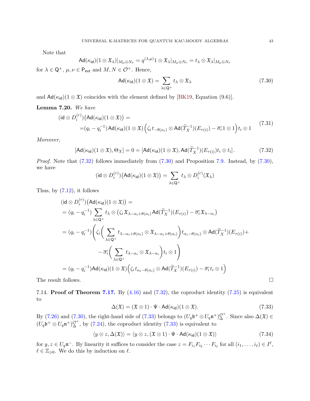Note that

$$
\mathsf{Ad}(\kappa_{\mathsf{id}})(1\otimes \mathfrak{X}_{\lambda})|_{M_{\mu}\otimes N_{\nu}}=q^{(\lambda,\mu)}1\otimes \mathfrak{X}_{\lambda}|_{M_{\mu}\otimes N_{\nu}}=t_{\lambda}\otimes \mathfrak{X}_{\lambda}|_{M_{\mu}\otimes N_{\nu}}
$$

for  $\lambda \in \mathsf{Q}^+$ ,  $\mu, \nu \in \mathsf{P}_{\text{ext}}$  and  $M, N \in \mathcal{O}^+$ . Hence,

<span id="page-44-5"></span><span id="page-44-2"></span><span id="page-44-1"></span>
$$
Ad(\kappa_{\mathsf{id}})(1 \otimes \mathfrak{X}) = \sum_{\lambda \in \mathsf{Q}^+} t_{\lambda} \otimes \mathfrak{X}_{\lambda} \tag{7.30}
$$

and  $\mathsf{Ad}(\kappa_{\mathsf{id}})(1 \otimes \mathfrak{X})$  coincides with the element defined by [\[BK19,](#page-55-1) Equation (9.6)].

#### Lemma 7.20. We have

$$
(\mathsf{id} \otimes D_i^{(r)}) (\mathsf{Ad}(\kappa_{\mathsf{id}})(1 \otimes \mathfrak{X})) =
$$
  
=  $(q_i - q_i^{-1}) \mathsf{Ad}(\kappa_{\mathsf{id}})(1 \otimes \mathfrak{X}) (\zeta_i t_{-\theta(\alpha_i)} \otimes \mathsf{Ad}(\widetilde{T}_X^{-1})(E_{\tau(i)}) - \overline{\sigma_i} 1 \otimes 1) t_i \otimes 1$  (7.31)

Moreover,

$$
[\mathsf{Ad}(\kappa_{\mathsf{id}})(1\otimes \mathfrak{X}),\Theta_X] = 0 = [\mathsf{Ad}(\kappa_{\mathsf{id}})(1\otimes \mathfrak{X}),\mathsf{Ad}(\widetilde{T}_X^{-1})(E_{\tau(i)})t_i\otimes t_i].\tag{7.32}
$$

Proof. Note that  $(7.32)$  follows immediately from  $(7.30)$  and Proposition [7.9.](#page-38-7) Instead, by  $(7.30)$ , we have

$$
(\mathrm{id} \otimes D_i^{(r)})\big(\mathrm{Ad}(\kappa_{\mathsf{id}})(1 \otimes \mathfrak{X})\big) = \sum_{\lambda \in \mathsf{Q}^+} t_\lambda \otimes D_i^{(r)}(\mathfrak{X}_\lambda)
$$

Thus, by  $(7.12)$ , it follows

$$
(\mathsf{id} \otimes D_i^{(r)}) (\mathsf{Ad}(\kappa_{\mathsf{id}})(1 \otimes \mathfrak{X})) =
$$
\n
$$
= (q_i - q_i^{-1}) \sum_{\lambda \in \mathsf{Q}^+} t_{\lambda} \otimes (\zeta_i \mathfrak{X}_{\lambda - \alpha_i + \theta(\alpha_i)} \mathsf{Ad}(\widetilde{T}_{X}^{-1})(E_{\tau(i)}) - \overline{\sigma_i} \mathfrak{X}_{\lambda - \alpha_i})
$$
\n
$$
= (q_i - q_i^{-1}) \Bigg( \zeta_i \Big( \sum_{\lambda \in \mathsf{Q}^+} t_{\lambda - \alpha_i + \theta(\alpha_i)} \otimes \mathfrak{X}_{\lambda - \alpha_i + \theta(\alpha_i)} \Big) t_{\alpha_i - \theta(\alpha_i)} \otimes \mathsf{Ad}(\widetilde{T}_{X}^{-1})(E_{\tau(i)}) +
$$
\n
$$
- \overline{\sigma_i} \Big( \sum_{\lambda \in \mathsf{Q}^+} t_{\lambda - \alpha_i} \otimes \mathfrak{X}_{\lambda - \alpha_i} \Big) t_i \otimes 1 \Bigg)
$$
\n
$$
= (q_i - q_i^{-1}) \mathsf{Ad}(\kappa_{\mathsf{id}})(1 \otimes \mathfrak{X}) \Big( \zeta_i t_{\alpha_i - \theta(\alpha_i)} \otimes \mathsf{Ad}(\widetilde{T}_{X}^{-1})(E_{\tau(i)}) - \overline{\sigma_i} t_i \otimes 1 \Big)
$$
\nThe result follows.

<span id="page-44-0"></span>7.14. **Proof of Theorem [7.17.](#page-42-0)** By  $(4.16)$  and  $(7.32)$ , the coproduct identity  $(7.25)$  is equivalent to

<span id="page-44-4"></span><span id="page-44-3"></span>
$$
\Delta(\mathfrak{X}) = (\mathfrak{X} \otimes 1) \cdot \Psi \cdot \mathsf{Ad}(\kappa_{\mathsf{id}})(1 \otimes \mathfrak{X}). \tag{7.33}
$$

By [\(7.26\)](#page-43-2) and [\(7.30\)](#page-44-2), the right-hand side of [\(7.33\)](#page-44-3) belongs to  $(U_q\mathfrak{b}^+\otimes U_q\mathfrak{n}^+)\_\Delta^{\mathcal{O}^+}$ . Since also  $\Delta(\mathfrak{X}) \in$  $(U_q\mathfrak{b}^+\otimes U_q\mathfrak{n}^+)\_\Delta^{\mathcal{O}^+}$ , by [\(7.24\)](#page-42-4), the coproduct identity [\(7.33\)](#page-44-3) is equivalent to

$$
\langle y \otimes z, \Delta(\mathfrak{X}) \rangle = \langle y \otimes z, (\mathfrak{X} \otimes 1) \cdot \Psi \cdot \mathsf{Ad}(\kappa_{\mathsf{id}})(1 \otimes \mathfrak{X}) \rangle \tag{7.34}
$$

for  $y, z \in U_q \mathfrak{n}^-$ . By linearity it suffices to consider the case  $z = F_{i_1} F_{i_2} \cdots F_{i_\ell}$  for all  $(i_1, \ldots, i_\ell) \in I^\ell$ ,  $\ell \in \mathbb{Z}_{\geqslant 0}$ . We do this by induction on  $\ell$ .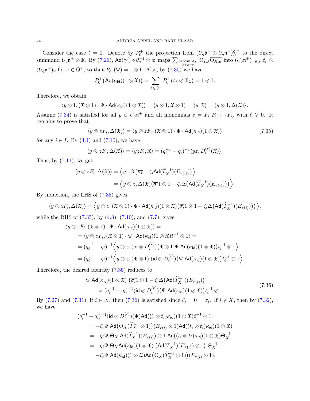Consider the case  $\ell = 0$ . Denote by  $P_0^+$  the projection from  $(U_q \mathfrak{b}^+ \otimes U_q \mathfrak{n}^-)_{\Delta}^{\mathcal{O}^+}$  to the direct  $\text{summand } U_q\mathfrak{n}^+ \otimes \mathbb{F}. \text{ By (7.26), } \mathsf{Ad}(\boldsymbol{\gamma}') \circ \theta_q^{-1} \otimes \text{id maps } \sum_{\lambda \in \mathsf{Q}, \mu \in \mathsf{Q}_X} \Theta_{I,\lambda} \overline{\Theta_{X,\mu}} \text{ into } (U_q\mathfrak{n}^+)_{-\theta(\nu)} t_{\nu} \otimes$  $\text{summand } U_q\mathfrak{n}^+ \otimes \mathbb{F}. \text{ By (7.26), } \mathsf{Ad}(\boldsymbol{\gamma}') \circ \theta_q^{-1} \otimes \text{id maps } \sum_{\lambda \in \mathsf{Q}, \mu \in \mathsf{Q}_X} \Theta_{I,\lambda} \overline{\Theta_{X,\mu}} \text{ into } (U_q\mathfrak{n}^+)_{-\theta(\nu)} t_{\nu} \otimes$  $\text{summand } U_q\mathfrak{n}^+ \otimes \mathbb{F}. \text{ By (7.26), } \mathsf{Ad}(\boldsymbol{\gamma}') \circ \theta_q^{-1} \otimes \text{id maps } \sum_{\lambda \in \mathsf{Q}, \mu \in \mathsf{Q}_X} \Theta_{I,\lambda} \overline{\Theta_{X,\mu}} \text{ into } (U_q\mathfrak{n}^+)_{-\theta(\nu)} t_{\nu} \otimes$  $(U_q\mathfrak{n}^+)_\nu$  for  $\nu \in \mathsf{Q}^+$ , so that  $P_0^+(\Psi) = 1 \otimes 1$ . Also, by [\(7.30\)](#page-44-2) we have

<span id="page-45-0"></span>
$$
P_0^+\big(\mathsf{Ad}(\kappa_{\mathsf{id}})(1\otimes \mathfrak{X})\big)=\sum_{\lambda\in \mathsf{Q}^+}P_0^+\big(t_\lambda\otimes \mathfrak{X}_\lambda\big)=1\otimes 1.
$$

Therefore, we obtain

$$
\langle y \otimes 1, (\mathfrak{X} \otimes 1) \cdot \Psi \cdot \mathsf{Ad}(\kappa_{\mathsf{id}})(1 \otimes \mathfrak{X}) \rangle = \langle y \otimes 1, \mathfrak{X} \otimes 1 \rangle = \langle y, \mathfrak{X} \rangle = \langle y \otimes 1, \Delta(\mathfrak{X}) \rangle.
$$

Assume [\(7.34\)](#page-44-4) is satisfied for all  $y \in U_q \mathfrak{n}^+$  and all monomials  $z = F_{i_1} F_{i_2} \cdots F_{i_\ell}$  with  $\ell \geq 0$ . It remains to prove that

$$
\langle y \otimes zF_i, \Delta(\mathfrak{X}) \rangle = \langle y \otimes zF_i, (\mathfrak{X} \otimes 1) \cdot \Psi \cdot \mathsf{Ad}(\kappa_{\mathsf{id}})(1 \otimes \mathfrak{X}) \rangle \tag{7.35}
$$

for any  $i \in I$ . By  $(4.1)$  and  $(7.10)$ , we have

$$
\langle y \otimes z F_i, \Delta(\mathfrak{X}) \rangle = \langle y z F_i, \mathfrak{X} \rangle = (q_i^{-1} - q_i)^{-1} \langle y z, D_i^{(r)}(\mathfrak{X}) \rangle.
$$

Thus, by  $(7.11)$ , we get

$$
\langle y \otimes zF_i, \Delta(\mathfrak{X}) \rangle = \Big\langle yz, \mathfrak{X}\big(\overline{\sigma_i} - \zeta_i \mathsf{Ad}(\widetilde{T}_X^{-1})(E_{\tau(i)})\big) \Big\rangle
$$
  
=  $\Big\langle y \otimes z, \Delta(\mathfrak{X})\big(\overline{\sigma_i} \mathbf{1} \otimes \mathbf{1} - \zeta_i \Delta \big(\mathsf{Ad}(\widetilde{T}_X^{-1})(E_{\tau(i)})\big)\Big) \Big\rangle.$ 

By induction, the LHS of [\(7.35\)](#page-45-0) gives

$$
\langle y \otimes zF_i, \Delta(\mathfrak{X}) \rangle = \langle y \otimes z, (\mathfrak{X} \otimes 1) \cdot \Psi \cdot \mathsf{Ad}(\kappa_{\mathsf{id}}) (1 \otimes \mathfrak{X}) (\overline{\sigma_i} 1 \otimes 1 - \zeta_i \Delta \big( \mathsf{Ad}(\widetilde{T}_X^{-1})(E_{\tau(i)}) \big) \rangle \rangle.
$$

while the RHS of 
$$
(7.35)
$$
, by  $(4.3)$ ,  $(7.10)$ , and  $(7.7)$ , gives

$$
\langle y \otimes zF_i, (\mathfrak{X} \otimes 1) \cdot \Psi \cdot \mathsf{Ad}(\kappa_{\mathsf{id}})(1 \otimes \mathfrak{X}) \rangle =
$$
\n
$$
= \langle y \otimes zF_i, (\mathfrak{X} \otimes 1) \cdot \Psi \cdot \mathsf{Ad}(\kappa_{\mathsf{id}})(1 \otimes \mathfrak{X})t_i^{-1} \otimes 1 \rangle =
$$
\n
$$
= (q_i^{-1} - q_i)^{-1} \Big\langle y \otimes z, (\mathsf{id} \otimes D_i^{(r)}) (\mathfrak{X} \otimes 1 \Psi \mathsf{Ad}(\kappa_{\mathsf{id}})(1 \otimes \mathfrak{X}))t_i^{-1} \otimes 1 \Big\rangle
$$
\n
$$
= (q_i^{-1} - q_i)^{-1} \Big\langle y \otimes z, (\mathfrak{X} \otimes 1) (\mathsf{id} \otimes D_i^{(r)}) (\Psi \mathsf{Ad}(\kappa_{\mathsf{id}})(1 \otimes \mathfrak{X}))t_i^{-1} \otimes 1 \Big\rangle.
$$

Therefore, the desired identity [\(7.35\)](#page-45-0) reduces to

<span id="page-45-1"></span>
$$
\Psi \operatorname{Ad}(\kappa_{\mathsf{id}})(1 \otimes \mathfrak{X}) \left( \overline{\sigma_i} 1 \otimes 1 - \zeta_i \Delta \big( \operatorname{Ad}(\widetilde{T}_X^{-1})(E_{\tau(i)}) \big) \right) =
$$
\n
$$
= (q_i^{-1} - q_i)^{-1} (\mathsf{id} \otimes D_i^{(r)}) \big( \Psi \operatorname{Ad}(\kappa_{\mathsf{id}})(1 \otimes \mathfrak{X}) \big) t_i^{-1} \otimes 1.
$$
\n(7.36)

By [\(7.27\)](#page-43-3) and [\(7.31\)](#page-44-5), if  $i \in X$ , then [\(7.36\)](#page-45-1) is satisfied since  $\zeta_i = 0 = \sigma_i$ . If  $i \notin X$ , then by [\(7.32\)](#page-44-1), we have

$$
(q_i^{-1} - q_i)^{-1} (\mathrm{id} \otimes D_i^{(r)}) (\Psi) \mathrm{Ad}((1 \otimes t_i) \kappa_{\mathrm{id}}) (1 \otimes \mathfrak{X}) t_i^{-1} \otimes 1 =
$$
  
\n
$$
= -\zeta_i \Psi \mathrm{Ad}(\Theta_X(\widetilde{T}_X^{-1} \otimes 1)) (E_{\tau(i)} \otimes 1) \mathrm{Ad}((t_i \otimes t_i) \kappa_{\mathrm{id}}) (1 \otimes \mathfrak{X})
$$
  
\n
$$
= -\zeta_i \Psi \Theta_X \mathrm{Ad}(\widetilde{T}_X^{-1}) (E_{\tau(i)}) \otimes 1 \mathrm{Ad}((t_i \otimes t_i) \kappa_{\mathrm{id}}) (1 \otimes \mathfrak{X}) \Theta_X^{-1}
$$
  
\n
$$
= -\zeta_i \Psi \Theta_X \mathrm{Ad}(\kappa_{\mathrm{id}}) (1 \otimes \mathfrak{X}) (\mathrm{Ad}(\widetilde{T}_X^{-1}) (E_{\tau(i)}) \otimes 1) \Theta_X^{-1}
$$
  
\n
$$
= -\zeta_i \Psi \mathrm{Ad}(\kappa_{\mathrm{id}}) (1 \otimes \mathfrak{X}) \mathrm{Ad}(\Theta_X(\widetilde{T}_X^{-1} \otimes 1)) (E_{\tau(i)} \otimes 1).
$$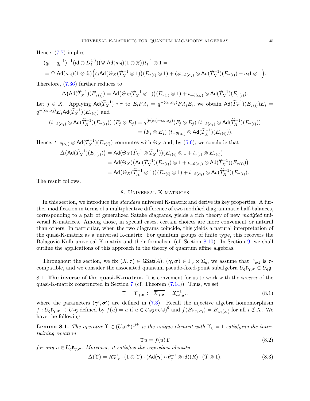Hence, [\(7.7\)](#page-37-2) implies

$$
(q_i - q_i^{-1})^{-1}(\mathop{\mathrm{id}}\nolimits \otimes D_i^{(r)})\big(\Psi \mathop{\mathrm{Ad}}\nolimits(\kappa_{\mathop{\mathrm{id}}\nolimits})(1 \otimes \mathfrak{X})\big) t_i^{-1} \otimes 1 =
$$
  
= 
$$
\Psi \mathop{\mathrm{Ad}}\nolimits(\kappa_{\mathop{\mathrm{id}}\nolimits})(1 \otimes \mathfrak{X})\Big(\zeta_i \mathop{\mathrm{Ad}}\nolimits\big(\Theta_X(\widetilde{T}_X^{-1} \otimes 1)\big)(E_{\tau(i)} \otimes 1) + \zeta_i t_{-\theta(\alpha_i)} \otimes \mathop{\mathrm{Ad}}\nolimits(\widetilde{T}_X^{-1})(E_{\tau(i)}) - \overline{\sigma_i}1 \otimes 1\Big).
$$

Therefore, [\(7.36\)](#page-45-1) further reduces to

 $\Delta(\mathsf{Ad}(\widetilde{T}_{X}^{-1})(E_{\tau(i)})=\mathsf{Ad}(\Theta_{X}(\widetilde{T}_{X}^{-1}\otimes 1))(E_{\tau(i)}\otimes 1)+t_{-\theta(\alpha_i)}\otimes \mathsf{Ad}(\widetilde{T}_{X}^{-1})(E_{\tau(i)}).$ 

Let  $j \in X$ . Applying  $\text{Ad}(\widetilde{T}_X^{-1}) \circ \tau$  to  $E_i F_j t_j = q^{-(\alpha_i, \alpha_j)} F_j t_j E_i$ , we obtain  $\text{Ad}(\widetilde{T}_X^{-1})(E_{\tau(i)})E_j =$  $q^{-(\alpha_i,\alpha_j)}E_j$ Ad $(\widetilde{T}_X^{-1})(E_{\tau(i)})$  and

$$
(t_{-\theta(\alpha_i)} \otimes \operatorname{Ad}(\widetilde{T}_X^{-1})(E_{\tau(i)})) (F_j \otimes E_j) = q^{(\theta(\alpha_i) - \alpha_i, \alpha_j)}(F_j \otimes E_j) (t_{-\theta(\alpha_i)} \otimes \operatorname{Ad}(\widetilde{T}_X^{-1})(E_{\tau(i)}))
$$
  
= 
$$
(F_j \otimes E_j) (t_{-\theta(\alpha_i)} \otimes \operatorname{Ad}(\widetilde{T}_X^{-1})(E_{\tau(i)})).
$$

Hence,  $t_{-\theta(\alpha_i)} \otimes \text{Ad}(\tilde{T}_X^{-1})(E_{\tau(i)})$  commutes with  $\Theta_X$  and, by [\(5.6\)](#page-27-1), we conclude that

$$
\Delta\left(\mathrm{Ad}(\widetilde{T}_X^{-1})(E_{\tau(i)})\right) = \mathrm{Ad}(\Theta_X(\widetilde{T}_X^{-1}\otimes \widetilde{T}_X^{-1}))(E_{\tau(i)}\otimes 1 + t_{\tau(i)}\otimes E_{\tau(i)})
$$
  
\n
$$
= \mathrm{Ad}(\Theta_X)\left(\mathrm{Ad}(\widetilde{T}_X^{-1})(E_{\tau(i)})\otimes 1 + t_{-\theta(\alpha_i)}\otimes \mathrm{Ad}(\widetilde{T}_X^{-1})(E_{\tau(i)})\right)
$$
  
\n
$$
= \mathrm{Ad}\left(\Theta_X(\widetilde{T}_X^{-1}\otimes 1)\right)(E_{\tau(i)}\otimes 1) + t_{-\theta(\alpha_i)}\otimes \mathrm{Ad}(\widetilde{T}_X^{-1})(E_{\tau(i)}).
$$

<span id="page-46-0"></span>The result follows.

#### 8. Universal K-matrices

In this section, we introduce the *standard* universal K-matrix and derive its key properties. A further modification in terms of a multiplicative difference of two modified diagrammatic half-balances, corresponding to a pair of generalized Satake diagrams, yields a rich theory of new modified universal K-matrices. Among those, in special cases, certain choices are more convenient or natural than others. In particular, when the two diagrams coincide, this yields a natural interpretation of the quasi-K-matrix as a universal K-matrix. For quantum groups of finite type, this recovers the Balagović-Kolb universal K-matrix and their formalism (cf. Section [8.10\)](#page-50-0). In Section [9,](#page-51-0) we shall outline the applications of this approach in the theory of quantum affine algebras.

Throughout the section, we fix  $(X, \tau) \in \mathsf{GSat}(A)$ ,  $(\gamma, \sigma) \in \Gamma_q \times \Sigma_q$ , we assume that  $P_{ext}$  is  $\tau$ compatible, and we consider the associated quantum pseudo-fixed-point subalgebra  $U_q \mathfrak{k}_{\gamma, \sigma} \subset U_q \mathfrak{g}$ .

8.1. The inverse of the quasi-K-matrix. It is convenient for us to work with the *inverse* of the quasi-K-matrix constructed in Section [7](#page-33-0) (cf. Theorem  $(7.14)$ ). Thus, we set

$$
\Upsilon = \Upsilon_{\gamma,\sigma} := \overline{\mathfrak{X}_{\gamma,\sigma}} = \mathfrak{X}_{\gamma',\sigma'}^{-1},\tag{8.1}
$$

where the parameters  $(\gamma', \sigma')$  are defined in [\(7.3\)](#page-35-0). Recall the injective algebra homomorphism  $f: U_q\mathfrak{k}_{\gamma,\sigma} \to U_q\mathfrak{g}$  defined by  $f(u) = u$  if  $u \in U_q\mathfrak{g}_XU_q\mathfrak{h}^\theta$  and  $f(B_{i,\gamma_i,\sigma_i}) = \overline{B_{i,\gamma'_i,\sigma'_i}}$  for all  $i \notin X$ . We have the following

**Lemma 8.1.** The operator  $\Upsilon \in (U_q \mathfrak{n}^+)^{\mathcal{O}^+}$  is the unique element with  $\Upsilon_0 = 1$  satisfying the intertwining equation

<span id="page-46-3"></span><span id="page-46-2"></span><span id="page-46-1"></span>
$$
\Upsilon u = f(u)\Upsilon \tag{8.2}
$$

for any  $u \in U_q \mathfrak{k}_{\gamma, \sigma}$ . Moreover, it satisfies the coproduct identity

$$
\Delta(\Upsilon) = R_{X,\tau}^{-1} \cdot (1 \otimes \Upsilon) \cdot (\operatorname{Ad}(\gamma) \circ \theta_q^{-1} \otimes \operatorname{id})(R) \cdot (\Upsilon \otimes 1). \tag{8.3}
$$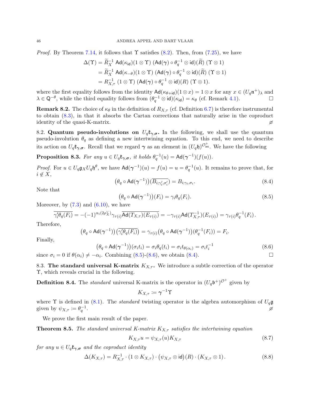*Proof.* By Theorem [7.14,](#page-40-0) it follows that  $\Upsilon$  satisfies [\(8.2\)](#page-46-1). Then, from [\(7.25\)](#page-42-3), we have

$$
\Delta(\Upsilon) = \widetilde{R}_{X}^{-1} \operatorname{Ad}(\kappa_{\mathsf{id}})(1 \otimes \Upsilon) \left( \operatorname{Ad}(\gamma) \circ \theta_{q}^{-1} \otimes \mathsf{id} \right) (\widetilde{R}) \left( \Upsilon \otimes 1 \right)
$$
  
=  $\widetilde{R}_{X}^{-1} \operatorname{Ad}(\kappa_{-\theta})(1 \otimes \Upsilon) \left( \operatorname{Ad}(\gamma) \circ \theta_{q}^{-1} \otimes \mathsf{id} \right) (\widetilde{R}) \left( \Upsilon \otimes 1 \right)$   
=  $R_{X,\tau}^{-1} (1 \otimes \Upsilon) \left( \operatorname{Ad}(\gamma) \circ \theta_{q}^{-1} \otimes \mathsf{id} \right) (R) \left( \Upsilon \otimes 1 \right).$ 

where the first equality follows from the identity  $\mathsf{Ad}(\kappa_{\theta+i\mathsf{d}})(1\otimes x)=1\otimes x$  for any  $x\in (U_q\mathfrak{n}^+)_\lambda$  and  $\lambda \in \mathsf{Q}^{-\theta}$ , while the third equality follows from  $(\theta_q^{-1} \otimes \mathsf{id})(\kappa_{\mathsf{id}}) = \kappa_\theta$  (cf. Remark [4.1\)](#page-22-5).

**Remark 8.2.** The choice of  $\kappa_{\theta}$  in the definition of  $R_{X,\tau}$  (cf. Definition [6.7\)](#page-31-6) is therefore instrumental to obtain [\(8.3\)](#page-46-2), in that it absorbs the Cartan corrections that naturally arise in the coproduct identity of the quasi-K-matrix.

8.2. Quantum pseudo-involutions on  $U_q \mathfrak{k}_{\gamma, \sigma}$ . In the following, we shall use the quantum pseudo-involution  $\theta_q$  as defining a new intertwining equation. To this end, we need to describe its action on  $U_q$  $\mathfrak{k}_{\gamma,\sigma}$ . Recall that we regard  $\gamma$  as an element in  $(U_q \mathfrak{h})^{\mathcal{O}_{\rm int}^+}$ . We have the following

<span id="page-47-4"></span>**Proposition 8.3.** For any  $u \in U_q \mathfrak{k}_{\gamma, \sigma}$ , it holds  $\theta_q^{-1}(u) = \text{Ad}(\gamma^{-1})(f(u))$ .

*Proof.* For  $u \in U_q \mathfrak{g}_X U_q \mathfrak{h}^\theta$ , we have  $\mathsf{Ad}(\gamma^{-1})(u) = f(u) = u = \theta_q^{-1}(u)$ . It remains to prove that, for  $i \notin X$ ,

$$
\left(\theta_q \circ \operatorname{Ad}(\gamma^{-1})\right)(\overline{B_{i;\gamma'_i,\sigma'_i}}) = B_{i;\gamma_i,\sigma_i}.\tag{8.4}
$$

Note that

<span id="page-47-3"></span><span id="page-47-1"></span>
$$
\left(\theta_q \circ \mathrm{Ad}(\gamma^{-1})\right)(F_i) = \gamma_i \theta_q(F_i). \tag{8.5}
$$

Moreover, by  $(7.3)$  and  $(6.10)$ , we have

$$
\overline{\gamma_i'\theta_q(F_i)} = -(-1)^{\alpha_i(2\rho_X^{\vee})}\gamma_{\tau(i)}\overline{\mathrm{Ad}(T_{X,\tau})(E_{\tau(i)})} = -\gamma_{\tau(i)}\mathrm{Ad}(T_{X,\tau}^{-1})(E_{\tau(i)}) = \gamma_{\tau(i)}\theta_q^{-1}(F_i).
$$

Therefore,

$$
\left(\theta_q \circ \mathrm{Ad}(\gamma^{-1})\right) \left(\overline{\gamma_i' \theta_q(F_i)}\right) = \gamma_{\tau(i)} \left(\theta_q \circ \mathrm{Ad}(\gamma^{-1})\right) \left(\theta_q^{-1}(F_i)\right) = F_i.
$$

Finally,

$$
(\theta_q \circ \mathrm{Ad}(\gamma^{-1}))(\sigma_i t_i) = \sigma_i \theta_q(t_i) = \sigma_i t_{\theta(\alpha_i)} = \sigma_i t_i^{-1}
$$
\n(8.6)

since  $\sigma_i = 0$  if  $\theta(\alpha_i) \neq -\alpha_i$ . Combining [\(8.5\)](#page-47-1)-[\(8.6\)](#page-47-2), we obtain [\(8.4\)](#page-47-3).

8.3. The standard universal K-matrix  $K_{X,\tau}$ . We introduce a subtle correction of the operator Υ, which reveals crucial in the following.

<span id="page-47-7"></span>**Definition 8.4.** The *standard* universal K-matrix is the operator in  $(U_q \mathfrak{b}^+)^{O^+}$  given by

<span id="page-47-5"></span><span id="page-47-2"></span>
$$
K_{X,\tau} \coloneqq \pmb{\gamma}^{-1}\pmb{\Upsilon}
$$

where  $\Upsilon$  is defined in [\(8.1\)](#page-46-3). The *standard* twisting operator is the algebra automorphism of  $U_q\mathfrak{g}$ given by  $\psi_{X,\tau} \coloneqq \theta_q^{-1}$ . The contract of the contract of the contract of  $\varnothing$ 

We prove the first main result of the paper.

<span id="page-47-0"></span>**Theorem 8.5.** The standard universal K-matrix  $K_{X,\tau}$  satisfies the intertwining equation

<span id="page-47-6"></span>
$$
K_{X,\tau}u = \psi_{X,\tau}(u)K_{X,\tau}
$$
\n
$$
(8.7)
$$

for any  $u \in U_q \mathfrak{k}_{\gamma, \sigma}$  and the coproduct identity

$$
\Delta(K_{X,\tau}) = R_{X,\tau}^{-1} \cdot (1 \otimes K_{X,\tau}) \cdot (\psi_{X,\tau} \otimes \text{id})(R) \cdot (K_{X,\tau} \otimes 1). \tag{8.8}
$$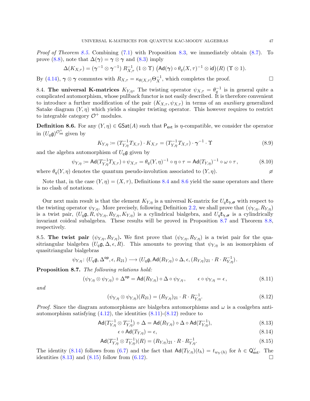*Proof of Theorem [8.5.](#page-47-0)* Combining  $(7.1)$  with Proposition [8.3,](#page-47-4) we immediately obtain  $(8.7)$ . To prove [\(8.8\)](#page-47-6), note that  $\Delta(\gamma) = \gamma \otimes \gamma$  and [\(8.3\)](#page-46-2) imply

$$
\Delta(K_{X,\tau}) = (\gamma^{-1} \otimes \gamma^{-1}) R_{X,\tau}^{-1} (1 \otimes \Upsilon) (\mathsf{Ad}(\gamma) \circ \theta_q(X,\tau)^{-1} \otimes \mathsf{id}) (R) (\Upsilon \otimes 1).
$$

By [\(4.14\)](#page-24-6),  $\gamma \otimes \gamma$  commutes with  $R_{X,\tau} = \kappa_{\theta(X,\tau)} \Theta_X^{-1}$ , which completes the proof.  $\Box$ 

<span id="page-48-9"></span>8.4. The universal K-matrices  $K_{Y,\eta}$ . The twisting operator  $\psi_{X,\tau} = \theta_q^{-1}$  is in general quite a complicated automorphism, whose pullback functor is not easily described. It is therefore convenient to introduce a further modification of the pair  $(K_{X,\tau}, \psi_{X,\tau})$  in terms of an *auxiliary* generalized Satake diagram  $(Y, \eta)$  which yields a simpler twisting operator. This however requires to restrict to integrable category  $\mathcal{O}^+$  modules.

<span id="page-48-1"></span>**Definition 8.6.** For any  $(Y, \eta) \in \text{GSat}(A)$  such that  $P_{ext}$  is  $\eta$ -compatible, we consider the operator in  $(U_q\mathfrak{g})^{\mathcal{O}_{\rm int}^+}$  given by

<span id="page-48-8"></span><span id="page-48-7"></span>
$$
K_{Y,\eta} := (T_{Y,\eta}^{-1} T_{X,\tau}) \cdot K_{X,\tau} = (T_{Y,\eta}^{-1} T_{X,\tau}) \cdot \gamma^{-1} \cdot \Upsilon
$$
\n(8.9)

and the algebra automorphism of  $U_q$ **g** given by

$$
\psi_{Y,\eta} := \operatorname{Ad}(T_{Y,\eta}^{-1}T_{X,\tau}) \circ \psi_{X,\tau} = \theta_q(Y,\eta)^{-1} \circ \eta \circ \tau = \operatorname{Ad}(T_{Y,\eta})^{-1} \circ \omega \circ \tau, \tag{8.10}
$$

where  $\theta_q(Y,\eta)$  denotes the quantum pseudo-involution associated to  $(Y,\eta)$ .

Note that, in the case  $(Y, \eta) = (X, \tau)$ , Definitions [8.4](#page-47-7) and [8.6](#page-48-1) yield the same operators and there is no clash of notations.

Our next main result is that the element  $K_{Y,\eta}$  is a universal K-matrix for  $U_q\mathfrak{k}_{\gamma,\sigma}$  with respect to the twisting operator  $\psi_{Y,\eta}$ . More precisely, following Definition [2.2,](#page-9-5) we shall prove that  $(\psi_{Y,\eta}, R_{Y,\eta})$ is a twist pair,  $(U_q\mathfrak{g}, R, \psi_{Y,\eta}, R_{Y,\eta}, K_{Y,\eta})$  is a cylindrical bialgebra, and  $U_q\mathfrak{k}_{\gamma,\sigma}$  is a cylindrically invariant coideal subalgebra. These results will be proved in Proposition [8.7](#page-48-0) and Theorem [8.8,](#page-49-0) respectively.

8.5. The twist pair  $(\psi_{Y,\eta}, R_{Y,\eta})$ . We first prove that  $(\psi_{Y,\eta}, R_{Y,\eta})$  is a twist pair for the quasitriangular bialgebra  $(U_q\mathfrak{g}, \Delta, \epsilon, R)$ . This amounts to proving that  $\psi_{Y,\eta}$  is an isomorphism of quasitriangular bialgebras

$$
\psi_{Y,\eta}\colon (U_q\mathfrak{g},\Delta^{\mathsf{op}},\epsilon,R_{21})\longrightarrow (U_q\mathfrak{g},\operatorname{Ad}(R_{Y,\eta})\circ\Delta,\epsilon,(R_{Y,\eta})_{21}\cdot R\cdot R_{Y,\eta}^{-1})\,.
$$

<span id="page-48-0"></span>Proposition 8.7. The following relations hold:

$$
(\psi_{Y,\eta} \otimes \psi_{Y,\eta}) \circ \Delta^{\text{op}} = \text{Ad}(R_{Y,\eta}) \circ \Delta \circ \psi_{Y,\eta}, \qquad \epsilon \circ \psi_{Y,\eta} = \epsilon,
$$
\n(8.11)

and

$$
(\psi_{Y,\eta} \otimes \psi_{Y,\eta})(R_{21}) = (R_{Y,\eta})_{21} \cdot R \cdot R_{Y,\eta}^{-1}.
$$
\n(8.12)

*Proof.* Since the diagram automorphisms are bialgebra automorphisms and  $\omega$  is a coalgebra antiautomorphism satisfying  $(4.12)$ , the identities  $(8.11)-(8.12)$  $(8.11)-(8.12)$  reduce to

$$
\operatorname{Ad}(T_{Y,\eta}^{-1} \otimes T_{Y,\eta}^{-1}) \circ \Delta = \operatorname{Ad}(R_{Y,\eta}) \circ \Delta \circ \operatorname{Ad}(T_{Y,\eta}^{-1}), \tag{8.13}
$$

<span id="page-48-6"></span><span id="page-48-5"></span><span id="page-48-4"></span><span id="page-48-3"></span><span id="page-48-2"></span>
$$
\epsilon \circ \operatorname{Ad}(T_{Y,\eta}) = \epsilon,\tag{8.14}
$$

$$
\mathsf{Ad}(T_{Y,\eta}^{-1} \otimes T_{Y,\eta}^{-1})(R) = (R_{Y,\eta})_{21} \cdot R \cdot R_{Y,\eta}^{-1}.\tag{8.15}
$$

The identity [\(8.14\)](#page-48-4) follows from [\(6.7\)](#page-30-1) and the fact that  $\mathsf{Ad}(T_{Y,\eta})(t_h) = t_{w_Y(h)}$  for  $h \in \mathsf{Q}^{\vee}_{\mathsf{ext}}$ . The identities  $(8.13)$  and  $(8.15)$  follow from  $(6.12)$ .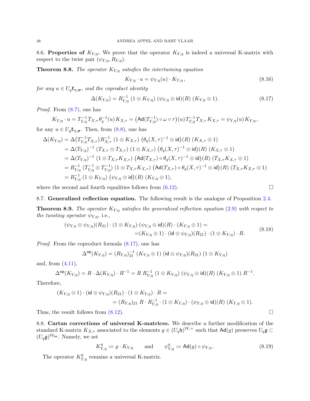<span id="page-49-4"></span>8.6. Properties of  $K_{Y,\eta}$ . We prove that the operator  $K_{Y,\eta}$  is indeed a universal K-matrix with respect to the twist pair  $(\psi_{Y,\eta}, R_{Y,\eta}).$ 

<span id="page-49-0"></span>**Theorem 8.8.** The operator  $K_{Y,\eta}$  satisfies the intertwining equation

<span id="page-49-2"></span><span id="page-49-1"></span>
$$
K_{Y,\eta} \cdot u = \psi_{Y,\eta}(u) \cdot K_{Y,\eta},\tag{8.16}
$$

for any  $u \in U_q \mathfrak{k}_{\gamma, \sigma}$ , and the coproduct identity

$$
\Delta(K_{Y,\eta}) = R_{Y,\eta}^{-1} (1 \otimes K_{Y,\eta}) (\psi_{Y,\eta} \otimes \text{id})(R) (K_{Y,\eta} \otimes 1).
$$
 (8.17)

Proof. From [\(8.7\)](#page-47-5), one has

$$
K_{Y,\eta} \cdot u = T_{Y,\eta}^{-1} T_{X,\tau} \theta_q^{-1}(u) K_{X,\tau} = (\text{Ad}(T_{Y,\eta}^{-1}) \circ \omega \circ \tau)(u) T_{Y,\eta}^{-1} T_{X,\tau} K_{X,\tau} = \psi_{Y,\eta}(u) K_{Y,\eta},
$$

for any  $u \in U_q \mathfrak{k}_{\gamma, \sigma}$ . Then, from  $(8.8)$ , one has

$$
\Delta(K_{Y,\eta}) = \Delta(T_{Y,\eta}^{-1}T_{X,\tau})R_{X,\tau}^{-1} (1 \otimes K_{X,\tau}) (\theta_q(X,\tau)^{-1} \otimes id)(R) (K_{X,\tau} \otimes 1)
$$
  
\n
$$
= \Delta(T_{Y,\eta})^{-1} (T_{X,\tau} \otimes T_{X,\tau}) (1 \otimes K_{X,\tau}) (\theta_q(X,\tau)^{-1} \otimes id)(R) (K_{X,\tau} \otimes 1)
$$
  
\n
$$
= \Delta(T_{Y,\eta})^{-1} (1 \otimes T_{X,\tau}K_{X,\tau}) (Ad(T_{X,\tau}) \circ \theta_q(X,\tau)^{-1} \otimes id)(R) (T_{X,\tau}K_{X,\tau} \otimes 1)
$$
  
\n
$$
= R_{Y,\eta}^{-1} (T_{Y,\eta}^{-1} \otimes T_{Y,\eta}^{-1}) (1 \otimes T_{X,\tau}K_{X,\tau}) (Ad(T_{X,\tau}) \circ \theta_q(X,\tau)^{-1} \otimes id)(R) (T_{X,\tau}K_{X,\tau} \otimes 1)
$$
  
\n
$$
= R_{Y,\eta}^{-1} (1 \otimes K_{Y,\eta}) (\psi_{Y,\eta} \otimes id)(R) (K_{Y,\eta} \otimes 1),
$$

where the second and fourth equalities follows from  $(6.12)$ .  $\Box$ 

8.7. Generalized reflection equation. The following result is the analogue of Proposition [2.4.](#page-9-1)

**Theorem 8.9.** The operator  $K_{Y,\eta}$  satisfies the generalized reflection equation [\(2.9\)](#page-9-2) with respect to the twisting operator  $\psi_{Y,\eta}$ , i.e.,

$$
(\psi_{Y,\eta} \otimes \psi_{Y,\eta})(R_{21}) \cdot (1 \otimes K_{Y,\eta}) \cdot (\psi_{Y,\eta} \otimes \text{id})(R) \cdot (K_{Y,\eta} \otimes 1) =
$$
  
= 
$$
(K_{Y,\eta} \otimes 1) \cdot (\text{id} \otimes \psi_{Y,\eta})(R_{21}) \cdot (1 \otimes K_{Y,\eta}) \cdot R.
$$
 (8.18)

Proof. From the coproduct formula [\(8.17\)](#page-49-1), one has

$$
\Delta^{\text{op}}(K_{Y,\eta}) = (R_{Y,\eta})_{21}^{-1} (K_{Y,\eta} \otimes 1) (\text{id} \otimes \psi_{Y,\eta})(R_{21}) (1 \otimes K_{Y,\eta})
$$

and, from [\(4.11\)](#page-23-4),

$$
\Delta^{\mathsf{op}}(K_{Y,\eta}) = R \cdot \Delta(K_{Y,\eta}) \cdot R^{-1} = R R_{Y,\eta}^{-1} (1 \otimes K_{Y,\eta}) (\psi_{Y,\eta} \otimes \mathsf{id})(R) (K_{Y,\eta} \otimes 1) R^{-1}.
$$

Therefore,

$$
(K_{Y,\eta} \otimes 1) \cdot (\mathsf{id} \otimes \psi_{Y,\eta})(R_{21}) \cdot (1 \otimes K_{Y,\eta}) \cdot R =
$$
  
=  $(R_{Y,\eta})_{21} R \cdot R_{Y,\eta}^{-1} \cdot (1 \otimes K_{Y,\eta}) \cdot (\psi_{Y,\eta} \otimes \mathsf{id})(R) \ (K_{Y,\eta} \otimes 1).$ 

Thus, the result follows from  $(8.12)$ .

<span id="page-49-5"></span>8.8. Cartan corrections of universal K-matrices. We describe a further modification of the standard K-matrix  $K_{X,\tau}$  associated to the elements  $g \in (U_q \mathfrak{h})^{\mathcal{W},\times}$  such that  $\mathsf{Ad}(g)$  preserves  $U_q \mathfrak{g} \subset$  $(U_q\mathfrak{g})^{\mathcal{W}_{\text{int}}}$ . Namely, we set

$$
K_{Y,\eta}^g := g \cdot K_{Y,\eta} \qquad \text{and} \qquad \psi_{Y,\eta}^g := \text{Ad}(g) \circ \psi_{Y,\eta}.
$$
 (8.19)

The operator  $K^g_{Y,\eta}$  remains a universal K-matrix.

<span id="page-49-6"></span><span id="page-49-3"></span>
$$
\square
$$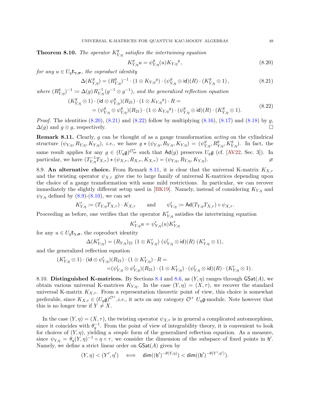<span id="page-50-5"></span>**Theorem 8.10.** The operator  $K_{Y,\eta}^g$  satisfies the intertwining equation

<span id="page-50-3"></span><span id="page-50-2"></span><span id="page-50-1"></span>
$$
K_{Y,\eta}^g u = \psi_{Y,\eta}^g (u) K_{Y,\eta}{}^g, \tag{8.20}
$$

for any  $u \in U_q \mathfrak{k}_{\gamma, \sigma}$ , the coproduct identity

$$
\Delta(K_{Y,\eta}^g) = (R_{Y,\eta}^g)^{-1} \cdot (1 \otimes K_{Y,\eta}^g) \cdot (\psi_{Y,\eta}^g \otimes \mathrm{id})(R) \cdot (K_{Y,\eta}^g \otimes 1), \tag{8.21}
$$

where  $(R_{Y,\eta}^g)^{-1} \coloneqq \Delta(g) R_{Y,\eta}^{-1}(g^{-1} \otimes g^{-1}),$  and the generalized reflection equation

$$
(K_{Y,\eta}^g \otimes 1) \cdot (\mathsf{id} \otimes \psi_{Y,\eta}^g)(R_{21}) \cdot (1 \otimes K_{Y,\eta}^g) \cdot R =
$$
  
= 
$$
(\psi_{Y,\eta}^g \otimes \psi_{Y,\eta}^g)(R_{21}) \cdot (1 \otimes K_{Y,\eta}^g) \cdot (\psi_{Y,\eta}^g \otimes \mathsf{id})(R) \cdot (K_{Y,\eta}^g \otimes 1).
$$
 (8.22)

*Proof.* The identities  $(8.20)$ ,  $(8.21)$  and  $(8.22)$  follow by multiplying  $(8.16)$ ,  $(8.17)$  and  $(8.18)$  by g,  $\Delta(g)$  and  $g \otimes g$ , respectively. □

<span id="page-50-4"></span>Remark 8.11. Clearly, g can be thought of as a gauge transformation *acting* on the cylindrical structure  $(\psi_{Y,\eta}, R_{Y,\eta}, K_{Y,\eta}),$  *i.e.*, we have  $g \star (\psi_{Y,\eta}, R_{Y,\eta}, K_{Y,\eta}) = (\psi_{Y,\eta}^g, R_{Y,\eta}^g, K_{Y,\eta}^g)$ . In fact, the same result applies for any  $g \in (U_q \mathfrak{g})^{\mathcal{O}_{\rm int}^+}$  such that  $\mathsf{Ad}(g)$  preserves  $U_q \mathfrak{g}$  (cf. [\[AV22,](#page-55-5) Sec. 3]). In particular, we have  $(T_{Y,\eta}^{-1}T_{X,\tau}) \star (\psi_{X,\tau}, R_{X,\tau}, K_{X,\tau}) = (\psi_{Y,\eta}, R_{Y,\eta}, K_{Y,\eta}).$ 

<span id="page-50-6"></span>8.9. An alternative choice. From Remark [8.11,](#page-50-4) it is clear that the universal K-matrix  $K_{X,\tau}$ and the twisting operator  $\psi_{X,\tau}$  give rise to large family of universal K-matrices depending upon the choice of a gauge transformation with some mild restrictions. In particular, we can recover immediately the slightly different setup used in [\[BK19\]](#page-55-1). Namely, instead of considering  $K_{Y,\eta}$  and  $\psi_{Y,\eta}$  defined by [\(8.9\)](#page-48-7)-[\(8.10\)](#page-48-8), we can set

$$
K'_{Y,\eta} := (T_{Y,\eta} T_{X,\tau}) \cdot K_{X,\tau} \quad \text{and} \quad \psi'_{Y,\eta} := \text{Ad}(T_{Y,\eta} T_{X,\tau}) \circ \psi_{X,\tau}.
$$

Proceeding as before, one verifies that the operator  $K'_{Y,\eta}$  satisfies the intertwining equation

$$
K'_{Y,\eta}u=\psi'_{Y,\eta}(u)K'_{Y,\eta}
$$

for any  $u \in U_q \mathfrak{k}_{\gamma, \sigma}$ , the coproduct identity

$$
\Delta(K'_{Y,\eta}) = (R_{Y,\eta})_{21} (1 \otimes K'_{Y,\eta}) (\psi'_{Y,\eta} \otimes \mathrm{id})(R) (K'_{Y,\eta} \otimes 1),
$$

and the generalized reflection equation

$$
\begin{aligned} (K'_{Y,\eta}\otimes 1)\cdot(\mathsf{id}\otimes \psi'_{Y,\eta})(R_{21})\cdot (1\otimes K'_{Y,\eta})\cdot R= \\ =&(\psi'_{Y,\eta}\otimes \psi'_{Y,\eta})(R_{21})\cdot (1\otimes K'_{Y,\eta})\cdot (\psi'_{Y,\eta}\otimes\mathsf{id})(R)\cdot (K'_{Y,\eta}\otimes 1)\,. \end{aligned}
$$

<span id="page-50-0"></span>8.10. Distinguished K-matrices. By Sections [8.4](#page-48-9) and [8.6,](#page-49-4) as  $(Y, \eta)$  ranges through GSat $(A)$ , we obtain various universal K-matrices  $K_{Y,\eta}$ . In the case  $(Y,\eta) = (X,\tau)$ , we recover the standard universal K-matrix  $K_{X,\tau}$ . From a representation theoretic point of view, this choice is somewhat preferable, since  $K_{X,\tau} \in (U_q \mathfrak{g})^{\mathcal{O}^+}$ , *i.e.*, it acts on any category  $\mathcal{O}^+$   $U_q \mathfrak{g}$ -module. Note however that this is no longer true if  $Y \neq X$ .

In the case  $(Y, \eta) = (X, \tau)$ , the twisting operator  $\psi_{X, \tau}$  is in general a complicated automorphism, since it coincides with  $\theta_q^{-1}$ . From the point of view of integrability theory, it is convenient to look for choices of  $(Y, \eta)$ , yielding a *simple* form of the generalized reflection equation. As a measure, since  $\psi_{Y,\eta} = \theta_q(Y,\eta)^{-1} \circ \eta \circ \tau$ , we consider the dimension of the subspace of fixed points in  $\mathfrak{h}'$ . Namely, we define a strict linear order on  $\mathsf{GSat}(A)$  given by

$$
(Y,\eta) < (Y',\eta') \quad \Longleftrightarrow \quad \dim((\mathfrak{h}')^{-\theta(Y,\eta)}) < \dim((\mathfrak{h}')^{-\theta(Y',\eta')}).
$$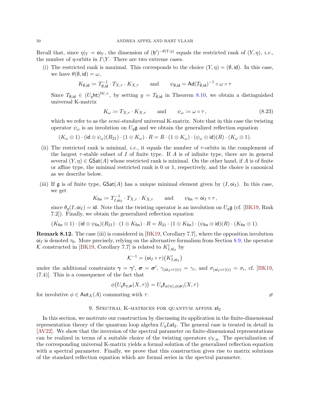Recall that, since  $\eta|_Y = \mathsf{oi}_Y$ , the dimension of  $(\mathfrak{h}')^{-\theta(Y,\eta)}$  equals the restricted rank of  $(Y,\eta)$ , *i.e.*, the number of  $\eta$ -orbits in  $I\Y$ . There are two extreme cases.

(i) The restricted rank is maximal. This corresponds to the choice  $(Y, \eta) = (\emptyset, id)$ . In this case, we have  $\theta(\emptyset, id) = \omega$ ,

$$
K_{\emptyset, \mathsf{id}} \coloneqq T_{\emptyset, \mathsf{id}}^{-1} \cdot T_{X, \tau} \cdot K_{X, \tau} \qquad \text{and} \qquad \psi_{\emptyset, \mathsf{id}} = \mathsf{Ad}(T_{\emptyset, \mathsf{id}})^{-1} \circ \omega \circ \tau
$$

Since  $T_{\emptyset, \mathsf{id}} \in (U_q \mathsf{ht})^{\mathcal{W}, \times}$ , by setting  $g = T_{\emptyset, \mathsf{id}}$  in Theorem [8.10,](#page-50-5) we obtain a distinguished universal K-matrix

<span id="page-51-1"></span>
$$
K_{\omega} := T_{X,\tau} \cdot K_{X,\tau} \quad \text{and} \quad \psi_{\omega} := \omega \circ \tau,
$$
\n
$$
(8.23)
$$

which we refer to as the *semi-standard* universal K-matrix. Note that in this case the twisting operator  $\psi_{\omega}$  is an involution on  $U_q\mathfrak{g}$  and we obtain the generalized reflection equation

$$
(K_\omega \otimes 1) \cdot (\mathsf{id} \otimes \psi_\omega)(R_{21}) \cdot (1 \otimes K_\omega) \cdot R = R \cdot (1 \otimes K_\omega) \cdot (\psi_\omega \otimes \mathsf{id})(R) \cdot (K_\omega \otimes 1).
$$

- (ii) The restricted rank is minimal, *i.e.*, it equals the number of  $\tau$ -orbits in the complement of the largest  $\tau$ -stable subset of I of finite type. If A is of infinite type, there are in general several  $(Y, \eta) \in \mathsf{GSat}(A)$  whose restricted rank is minimal. On the other hand, if A is of finite or affine type, the minimal restricted rank is 0 or 1, respectively, and the choice is canonical as we describe below.
- (iii) If g is of finite type,  $\text{SSat}(A)$  has a unique minimal element given by  $(I, \text{o}i_I)$ . In this case, we get

$$
K_{\text{fin}} \coloneqq T_{I, \text{oi}_I}^{-1} \cdot T_{X, \tau} \cdot K_{X, \tau} \quad \text{and} \quad \psi_{\text{fin}} = \text{oi}_I \circ \tau,
$$

since  $\theta_q(I, \text{o}i_I) = \text{id}$ . Note that the twisting operator is an involution on  $U_q\mathfrak{g}$  (cf. [\[BK19,](#page-55-1) Rmk] 7.2]). Finally, we obtain the generalized reflection equation

$$
(K_{\mathsf{fin}} \otimes 1) \cdot (\mathsf{id} \otimes \psi_{\mathsf{fin}})(R_{21}) \cdot (1 \otimes K_{\mathsf{fin}}) \cdot R = R_{21} \cdot (1 \otimes K_{\mathsf{fin}}) \cdot (\psi_{\mathsf{fin}} \otimes \mathsf{id})(R) \cdot (K_{\mathsf{fin}} \otimes 1).
$$

Remark 8.12. The case (iii) is considered in [\[BK19,](#page-55-1) Corollary 7.7], where the opposition involution  $\sigma$ i is denoted  $\tau_0$ . More precisely, relying on the alternative formalism from Section [8.9,](#page-50-6) the operator K constructed in [\[BK19,](#page-55-1) Corollary 7.7] is related to  $K'_{I,oi_I}$  by

$$
\mathcal{K}^{-1} = (\mathsf{oi}_I \circ \tau) \big( K'_{I, \mathsf{oi}_I} \big)
$$

under the additional constraints  $\gamma = \gamma'$ ,  $\sigma = \sigma'$ ,  $\gamma_{(oi_I \circ \tau)(i)} = \gamma_i$ , and  $\sigma_{(oi_I \circ \tau)(i)} = \sigma_i$ , cf. [\[BK19,](#page-55-1) (7.4)]. This is a consequence of the fact that

$$
\phi\big(U_q\mathfrak{k}_{\pmb\gamma,\pmb\sigma}(X,\tau)\big)=U_q\mathfrak{k}_{\phi(\pmb\gamma),\phi(\pmb\sigma)}(X,\tau)
$$

for involutive  $\phi \in \text{Aut}_X(A)$  commuting with  $\tau$ .

#### 9. SPECTRAL K-MATRICES FOR QUANTUM AFFINE  $5I_2$

<span id="page-51-0"></span>In this section, we motivate our construction by discussing its application in the finite-dimensional representation theory of the quantum loop algebra  $U_qL\mathfrak{sl}_2$ . The general case is treated in detail in [\[AV22\]](#page-55-5). We show that the inversion of the spectral parameter on finite-dimensional representations can be realized in terms of a suitable choice of the twisting operators  $\psi_{Y,n}$ . The specialization of the corresponding universal K-matrix yields a formal solution of the generalized reflection equation with a spectral parameter. Finally, we prove that this construction gives rise to matrix solutions of the standard reflection equation which are formal series in the spectral parameter.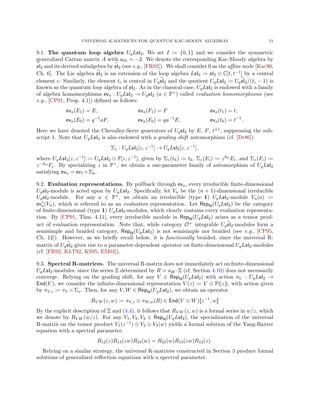9.1. The quantum loop algebra  $U_qL\mathfrak{sl}_2$ . We set  $I := \{0,1\}$  and we consider the symmetric generalized Cartan matrix A with  $a_{01} = -2$ . We denote the corresponding Kac-Moody algebra by  $\mathfrak{sl}_2$  and its derived subalgebra by  $\mathfrak{sl}_2$  (see e.g., [\[FR92\]](#page-56-27)). We shall consider 0 as the *affine* node [\[Kac90,](#page-56-22) Ch. 6. The Lie algebra  $\widehat{\mathfrak{sl}}_2$  is an extension of the loop algebra  $L\mathfrak{sl}_2 := \mathfrak{sl}_2 \otimes \mathbb{C}[t, t^{-1}]$  by a central element c. Similarly, the element  $t_c$  is central in  $U_q\hat{\mathfrak{sl}}_2$  and the quotient  $U_qL\mathfrak{sl}_2 := U_q\hat{\mathfrak{sl}}_2/(t_c - 1)$  is known as the quantum *loop* algebra of  $\mathfrak{sl}_2$ . As in the classical case,  $U_qL\mathfrak{sl}_2$  is endowed with a family of algebra homomorphisms  $ev_a: U_qL\mathfrak{sl}_2 \to U_q\mathfrak{sl}_2$   $(a \in \mathbb{F}^\times)$  called *evaluation homomorphisms* (see  $e.g., [CP91, Prop. 4.1]) defined as follows:$  $e.g., [CP91, Prop. 4.1]) defined as follows:$  $e.g., [CP91, Prop. 4.1]) defined as follows:$ 

$$
\begin{aligned}\n\mathsf{ev}_a(E_1) &= E, & \mathsf{ev}_a(F_1) &= F & \mathsf{ev}_a(t_1) &= t, \\
\mathsf{ev}_a(E_0) &= q^{-1} a F, & \mathsf{ev}_a(F_0) &= q a^{-1} E, & \mathsf{ev}_a(t_0) &= t^{-1}.\n\end{aligned}
$$

Here we have denoted the Chevalley-Serre generators of  $U_q$ s<sup>[</sup>2 by  $E, F, t^{\pm 1}$ , suppressing the subscript 1. Note that  $U_qL\mathfrak{sl}_2$  is also endowed with a *grading shift* automorphism (cf. [\[Dr86\]](#page-56-1))

$$
\Sigma_z:U_qL\mathfrak{sl}_2[z,z^{-1}]\to U_qL\mathfrak{sl}_2[z,z^{-1}]\,,
$$

where  $U_q L \mathfrak{sl}_2[z, z^{-1}] \coloneqq U_q L \mathfrak{sl}_2 \otimes \mathbb{F}[z, z^{-1}]$ , given by  $\Sigma_z(t_h) \coloneqq t_h$ ,  $\Sigma_z(E_i) \coloneqq z^{\delta_{0i}} E_i$ , and  $\Sigma_z(F_i) \coloneqq z^{-1}$  $z^{-\delta_{0i}}F_i$ . By specializing z in  $\mathbb{F}^\times$ , we obtain a one-parameter family of automorphism of  $U_qL\mathfrak{sl}_2$ satisfying  $ev_a = ev_1 \circ \Sigma_a$ .

9.2. Evaluation representations. By pullback through  $ev_a$ , every irreducible finite-dimensional  $U_q$ **s** $I_2$ -module is acted upon by  $U_qL$ **s** $I_2$ . Specifically, let  $V_n$  be the  $(n + 1)$ -dimensional irreducible  $U_q$ **s**<sup>[2</sup>-module. For any  $a \in \mathbb{F}^\times$ , we obtain an irreducible (type 1)  $U_qL$ **s**<sup>[2</sup>-module  $V_n(a) :=$  $ev_a^*(V_n)$ , which is referred to as an *evaluation* representation. Let  $\mathsf{Rep}_{\mathsf{fd}}(\tilde{U}_qL\mathfrak{sl}_2)$  be the category of finite-dimensional (type 1)  $U_qL\mathfrak{sl}_2$ -modules, which clearly contains every evaluation representa-tion. By [\[CP91,](#page-55-21) Thm. 4.11], every irreducible module in  $\mathsf{Rep}_{\mathsf{fd}}(U_qL\mathfrak{sl}_2)$  arises as a tensor product of evaluation representation. Note that, while category  $\mathcal{O}^+$  integrable  $U_q\mathfrak{sl}_2$ -modules form a semisimple and braided category,  $\mathsf{Rep}_{\mathsf{fd}}(U_qL\mathfrak{sl}_2)$  is not semisimple nor braided (see e.g., [\[CP95,](#page-55-22) Ch. 12]). However, as we briefly recall below, it is functionally braided, since the universal Rmatrix of  $U_q$ sl<sub>2</sub> gives rise to a parameter-dependent operator on finite-dimensional  $U_qL$ sl<sub>2</sub>-modules (cf. [\[FR92,](#page-56-27) [KhT92,](#page-56-28) [KS95,](#page-57-21) [EM03\]](#page-56-29)).

9.3. Spectral R-matrices. The universal R-matrix does not immediately act on finite-dimensional  $U_qL\mathfrak{sl}_2$ -modules, since the series  $\Xi$  determined by  $R = \kappa_{\mathsf{id}} \cdot \Xi$  (cf. Section [4.10\)](#page-23-5) does not necessarily converge. Relying on the grading shift, for any  $V \in \mathsf{Rep}_{\mathsf{fd}}(U_qL\mathfrak{sl}_2)$  with action  $\pi_V : U_qL\mathfrak{sl}_2 \to$ End(V), we consider the infinite-dimensional representation  $V(z) := V \otimes \mathbb{F}(\!(z)\!)$ , with action given by  $\pi_{V,z} := \pi_V \circ \Sigma_z$ . Then, for any  $V, W \in \mathsf{Rep}_{\text{fd}}(U_qL\mathfrak{sl}_2)$ , we obtain an operator

$$
R_{VW}(z,w) \coloneqq \pi_{V,z} \otimes \pi_{W,w}(R) \in \mathsf{End}(V \otimes W)[\![z^{-1},w]\!]
$$

By the explicit description of  $\Xi$  and [\(4.4\)](#page-21-3), it follows that  $R_{VW}(z, w)$  is a formal series in  $w/z$ , which we denote by  $R_{V W}(w/z)$ . For any  $V_1, V_2, V_3 \in \text{Rep}_{\text{fd}}(U_q L \mathfrak{sl}_2)$ , the specialization of the universal R-matrix on the tensor product  $V_1(z^{-1}) \otimes V_2 \otimes V_3(w)$  yields a formal solution of the Yang-Baxter equation with a spectral parameter:

$$
R_{12}(z)R_{13}(zw)R_{23}(w) = R_{23}(w)R_{13}(zw)R_{12}(z).
$$

Relying on a similar strategy, the universal K-matrices constructed in Section [3](#page-12-0) produce formal solutions of generalized reflection equations with a spectral parameter.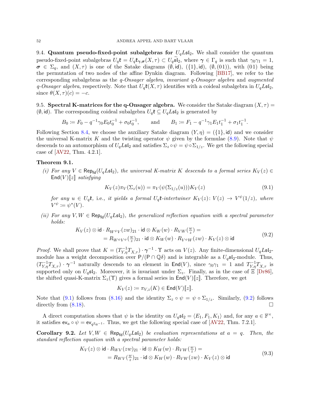9.4. Quantum pseudo-fixed-point subalgebras for  $U_qL\mathfrak{sl}_2$ . We shall consider the quantum pseudo-fixed-point subalgebras  $U_q\mathfrak{k} = U_q\mathfrak{k}_{\gamma,\sigma}(X,\tau) \subset U_q\mathfrak{sl}_2$ , where  $\gamma \in \Gamma_q$  is such that  $\gamma_0\gamma_1 = 1$ ,  $\sigma \in \Sigma_q$ , and  $(X, \tau)$  is one of the Satake diagrams  $(\emptyset, id)$ ,  $(\{1\}, id)$ ,  $(\emptyset, (01))$ , with  $(01)$  being the permutation of two nodes of the affine Dynkin diagram. Following [\[BB17\]](#page-55-23), we refer to the corresponding subalgebras as the q-Onsager algebra, invariant q-Onsager algebra and augmented q-Onsager algebra, respectively. Note that  $U_q\mathfrak{k}(X,\tau)$  identifies with a coideal subalgebra in  $U_qL\mathfrak{sl}_2$ , since  $\theta(X,\tau)(c) = -c$ .

<span id="page-53-4"></span>9.5. Spectral K-matrices for the q-Onsager algebra. We consider the Satake diagram  $(X, \tau)$  =  $(\emptyset, id)$ . The corresponding coideal subalgebra  $U_q \mathfrak{k} \subseteq U_q L \mathfrak{sl}_2$  is generated by

 $B_0 \coloneqq F_0 - q^{-1} \gamma_0 E_0 t_0^{-1} + \sigma_0 t_0^{-1}, \quad \text{and} \quad B_1 \coloneqq F_1 - q^{-1} \gamma_1 E_1 t_1^{-1} + \sigma_1 t_1^{-1}.$ 

Following Section [8.4,](#page-48-9) we choose the auxiliary Satake diagram  $(Y, \eta) = (\{1\}, id)$  and we consider the universal K-matrix K and the twisting operator  $\psi$  given by the formulae [\(8.9\)](#page-48-7). Note that  $\psi$ descends to an automorphism of  $U_qL\mathfrak{sl}_2$  and satisfies  $\Sigma_z \circ \psi = \psi \circ \Sigma_{1/z}$ . We get the following special case of [\[AV22,](#page-55-5) Thm. 4.2.1].

#### <span id="page-53-5"></span>Theorem 9.1.

(i) For any  $V \in \mathsf{Rep}_{\mathsf{fd}}(U_qL\mathfrak{sl}_2)$ , the universal K-matrix K descends to a formal series  $K_V(z) \in$  $\text{End}(V)[\![z]\!]$  satisfying

<span id="page-53-0"></span>
$$
K_V(z)\pi_V(\Sigma_z(u)) = \pi_V(\psi(\Sigma_{1/z}(u)))K_V(z)
$$
\n(9.1)

for any  $u \in U_q$ **t**, i.e., it yields a formal  $U_q$ **t**-intertwiner  $K_V(z)$ :  $V(z) \to V^{\psi}(1/z)$ , where  $V^{\psi} \coloneqq \psi^*(V).$ 

(ii) For any  $V, W \in \mathsf{Rep}_{\mathsf{fd}}(U_q \mathsf{Lst}_2)$ , the generalized reflection equation with a spectral parameter holds:

$$
K_V(z) \otimes \mathrm{id} \cdot R_{W^{\psi}V}(zw)_{21} \cdot \mathrm{id} \otimes K_W(w) \cdot R_{VW}(\frac{w}{z}) =
$$
  
=  $R_{W^{\psi}V^{\psi}}(\frac{w}{z})_{21} \cdot \mathrm{id} \otimes K_W(w) \cdot R_{V^{\psi}W}(zw) \cdot K_V(z) \otimes \mathrm{id}$  (9.2)

*Proof.* We shall prove that  $K = (T_{Y,\eta}^{-1}T_{X,\tau}) \cdot \gamma^{-1} \cdot \Upsilon$  acts on  $V(z)$ . Any finite-dimensional  $U_q L \mathfrak{sl}_2$ module has a weight decomposition over  $P/(P \cap \mathbb{Q}\delta)$  and is integrable as a  $U_q\mathfrak{sl}_2$ -module. Thus,  $(T_{Y,\eta}^{-1}T_{X,\tau})\cdot \gamma^{-1}$  naturally descends to an element in  $\text{End}(V)$ , since  $\gamma_0\gamma_1=1$  and  $T_{Y,\eta}^{-1}T_{X,\tau}$  is supported only on  $U_q$ sl<sub>2</sub>. Moreover, it is invariant under  $\Sigma_z$ . Finally, as in the case of  $\Xi$  [\[Dr86\]](#page-56-1), the shifted quasi-K-matrix  $\Sigma_z(\Upsilon)$  gives a formal series in  $\text{End}(V)[\]z$ . Therefore, we get

<span id="page-53-2"></span><span id="page-53-1"></span>
$$
K_V(z) \coloneqq \pi_{V,z}(K) \in \mathsf{End}(V)[\![z]\!].
$$

Note that [\(9.1\)](#page-53-0) follows from [\(8.16\)](#page-49-2) and the identity  $\Sigma_z \circ \psi = \psi \circ \Sigma_{1/z}$ . Similarly, [\(9.2\)](#page-53-1) follows directly from  $(8.18)$ .

A direct computation shows that  $\psi$  is the identity on  $U_q \mathfrak{sl}_2 = \langle E_1, F_1, K_1 \rangle$  and, for any  $a \in \mathbb{F}^\times$ , it satisfies  $ev_a \circ \psi = ev_{q^2a^{-1}}$ . Thus, we get the following special case of [\[AV22,](#page-55-5) Thm. 7.2.1].

<span id="page-53-3"></span>**Corollary 9.2.** Let  $V, W \in \text{Rep}_{\text{fd}}(U_q L \mathfrak{sl}_2)$  be evaluation representations at  $a = q$ . Then, the standard reflection equation with a spectral parameter holds:

$$
K_V(z) \otimes \text{id} \cdot R_{WV}(zw)_{21} \cdot \text{id} \otimes K_W(w) \cdot R_{VW}(\frac{w}{z}) =
$$
  
=  $R_{WV}(\frac{w}{z})_{21} \cdot \text{id} \otimes K_W(w) \cdot R_{VW}(zw) \cdot K_V(z) \otimes \text{id}$  (9.3)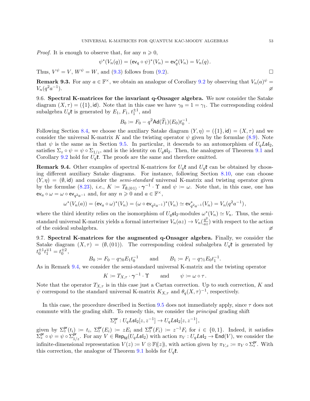*Proof.* It is enough to observe that, for any  $n \geq 0$ ,

$$
\psi^*(V_n(q)) = (\text{ev}_q \circ \psi)^*(V_n) = \text{ev}_q^*(V_n) = V_n(q).
$$

Thus,  $V^{\psi} = V$ ,  $W^{\psi} = W$ , and [\(9.3\)](#page-53-2) follows from [\(9.2\)](#page-53-1).

**Remark 9.3.** For any  $a \in \mathbb{F}^{\times}$ , we obtain an analogue of Corollary [9.2](#page-53-3) by observing that  $V_n(a)^{\psi} =$  $V_n(q^2a^{-1})$ ).  $\varnothing$ 

9.6. Spectral K-matrices for the invariant q-Onsager algebra. We now consider the Satake diagram  $(X, \tau) = (\{1\}, id)$ . Note that in this case we have  $\gamma_0 = 1 = \gamma_1$ . The corresponding coideal subalgebra  $U_q$ **t** is generated by  $E_1$ ,  $F_1$ ,  $t_1^{\pm 1}$ , and

$$
B_0 \coloneqq F_0 - q^2 \mathsf{Ad}(\widetilde{T}_1)(E_0) t_0^{-1}.
$$

Following Section [8.4,](#page-48-9) we choose the auxiliary Satake diagram  $(Y, \eta) = (\{1\}, id) = (X, \tau)$  and we consider the universal K-matrix K and the twisting operator  $\psi$  given by the formulae [\(8.9\)](#page-48-7). Note that  $\psi$  is the same as in Section [9.5.](#page-53-4) In particular, it descends to an automorphism of  $U_qL\mathfrak{sl}_2$ , satisfies  $\Sigma_z \circ \psi = \psi \circ \Sigma_{1/z}$ , and is the identity on  $U_q \mathfrak{sl}_2$ . Then, the analogues of Theorem [9.1](#page-53-5) and Corollary [9.2](#page-53-3) hold for  $U_q\mathfrak{k}$ . The proofs are the same and therefore omitted.

<span id="page-54-0"></span>**Remark 9.4.** Other examples of spectral K-matrices for  $U_q$ <sup>t</sup> and  $U_q$ <sup>t</sup> can be obtained by choosing different auxiliary Satake diagrams. For instance, following Section [8.10,](#page-50-0) one can choose  $(Y, \eta) = (\emptyset, id)$  and consider the *semi-standard* universal K-matrix and twisting operator given by the formulae [\(8.23\)](#page-51-1), *i.e.*,  $K := T_{\emptyset,(01)} \cdot \gamma^{-1} \cdot \Upsilon$  and  $\psi := \omega$ . Note that, in this case, one has  $\mathsf{ev}_a \circ \omega = \omega \circ \mathsf{ev}_{q^2a^{-1}}$  and, for any  $n \geqslant 0$  and  $a \in \mathbb{F}^\times$ ,

$$
\omega^*(V_n(a)) = (\text{ev}_a \circ \omega)^*(V_n) = (\omega \circ \text{ev}_{q^2 a^{-1}})^*(V_n) \simeq \text{ev}_{q^2 a^{-1}}^*(V_n) = V_n(q^2 a^{-1}),
$$

where the third identity relies on the isomorphism of  $U_q$ **s** $i_2$ -modules  $\omega^*(V_n) \simeq V_n$ . Thus, the semistandard universal K-matrix yields a formal intertwiner  $V_n(az) \to V_n(\frac{q^2}{az})$  $\frac{q^2}{az}$ ) with respect to the action of the coideal subalgebra.  $\varnothing$ 

9.7. Spectral K-matrices for the augmented q-Onsager algebra. Finally, we consider the Satake diagram  $(X, \tau) = (\emptyset, (01))$ . The corresponding coideal subalgebra  $U_q$ t is generated by  $t_0^{\pm 1} t_1^{\mp 1} = t_0^{\pm 2},$ 

$$
B_0 := F_0 - q\gamma_0 E_1 t_0^{-1}
$$
 and  $B_1 := F_1 - q\gamma_1 E_0 t_1^{-1}$ .

As in Remark [9.4,](#page-54-0) we consider the semi-standard universal K-matrix and the twisting operator

$$
K \coloneqq T_{X,\tau} \cdot \gamma^{-1} \cdot \Upsilon \quad \text{and} \quad \psi \coloneqq \omega \circ \tau.
$$

Note that the operator  $T_{X,\tau}$  is in this case just a Cartan correction. Up to such correction, K and  $\psi$  correspond to the standard universal K-matrix  $K_{X,\tau}$  and  $\theta_q(X,\tau)^{-1}$ , respectively.

In this case, the procedure described in Section  $9.5$  does not immediately apply, since  $\tau$  does not commute with the grading shift. To remedy this, we consider the *principal* grading shift

$$
\Sigma^{\mathsf{pr}}_z : U_q L \mathfrak{sl}_2[z,z^{-1}] \to U_q L \mathfrak{sl}_2[z,z^{-1}] \,,
$$

given by  $\Sigma_z^{\text{pr}}(t_i) := t_i$ ,  $\Sigma_z^{\text{pr}}(E_i) := z E_i$  and  $\Sigma_z^{\text{pr}}(F_i) := z^{-1} F_i$  for  $i \in \{0,1\}$ . Indeed, it satisfies  $\sum_{\mathcal{Z}}^{\mathsf{pr}} \circ \psi = \psi \circ \sum_{1/z}^{\mathsf{pr}}$ . For any  $V \in \mathsf{Rep}_{\mathsf{fd}}(U_q L \mathfrak{sl}_2)$  with action  $\pi_V : U_q L \mathfrak{sl}_2 \to \mathsf{End}(V)$ , we consider the infinite-dimensional representation  $V(z) := V \otimes \mathbb{F}((z))$ , with action given by  $\pi_{V,z} := \pi_V \circ \Sigma_z^{\text{pr}}$ . With this correction, the analogue of Theorem [9.1](#page-53-5) holds for  $U_q\mathfrak{k}$ .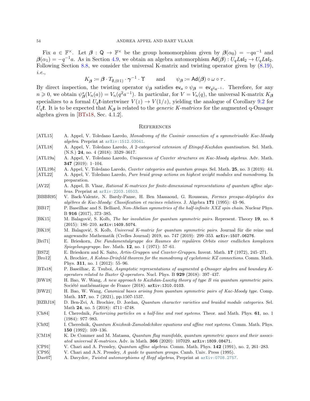Fix  $a \in \mathbb{F}^\times$ . Let  $\beta : \mathbb{Q} \to \mathbb{F}^\times$  be the group homomorphism given by  $\beta(\alpha_0) = -qa^{-1}$  and  $\beta(\alpha_1) = -q^{-1}a$ . As in Section [4.9,](#page-22-6) we obtain an algebra automorphism  $\text{Ad}(\beta) : U_qL\mathfrak{sl}_2 \to U_qL\mathfrak{sl}_2$ . Following Section [8.8,](#page-49-5) we consider the universal K-matrix and twisting operator given by [\(8.19\)](#page-49-6), i.e.,

$$
K_{\boldsymbol{\beta}} \coloneqq \boldsymbol{\beta} \cdot T_{\emptyset, (0 \, 1)} \cdot \boldsymbol{\gamma}^{-1} \cdot \boldsymbol{\Upsilon} \qquad \text{and} \qquad \psi_{\boldsymbol{\beta}} \coloneqq \mathsf{Ad}(\boldsymbol{\beta}) \circ \omega \circ \tau.
$$

By direct inspection, the twisting operator  $\psi_{\beta}$  satisfies  $ev_a \circ \psi_{\beta} = ev_{q^2a^{-1}}$ . Therefore, for any  $n \geq 0$ , we obtain  $\psi_{\beta}^*(V_n(a)) = V_n(q^2a^{-1})$ . In particular, for  $V = V_n(q)$ , the universal K-matrix  $K_{\beta}$ specializes to a formal  $U_q$ **t**-intertwiner  $V(z) \rightarrow V(1/z)$ , yielding the analogue of Corollary [9.2](#page-53-3) for  $U_q$ **f**. It is to be expected that  $K_\beta$  is related to the *generic K-matrices* for the augmented q-Onsager algebra given in [\[BTs18,](#page-55-4) Sec. 4.1.2].

#### <span id="page-55-0"></span>**REFERENCES**

- <span id="page-55-18"></span>[ATL15] A. Appel, V. Toledano Laredo, Monodromy of the Casimir connection of a symmetrisable Kac-Moody algebra. Preprint at [arXiv:1512.03041](http://arxiv.org/abs/1512.03041).
- <span id="page-55-16"></span>[ATL18] A. Appel, V. Toledano Laredo, A 2-categorical extension of Etingof-Kazhdan quantisation. Sel. Math. (N.S.) 24, no. 4 (2018): 3529–3617.
- <span id="page-55-13"></span>[ATL19a] A. Appel, V. Toledano Laredo, Uniqueness of Coxeter structures on Kac-Moody algebras. Adv. Math. 347 (2019): 1–104.
- <span id="page-55-14"></span>[ATL19b] A. Appel, V. Toledano Laredo, Coxeter categories and quantum groups. Sel. Math. 25, no. 3 (2019): 44.
- <span id="page-55-17"></span>[ATL22] A. Appel, V. Toledano Laredo, Pure braid group actions on highest weight modules and monodromy. In preparation.
- <span id="page-55-5"></span>[AV22] A. Appel, B. Vlaar, Rational K-matrices for finite-dimensional representations of quantum affine algebras. Preprint at [arXiv:2203.16503](http://arxiv.org/abs/2203.16503).
- <span id="page-55-15"></span>[BBBR95] V. Back-Valente, N. Bardy-Panse, H. Ben Massaoud, G. Rousseau, Formes presque-d´eploy´ees des alg`ebres de Kac-Moody: Classification et racines relatives. J. Algebra 171 (1995): 43–96.
- <span id="page-55-23"></span>[BB17] P. Baseilhac and S. Belliard, Non-Abelian symmetries of the half-infinite XXZ spin chain. Nuclear Phys. B 916 (2017), 373–385.
- <span id="page-55-20"></span>[BK15] M. Balagović, S. Kolb, *The bar involution for quantum symmetric pairs*. Represent. Theory 19, no. 8 (2015): 186–210. arXiv:1409.5074.
- <span id="page-55-1"></span>[BK19] M. Balagović, S. Kolb, Universal K-matrix for quantum symmetric pairs. Journal für die reine und angewandte Mathematik (Crelles Journal) 2019, no. 747 (2019): 299–353. arXiv:1507.06276.
- <span id="page-55-12"></span>[Bri71] E. Brieskorn, Die Fundamentalgruppe des Raumes der regulären Orbits einer endlichen komplexen Spiegelungsgruppe. Inv. Math. 12, no. 1 (1971): 57–61.
- <span id="page-55-11"></span>[BS72] E. Brieskorn and K. Saito, Artin-Gruppen und Coxeter-Gruppen. Invent. Math. 17 (1972), 245–271.
- <span id="page-55-10"></span>[Bro12] A. Brochier, A Kohno-Drinfeld theorem for the monodromy of cyclotomic KZ connections. Comm. Math. Phys. 311, no. 1 (2012): 55–96.
- <span id="page-55-4"></span>[BTs18] P. Baseilhac, Z. Tsuboi, Asymptotic representations of augmented q-Onsager algebra and boundary Koperators related to Baxter Q-operators. Nucl. Phys. B 929 (2018): 397–437.
- <span id="page-55-6"></span>[BW18] H. Bao, W. Wang, A new approach to Kazhdan-Lusztig theory of type B via quantum symmetric pairs. Société mathématique de France  $(2018)$ . arXiv:1310.0103.
- <span id="page-55-9"></span>[BW21] H. Bao, W. Wang, Canonical bases arising from quantum symmetric pairs of Kac-Moody type. Comp. Math. 157, no. 7 (2021), pp.1507-1537.
- <span id="page-55-8"></span>[BZBJ18] D. Ben-Zvi, A. Brochier, D. Jordan, Quantum character varieties and braided module categories. Sel. Math 24, no. 5 (2018): 4711–4748.
- <span id="page-55-2"></span>[Ch84] I. Cherednik, Factorizing particles on a half-line and root systems. Theor. and Math. Phys. 61, no. 1 (1984): 977–983.
- <span id="page-55-3"></span>[Ch92] I. Cherednik, Quantum Knizhnik-Zamolodchikov equations and affine root systems. Comm. Math. Phys. 150 (1992): 109–136.
- <span id="page-55-19"></span>[CM18] K. De Commer and M. Matassa, Quantum flag manifolds, quantum symmetric spaces and their associated universal K-matrices. Adv. in Math. 366 (2020): 107029. arXiv:1809.08471.
- <span id="page-55-21"></span>[CP91] V. Chari and A. Pressley, Quantum affine algebras. Comm. Math. Phys. 142 (1991), no. 2, 261–283.
- <span id="page-55-22"></span>[CP95] V. Chari and A.N. Pressley, A guide to quantum groups. Camb. Univ. Press (1995).
- <span id="page-55-7"></span>[Dav07] A. Davydov, Twisted automorphisms of Hopf algebras, Preprint at [arXiv:0708.2757](http://arxiv.org/abs/0708.2757).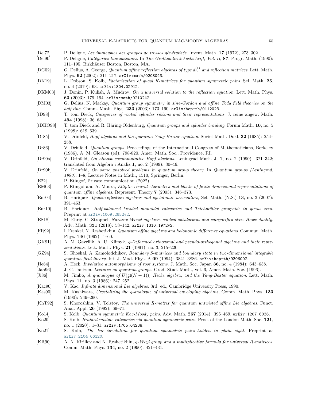<span id="page-56-29"></span><span id="page-56-28"></span><span id="page-56-27"></span><span id="page-56-26"></span><span id="page-56-25"></span><span id="page-56-24"></span><span id="page-56-23"></span><span id="page-56-22"></span><span id="page-56-21"></span><span id="page-56-20"></span><span id="page-56-19"></span><span id="page-56-18"></span><span id="page-56-17"></span><span id="page-56-16"></span><span id="page-56-15"></span><span id="page-56-14"></span><span id="page-56-13"></span><span id="page-56-12"></span><span id="page-56-11"></span><span id="page-56-10"></span><span id="page-56-9"></span><span id="page-56-8"></span><span id="page-56-7"></span><span id="page-56-6"></span><span id="page-56-5"></span><span id="page-56-4"></span><span id="page-56-3"></span><span id="page-56-2"></span><span id="page-56-1"></span><span id="page-56-0"></span>

| [Del72]               | P. Deligne, Les immeubles des groupes de tresses généralisés, Invent. Math. 17 (1972), 273-302.                                                                                              |
|-----------------------|----------------------------------------------------------------------------------------------------------------------------------------------------------------------------------------------|
| [Del90]               | P. Deligne, Catégories tannakiennes. In The Grothendieck Festschrift, Vol. II, 87, Progr. Math. (1990):<br>111–195. Birkhäuser Boston, Boston, MA.                                           |
| [DG02]                | G. Delius, A. George, Quantum affine reflection algebras of type $d_n^{(1)}$ and reflection matrices. Lett. Math.<br>Phys. 62 (2002): 211-217. $arXiv:math/0208043$ .                        |
| [DK19]                | L. Dobson, S. Kolb, Factorisation of quasi K-matrices for quantum symmetric pairs. Sel. Math. 25,<br>no. 4 $(2019)$ : 63. arXiv: 1804.02912.                                                 |
| [DKM03]               | J. Donin, P. Kulish, A. Mudrov, On a universal solution to the reflection equation. Lett. Math. Phys.<br>63 (2003): 179-194. $arXiv:math/0210242$ .                                          |
| [DM03]                | G. Delius, N. Mackay, Quantum group symmetry in sine-Gordon and affine Toda field theories on the<br>half-line. Comm. Math. Phys. 233 (2003): 173-190. arXiv:hep-th/0112023.                 |
| [tD98]                | T. tom Dieck, Categories of rooted cylinder ribbons and their representations. J. reine angew. Math.<br>494 (1998): $36-63$ .                                                                |
| [tDHO98]              | T. tom Dieck and R. Häring-Oldenburg, Quantum groups and cylinder braiding. Forum Math. 10, no. 5<br>$(1998): 619-639.$                                                                      |
| [Dr85]                | V. Drinfeld, <i>Hopf algebras and the quantum Yang-Baxter equation</i> . Soviet Math. Dokl. 32 (1985): 254–<br>258.                                                                          |
| [Dr86]                | V. Drinfeld, Quantum groups. Proceedings of the International Congress of Mathematicians, Berkeley<br>(1986), A. M. Gleason (ed): 798-820. Amer. Math. Soc., Providence, RI.                 |
| [Dr90a]               | V. Drinfeld, On almost cocommutative Hopf algebras. Leningrad Math. J. 1, no. 2 (1990): 321-342;<br>translated from Algebra i Analiz 1, no. $2$ (1989): 30-46.                               |
| [Dr90b]               | V. Drinfeld, On some unsolved problems in quantum group theory. In Quantum groups (Leningrad,<br>1990), 1-8, Lecture Notes in Math., 1510, Springer, Berlin.                                 |
| [E22]                 | P. Etingof, Private communication (2022).                                                                                                                                                    |
| [EM03]                | P. Etingof and A. Moura, <i>Elliptic central characters and blocks of finite dimensional representations of</i>                                                                              |
|                       | quantum affine algebras. Represent. Theory $7$ (2003): 346–373.                                                                                                                              |
| [Enr04]               | B. Enriquez, Quasi-reflection algebras and cyclotomic associators, Sel. Math. (N.S.) 13, no. 3 (2007):<br>$391 - 463.$                                                                       |
| [Enr10]               | B. Enriquez, Half-balanced braided monoidal categories and Teichmüller groupoids in genus zero.<br>Preprint at arXiv: 1009.2652v2.                                                           |
| [ES18]                | M. Ehrig, C. Stroppel, Nazarov-Wenzl algebras, coideal subalgebras and categorified skew Howe duality.<br>Adv. Math. 331 (2018): $58-142$ . arXiv:1310.1972v2.                               |
| [FR92]                | I. Frenkel, N. Reshetikhin, Quantum affine algebras and holonomic difference equations. Commun. Math.<br>Phys. $146$ (1992): 1–60.                                                           |
| [GK91]                | A. M. Gavrilik, A. U. Klimyk, q-Deformed orthogonal and pseudo-orthogonal algebras and their repre-<br>sentations. Lett. Math. Phys. 21 (1991), no. 3, 215-220.                              |
| [GZ94]                | S. Ghoshal, A. Zamolodchikov, Boundary S-matrices and boundary state in two-dimensional integrable<br>quantum field theory. Int. J. Mod. Phys. A 09 (1994): 3841-3886. arXiv:hep-th/9306002. |
| [He84]                | A. Heck, <i>Involutive automorphisms of root systems.</i> J. Math. Soc. Japan 36, no. 4 (1984): 643–658.                                                                                     |
| [Jan96]               | J. C. Jantzen, Lectures on quantum groups. Grad. Stud. Math., vol. 6, Amer. Math. Soc. (1996).                                                                                               |
| [Ji86]                | M. Jimbo, A q-analogue of $U(\mathfrak{gl}(N+1))$ , Hecke algebra, and the Yang-Baxter equation. Lett. Math.<br>Phys. 11, no. 3 (1986): 247-252.                                             |
| $\vert$ Kac $90\vert$ | V. Kac, <i>Infinite dimensional Lie algebras.</i> 3rd. ed., Cambridge University Press, 1990.                                                                                                |
| [Kas90]               | M. Kashiwara, Crystalizing the q-analogue of universal enveloping algebras, Comm. Math. Phys. 133<br>$(1990): 249 - 260.$                                                                    |
| [KhT92]               | S. Khoroshkin, V. Tolstoy, The universal R-matrix for quantum untwisted affine Lie algebras. Funct.<br>Anal. Appl. 26 (1992): 69–71.                                                         |
| [Ko14]                | S. Kolb, Quantum symmetric Kac-Moody pairs. Adv. Math. 267 (2014): 395-469. arXiv: 1207.6036.                                                                                                |
| [Ko20]                | S. Kolb, <i>Braided module categories via quantum symmetric pairs</i> . Proc. of the London Math. Soc. 121,<br>no. 1 $(2020)$ : 1-31. arXiv:1705:04238.                                      |
| [Ko21]                | S. Kolb, The bar involution for quantum symmetric pairs-hidden in plain sight. Preprint at<br>arXiv: 2104.06120.                                                                             |
| [KR90]                | A. N. Kirillov and N. Reshetikhin, q-Weyl group and a multiplicative formula for universal R-matrices.<br>Comm. Math. Phys. 134, no. 2 (1990): 421-431.                                      |